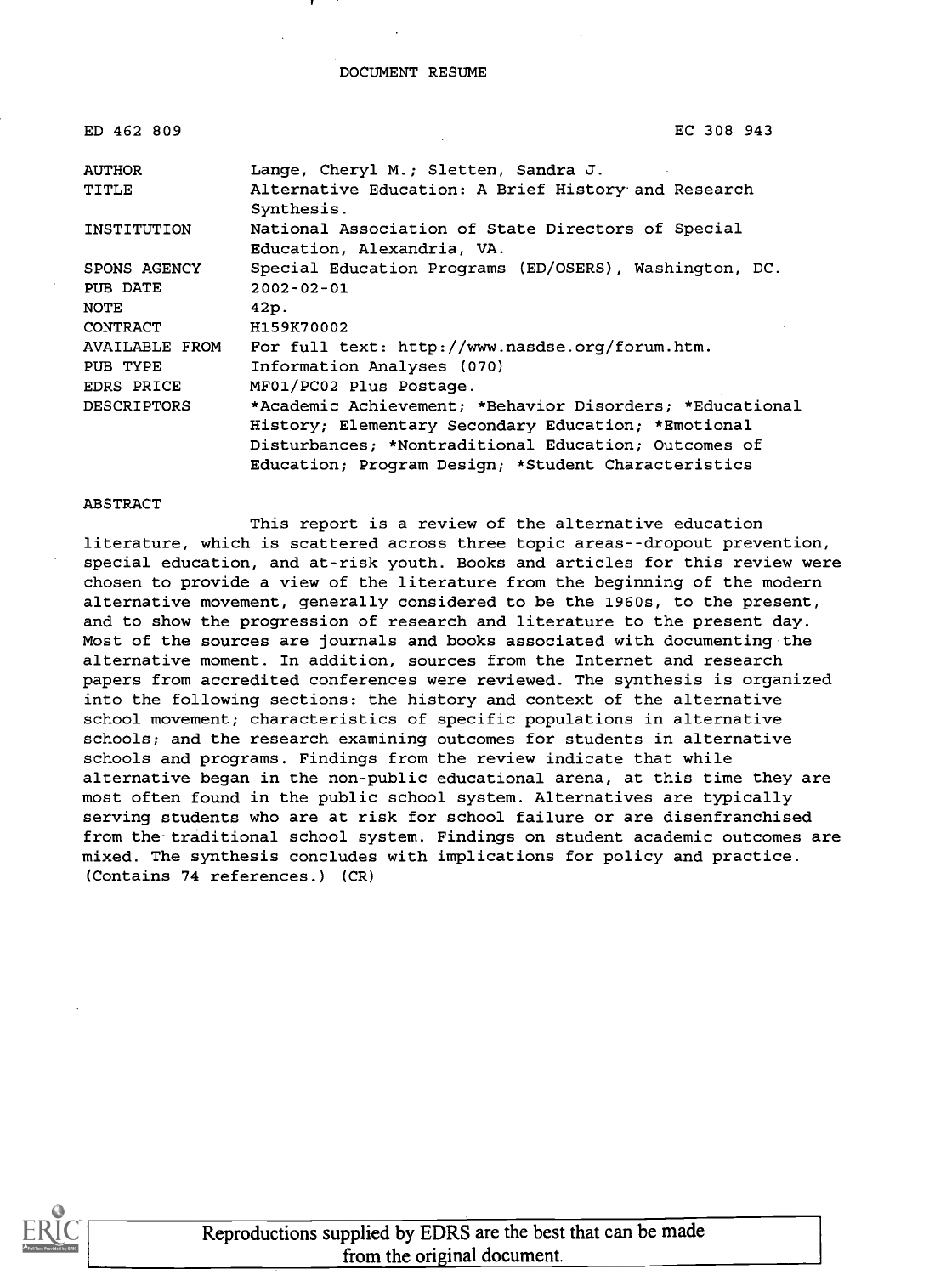| ED 462 809            | EC 308 943                                                                       |
|-----------------------|----------------------------------------------------------------------------------|
| <b>AUTHOR</b>         | Lange, Cheryl M.; Sletten, Sandra J.                                             |
| TITLE                 | Alternative Education: A Brief History and Research<br>Synthesis.                |
| INSTITUTION           | National Association of State Directors of Special<br>Education, Alexandria, VA. |
| SPONS AGENCY          | Special Education Programs (ED/OSERS), Washington, DC.                           |
| PUB DATE              | $2002 - 02 - 01$                                                                 |
| <b>NOTE</b>           | 42p.                                                                             |
| <b>CONTRACT</b>       | H159K70002                                                                       |
| <b>AVAILABLE FROM</b> | For full text: http://www.nasdse.org/forum.htm.                                  |
| PUB TYPE              | Information Analyses (070)                                                       |
| EDRS PRICE            | MF01/PC02 Plus Postage.                                                          |
| <b>DESCRIPTORS</b>    | *Academic Achievement; *Behavior Disorders; *Educational                         |
|                       | History; Elementary Secondary Education; *Emotional                              |
|                       | Disturbances; *Nontraditional Education; Outcomes of                             |
|                       | Education; Program Design; *Student Characteristics                              |

#### ABSTRACT

This report is a review of the alternative education literature, which is scattered across three topic areas--dropout prevention, special education, and at-risk youth. Books and articles for this review were chosen to provide a view of the literature from the beginning of the modern alternative movement, generally considered to be the 1960s, to the present, and to show the progression of research and literature to the present day. Most of the sources are journals and books associated with documenting the alternative moment. In addition, sources from the Internet and research papers from accredited conferences were reviewed. The synthesis is organized into the following sections: the history and context of the alternative school movement; characteristics of specific populations in alternative schools; and the research examining outcomes for students in alternative schools and programs. Findings from the review indicate that while alternative began in the non-public educational arena, at this time they are most often found in the public school system. Alternatives are typically serving students who are at risk for school failure or are disenfranchised from the traditional school system. Findings on student academic outcomes are mixed. The synthesis concludes with implications for policy and practice. (Contains 74 references.) (CR)



Reproductions supplied by EDRS are the best that can be made from the original document.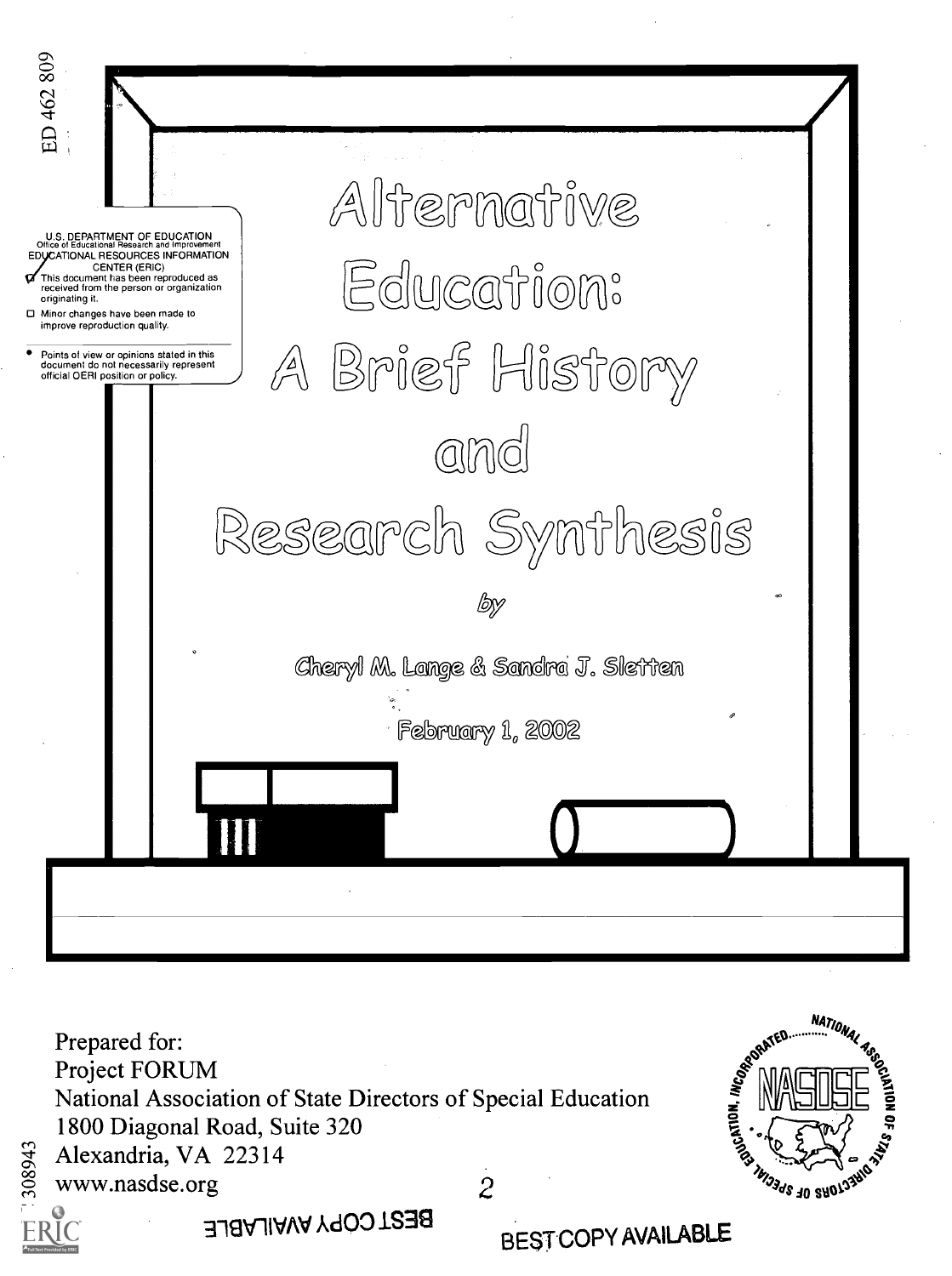| 809                                                                                                                                                                                                                                                                              |                                     |  |
|----------------------------------------------------------------------------------------------------------------------------------------------------------------------------------------------------------------------------------------------------------------------------------|-------------------------------------|--|
| ED 462                                                                                                                                                                                                                                                                           |                                     |  |
|                                                                                                                                                                                                                                                                                  | Alternative                         |  |
| U.S. DEPARTMENT OF EDUCATION<br>Office of Educational Research and Improvement<br>EDUCATIONAL RESOURCES INFORMATION<br>CENTER (ERIC)<br>This document has been reproduced as<br>received from the person or organization<br>originating it.<br>□ Minor changes have been made to | Education:                          |  |
| improve reproduction quality.<br>Points of view or opinions stated in this<br>$\mathbb{A}$<br>document do not necessarily represent<br>official OERI position or policy.                                                                                                         | Brief History                       |  |
|                                                                                                                                                                                                                                                                                  | an                                  |  |
|                                                                                                                                                                                                                                                                                  | Research Synthesis                  |  |
|                                                                                                                                                                                                                                                                                  | lby                                 |  |
|                                                                                                                                                                                                                                                                                  | Cheryl M. Lange & Sandra J. Sletten |  |
|                                                                                                                                                                                                                                                                                  | ₽<br>February 1, 2002               |  |
|                                                                                                                                                                                                                                                                                  |                                     |  |
|                                                                                                                                                                                                                                                                                  |                                     |  |
|                                                                                                                                                                                                                                                                                  |                                     |  |
|                                                                                                                                                                                                                                                                                  |                                     |  |

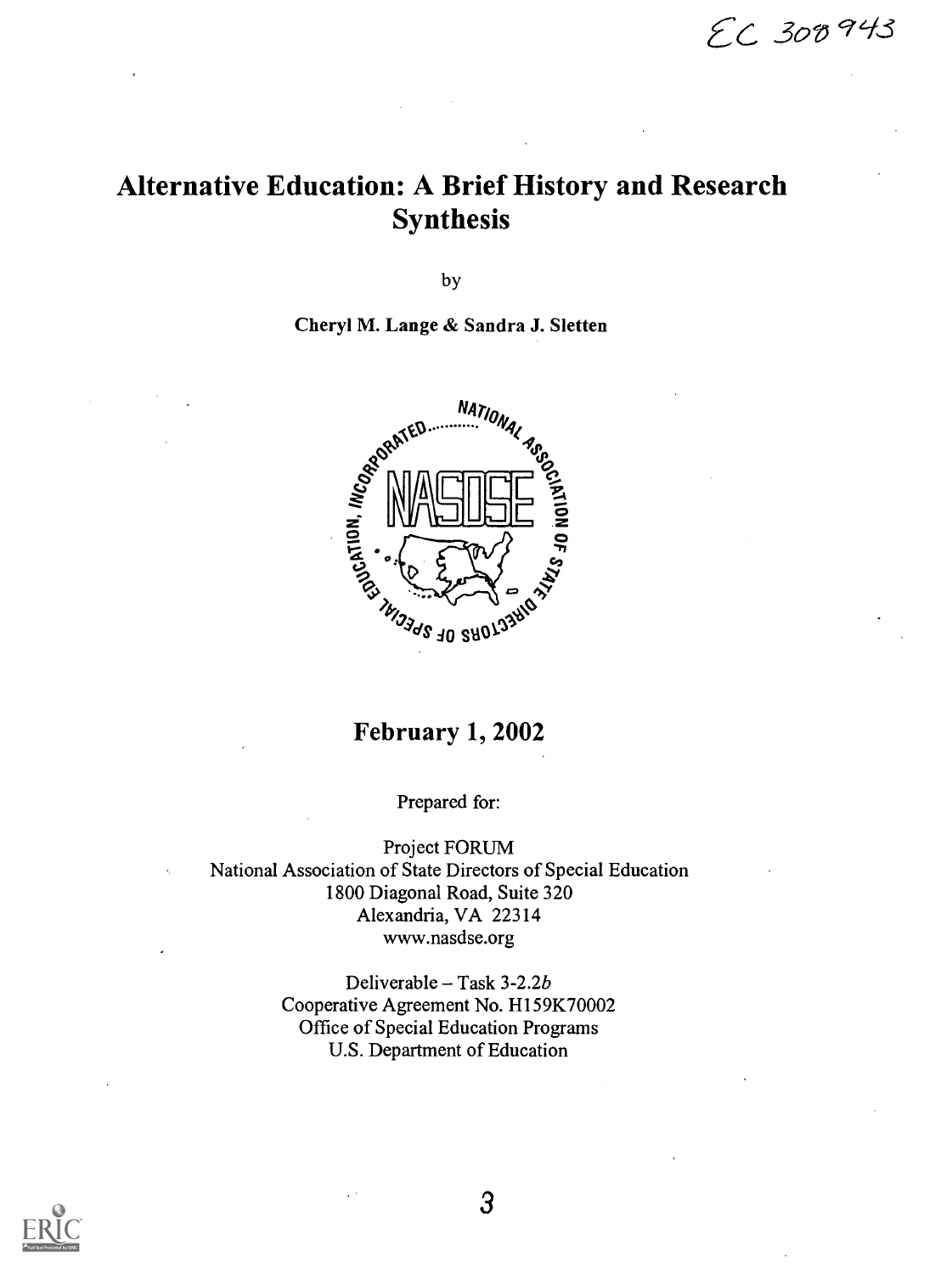## Alternative Education: A Brief History and Research Synthesis

by

Cheryl M. Lange & Sandra J. Sletten



## February 1, 2002

Prepared for:

Project FORUM National Association of State Directors of Special Education 1800 Diagonal Road, Suite 320 Alexandria, VA 22314 www.nasdse.org

> Deliverable - Task  $3-2.2b$ Cooperative Agreement No. H159K70002 Office of Special Education Programs U.S. Department of Education



3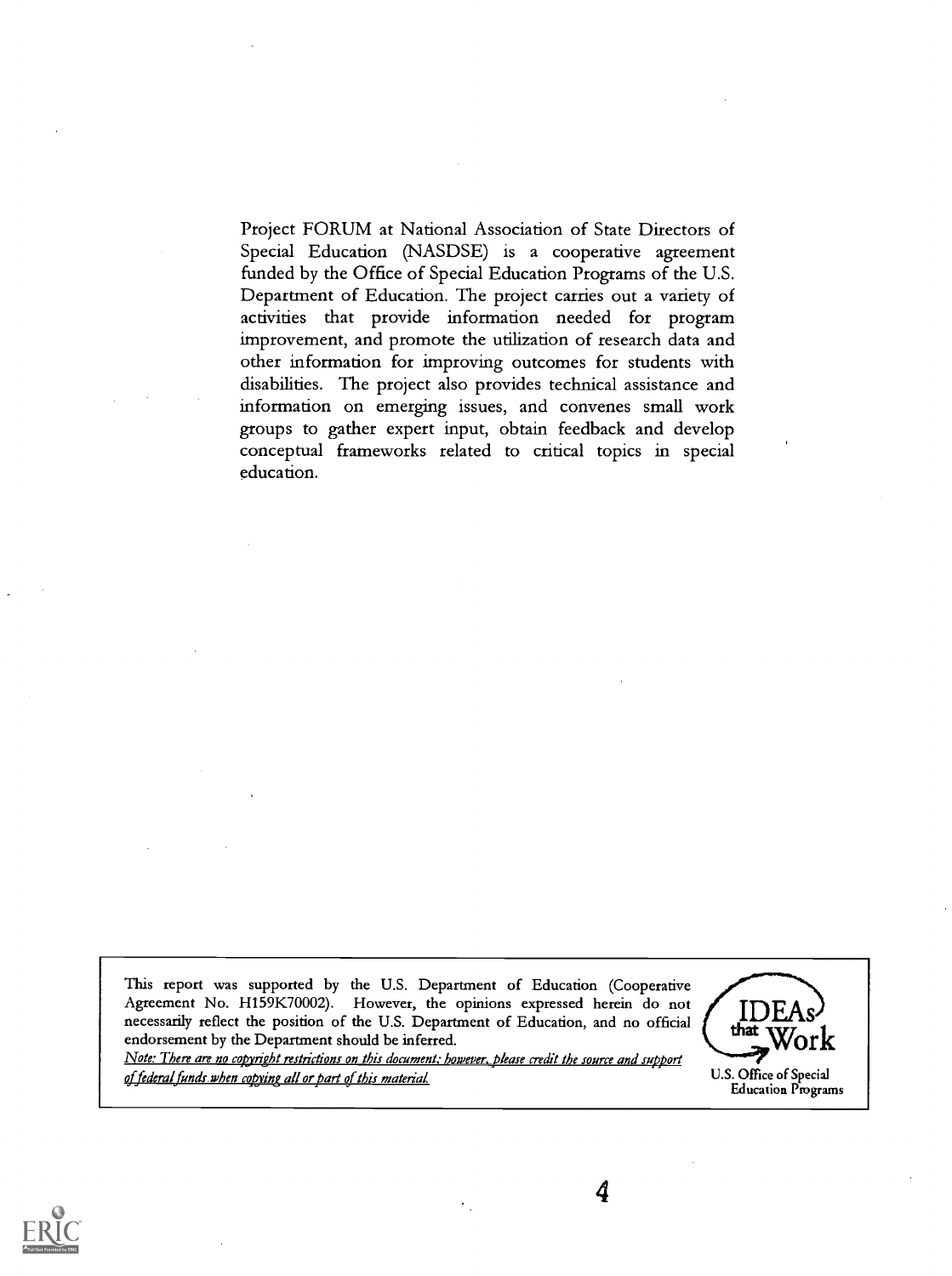Project FORUM at National Association of State Directors of Special Education (NASDSE) is a cooperative agreement funded by the Office of Special Education Programs of the U.S. Department of Education. The project carries out a variety of activities that provide information needed for program improvement, and promote the utilization of research data and other information for improving outcomes for students with disabilities. The project also provides technical assistance and information on emerging issues, and convenes small work groups to gather expert input, obtain feedback and develop conceptual frameworks related to critical topics in special education.

This report was supported by the U.S. Department of Education (Cooperative Agreement No. H159K70002). However, the opinions expressed herein do not necessarily reflect the position of the U.S. Department of Education, and no official endorsement by the Department should be inferred.

Note: There are no copyright restrictions on this document: however, please credit the source and support<br>of federal funds when copying all or part of this material of federal funds when copying all or part of this material.





4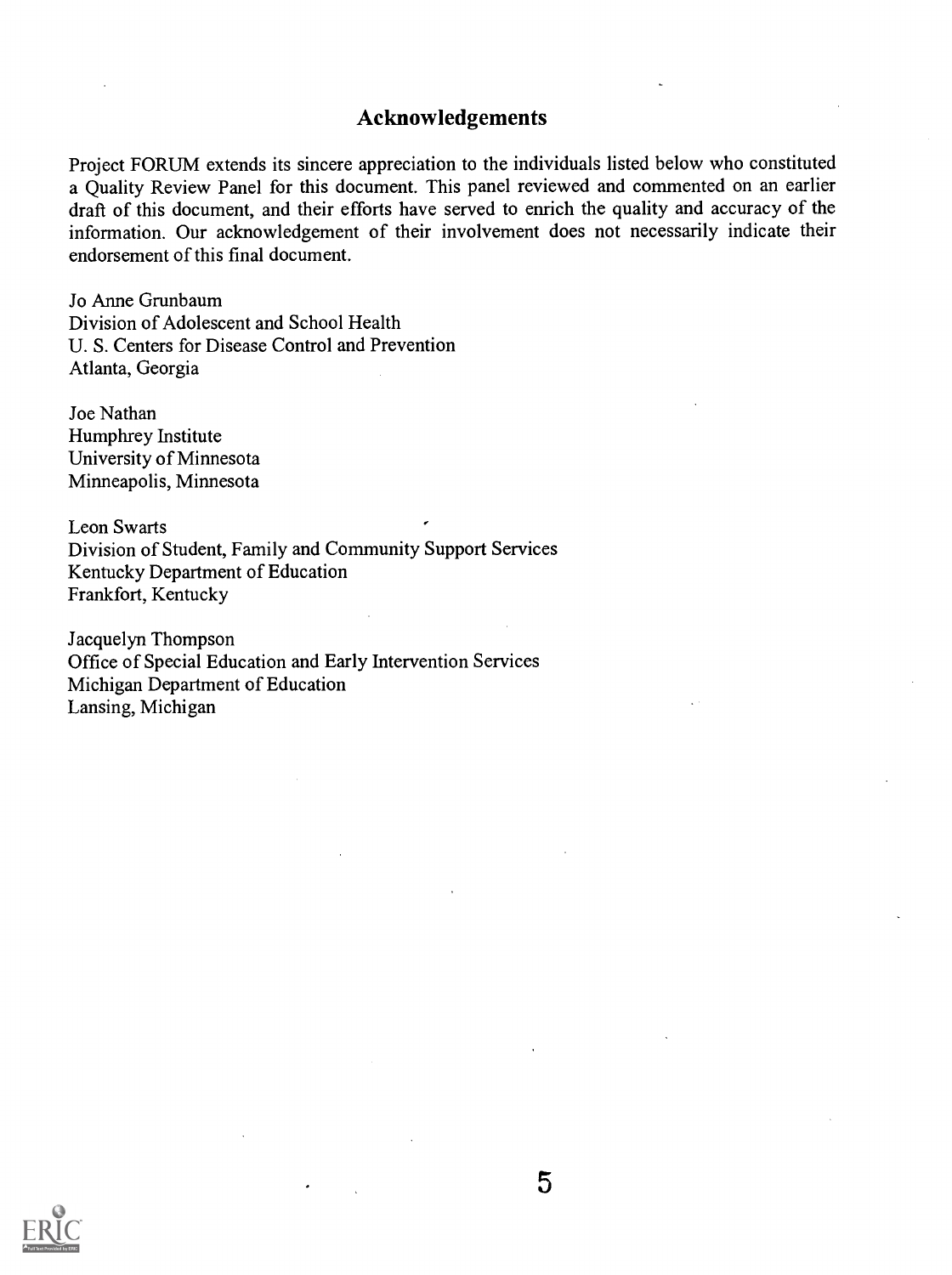#### Acknowledgements

Project FORUM extends its sincere appreciation to the individuals listed below who constituted a Quality Review Panel for this document. This panel reviewed and commented on an earlier draft of this document, and their efforts have served to enrich the quality and accuracy of the information. Our acknowledgement of their involvement does not necessarily indicate their endorsement of this final document.

Jo Anne Grunbaum Division of Adolescent and School Health U. S. Centers for Disease Control and Prevention Atlanta, Georgia

Joe Nathan Humphrey Institute University of Minnesota Minneapolis, Minnesota

Leon Swarts Division of Student, Family and Community Support Services Kentucky Department of Education Frankfort, Kentucky

Jacquelyn Thompson Office of Special Education and Early Intervention Services Michigan Department of Education Lansing, Michigan

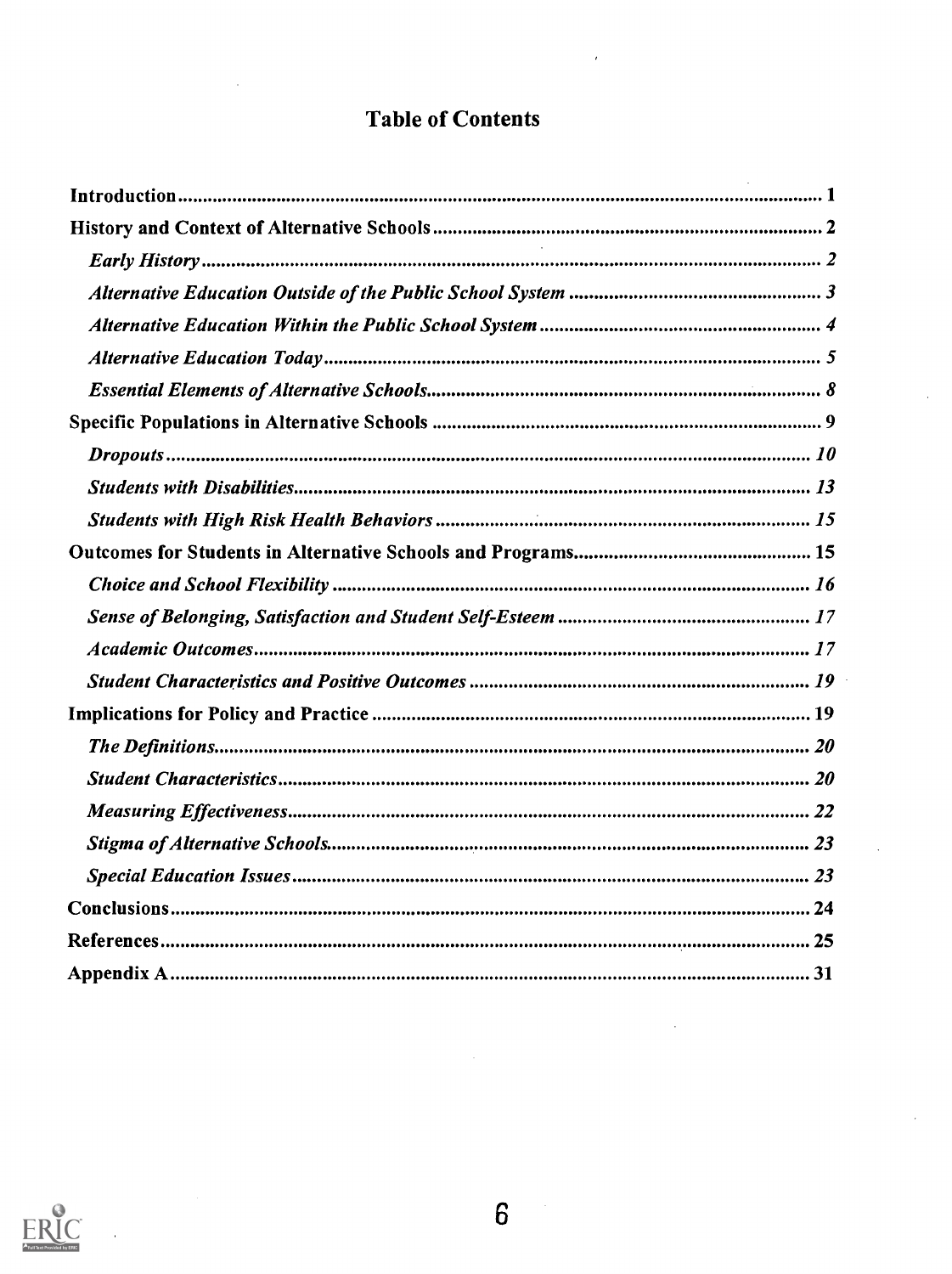## Table of Contents

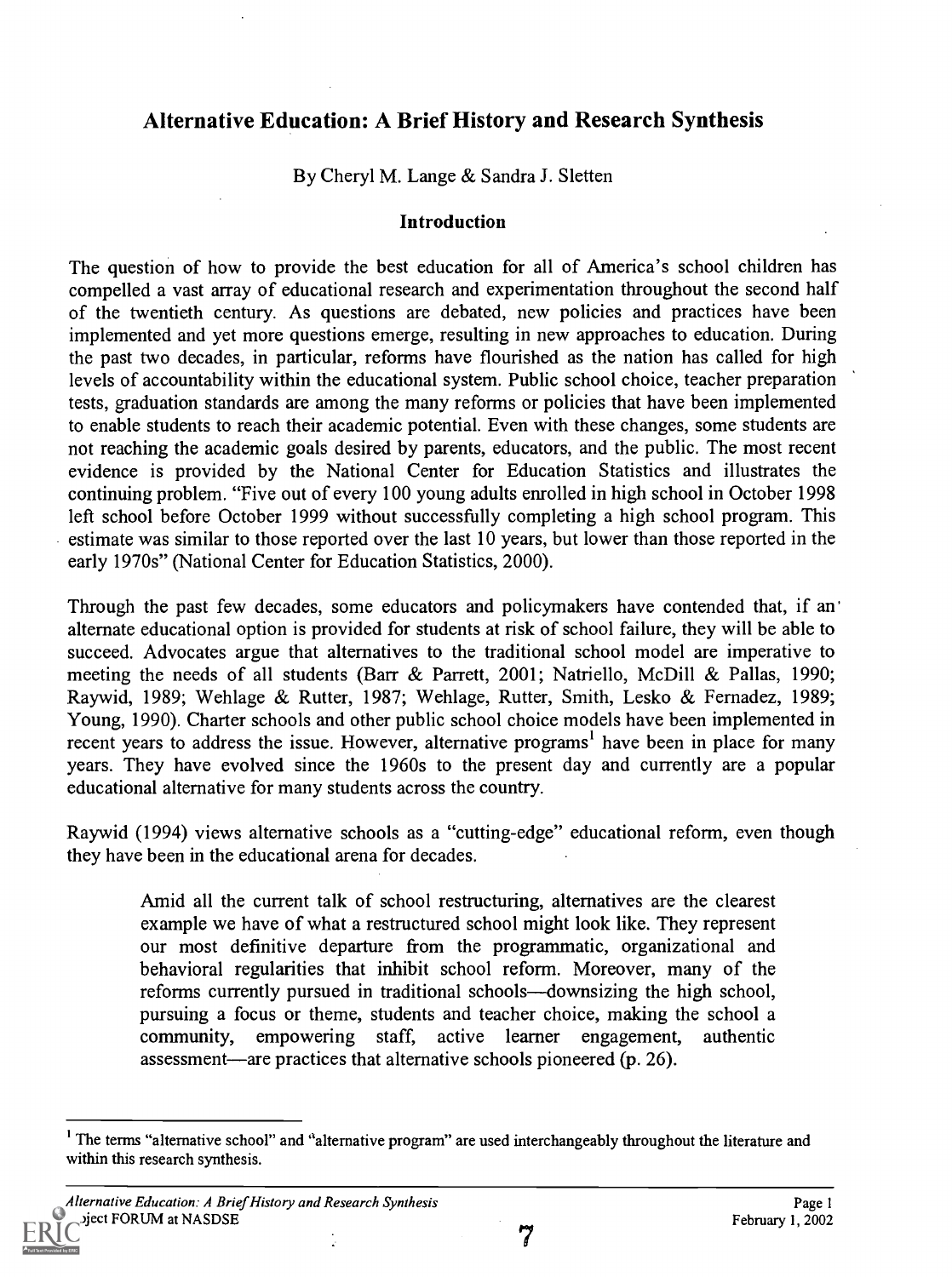## Alternative Education: A Brief History and Research Synthesis

By Cheryl M. Lange & Sandra J. Sletten

#### Introduction

The question of how to provide the best education for all of America's school children has compelled a vast array of educational research and experimentation throughout the second half of the twentieth century. As questions are debated, new policies and practices have been implemented and yet more questions emerge, resulting in new approaches to education. During the past two decades, in particular, reforms have flourished as the nation has called for high levels of accountability within the educational system. Public school choice, teacher preparation tests, graduation standards are among the many reforms or policies that have been implemented to enable students to reach their academic potential. Even with these changes, some students are not reaching the academic goals desired by parents, educators, and the public. The most recent evidence is provided by the National Center for Education Statistics and illustrates the continuing problem. "Five out of every 100 young adults enrolled in high school in October 1998 left school before October 1999 without successfully completing a high school program. This estimate was similar to those reported over the last 10 years, but lower than those reported in the early 1970s" (National Center for Education Statistics, 2000).

Through the past few decades, some educators and policymakers have contended that, if an' alternate educational option is provided for students at risk of school failure, they will be able to succeed. Advocates argue that alternatives to the traditional school model are imperative to meeting the needs of all students (Barr & Parrett, 2001; Natriello, McDill & Pallas, 1990; Raywid, 1989; Wehlage & Rutter, 1987; Wehlage, Rutter, Smith, Lesko & Fernadez, 1989; Young, 1990). Charter schools and other public school choice models have been implemented in recent years to address the issue. However, alternative programs<sup>1</sup> have been in place for many years. They have evolved since the 1960s to the present day and currently are a popular educational alternative for many students across the country.

Raywid (1994) views alternative schools as a "cutting-edge" educational reform, even though they have been in the educational arena for decades.

Amid all the current talk of school restructuring, alternatives are the clearest example we have of what a restructured school might look like. They represent our most definitive departure from the programmatic, organizational and behavioral regularities that inhibit school reform. Moreover, many of the reforms currently pursued in traditional schools—downsizing the high school, pursuing a focus or theme, students and teacher choice, making the school a community, empowering staff, active learner engagement, authentic assessment—are practices that alternative schools pioneered  $(p. 26)$ .

<sup>&</sup>lt;sup>1</sup> The terms "alternative school" and "alternative program" are used interchangeably throughout the literature and within this research synthesis.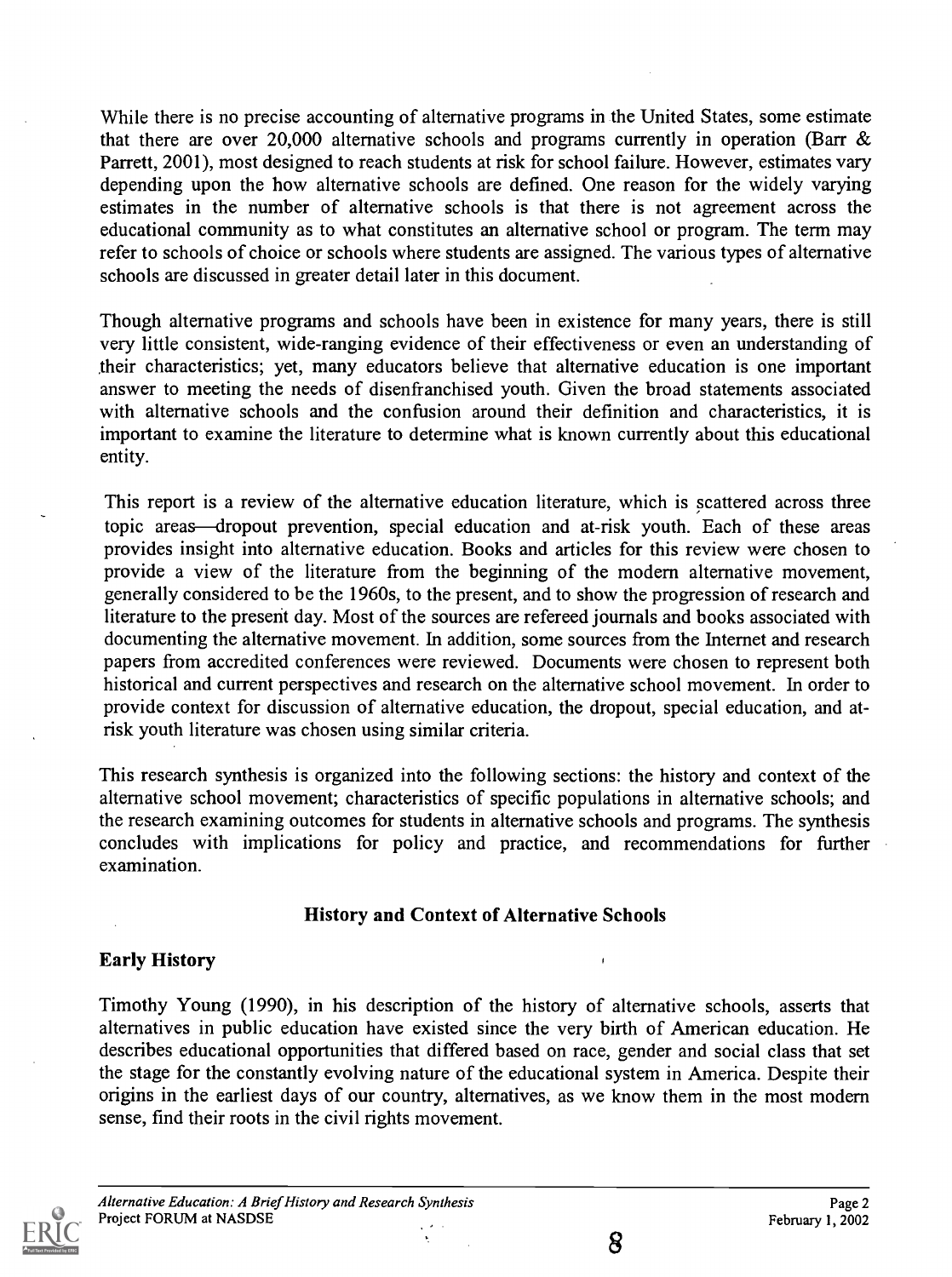While there is no precise accounting of alternative programs in the United States, some estimate that there are over 20,000 alternative schools and programs currently in operation (Barr  $\&$ Parrett, 2001), most designed to reach students at risk for school failure. However, estimates vary depending upon the how alternative schools are defined. One reason for the widely varying estimates in the number of alternative schools is that there is not agreement across the educational community as to what constitutes an alternative school or program. The term may refer to schools of choice or schools where students are assigned. The various types of alternative schools are discussed in greater detail later in this document.

Though alternative programs and schools have been in existence for many years, there is still very little consistent, wide-ranging evidence of their effectiveness or even an understanding of ,their characteristics; yet, many educators believe that alternative education is one important answer to meeting the needs of disenfranchised youth. Given the broad statements associated with alternative schools and the confusion around their definition and characteristics, it is important to examine the literature to determine what is known currently about this educational entity.

This report is a review of the alternative education literature, which is scattered across three topic areas—dropout prevention, special education and at-risk youth. Each of these areas provides insight into alternative education. Books and articles for this review were chosen to provide a view of the literature from the beginning of the modern alternative movement, generally considered to be the 1960s, to the present, and to show the progression of research and literature to the preserit day. Most of the sources are refereed journals and books associated with documenting the alternative movement. In addition, some sources from the Internet and research papers from accredited conferences were reviewed. Documents were chosen to represent both historical and current perspectives and research on the alternative school movement. In order to provide context for discussion of alternative education, the dropout, special education, and atrisk youth literature was chosen using similar criteria.

This research synthesis is organized into the following sections: the history and context of the alternative school movement; characteristics of specific populations in alternative schools; and the research examining outcomes for students in alternative schools and programs. The synthesis concludes with implications for policy and practice, and recommendations for further examination.

## History and Context of Alternative Schools

## Early History

Timothy Young (1990), in his description of the history of alternative schools, asserts that alternatives in public education have existed since the very birth of American education. He describes educational opportunities that differed based on race, gender and social class that set the stage for the constantly evolving nature of the educational system in America. Despite their origins in the earliest days of our country, alternatives, as we know them in the most modern sense, find their roots in the civil rights movement.

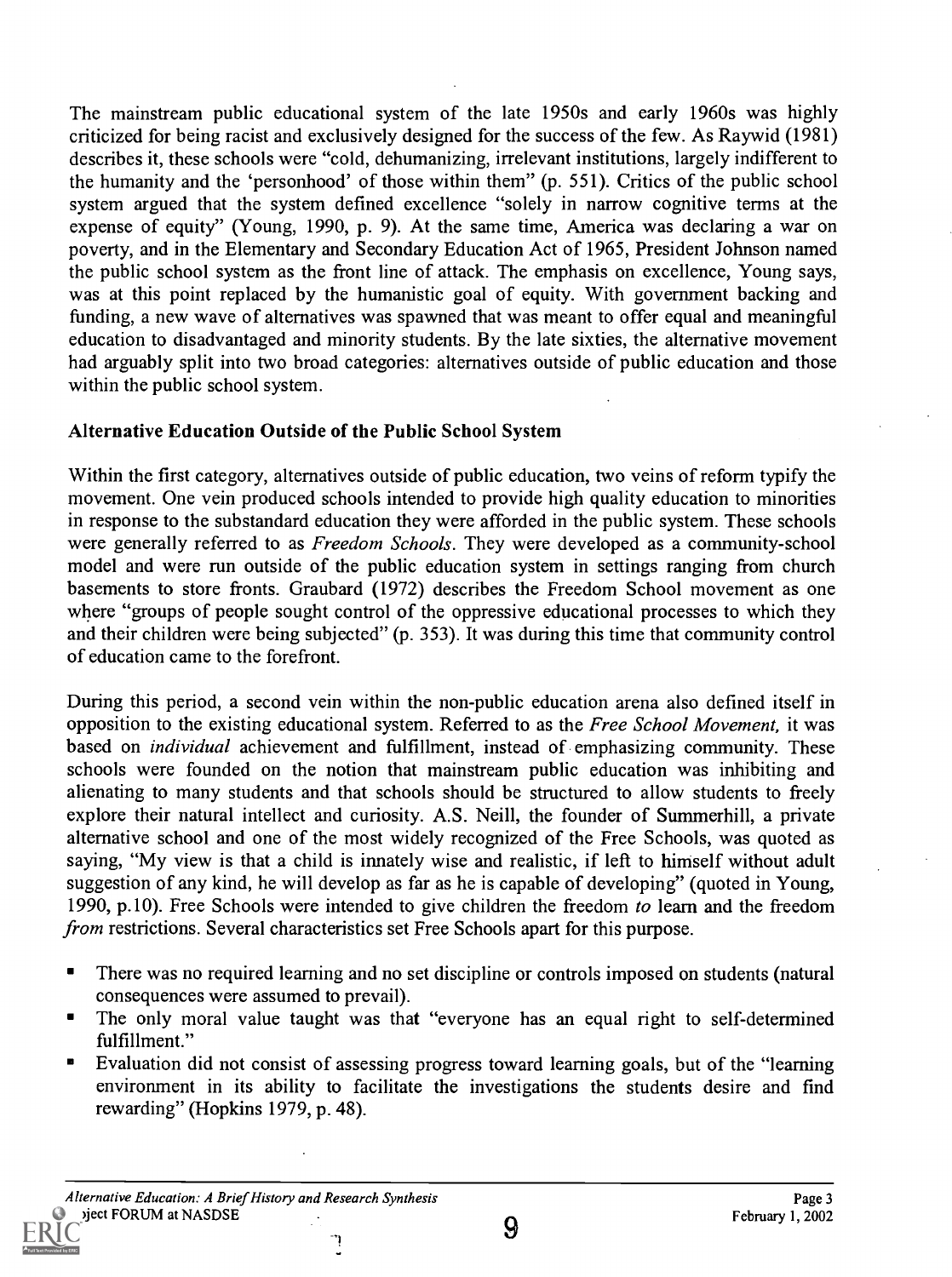The mainstream public educational system of the late 1950s and early 1960s was highly criticized for being racist and exclusively designed for the success of the few. As Raywid (1981) describes it, these schools were "cold, dehumanizing, irrelevant institutions, largely indifferent to the humanity and the 'personhood' of those within them" (p. 551). Critics of the public school system argued that the system defined excellence "solely in narrow cognitive terms at the expense of equity" (Young, 1990, p. 9). At the same time, America was declaring a war on poverty, and in the Elementary and Secondary Education Act of 1965, President Johnson named the public school system as the front line of attack. The emphasis on excellence, Young says, was at this point replaced by the humanistic goal of equity. With government backing and funding, a new wave of alternatives was spawned that was meant to offer equal and meaningful education to disadvantaged and minority students. By the late sixties, the alternative movement had arguably split into two broad categories: alternatives outside of public education and those within the public school system.

## Alternative Education Outside of the Public School System

Within the first category, alternatives outside of public education, two veins of reform typify the movement. One vein produced schools intended to provide high quality education to minorities in response to the substandard education they were afforded in the public system. These schools were generally referred to as Freedom Schools. They were developed as a community-school model and were run outside of the public education system in settings ranging from church basements to store fronts. Graubard (1972) describes the Freedom School movement as one where "groups of people sought control of the oppressive educational processes to which they and their children were being subjected" (p. 353). It was during this time that community control of education came to the forefront.

During this period, a second vein within the non-public education arena also defined itself in opposition to the existing educational system. Referred to as the Free School Movement, it was based on *individual* achievement and fulfillment, instead of emphasizing community. These schools were founded on the notion that mainstream public education was inhibiting and alienating to many students and that schools should be structured to allow students to freely explore their natural intellect and curiosity. A.S. Neill, the founder of Summerhill, a private alternative school and one of the most widely recognized of the Free Schools, was quoted as saying, "My view is that a child is innately wise and realistic, if left to himself without adult suggestion of any kind, he will develop as far as he is capable of developing" (quoted in Young, 1990, p.10). Free Schools were intended to give children the freedom to learn and the freedom from restrictions. Several characteristics set Free Schools apart for this purpose.

- There was no required learning and no set discipline or controls imposed on students (natural consequences were assumed to prevail).
- The only moral value taught was that "everyone has an equal right to self-determined  $\blacksquare$ fulfillment."
- Evaluation did not consist of assessing progress toward learning goals, but of the "learning ø environment in its ability to facilitate the investigations the students desire and find rewarding" (Hopkins 1979, p. 48).

٦

9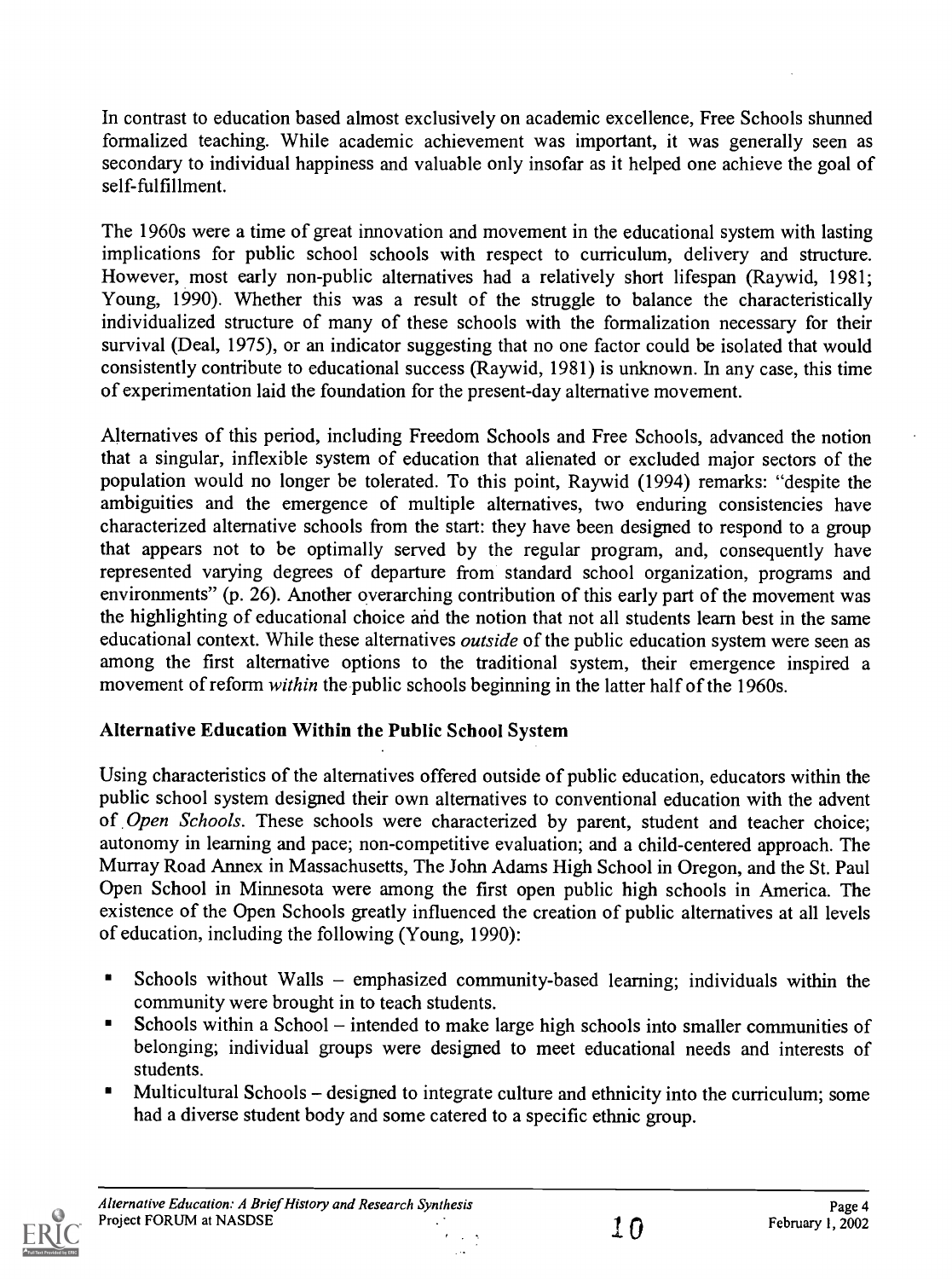In contrast to education based almost exclusively on academic excellence, Free Schools shunned formalized teaching. While academic achievement was important, it was generally seen as secondary to individual happiness and valuable only insofar as it helped one achieve the goal of self-fulfillment.

The 1960s were a time of great innovation and movement in the educational system with lasting implications for public school schools with respect to curriculum, delivery and structure. However, most early non-public alternatives had a relatively short lifespan (Raywid, 1981; Young, 1990). Whether this was a result of the struggle to balance the characteristically individualized structure of many of these schools with the formalization necessary for their survival (Deal, 1975), or an indicator suggesting that no one factor could be isolated that would consistently contribute to educational success (Raywid, 1981) is unknown. In any case, this time of experimentation laid the foundation for the present-day alternative movement.

Alternatives of this period, including Freedom Schools and Free Schools, advanced the notion that a singular, inflexible system of education that alienated or excluded major sectors of the population would no longer be tolerated. To this point, Raywid (1994) remarks: "despite the ambiguities and the emergence of multiple alternatives, two enduring consistencies have characterized alternative schools from the start: they have been designed to respond to a group that appears not to be optimally served by the regular program, and, consequently have represented varying degrees of departure from standard school organization, programs and environments" (p. 26). Another overarching contribution of this early part of the movement was the highlighting of educational choice and the notion that not all students learn best in the same educational context. While these alternatives *outside* of the public education system were seen as among the first alternative options to the traditional system, their emergence inspired a movement of reform within the public schools beginning in the latter half of the 1960s.

## Alternative Education Within the Public School System

Using characteristics of the alternatives offered outside of public education, educators within the public school system designed their own alternatives to conventional education with the advent of Open Schools. These schools were characterized by parent, student and teacher choice; autonomy in learning and pace; non-competitive evaluation; and a child-centered approach. The Murray Road Annex in Massachusetts, The John Adams High School in Oregon, and the St. Paul Open School in Minnesota were among the first open public high schools in America. The existence of the Open Schools greatly influenced the creation of public alternatives at all levels of education, including the following (Young, 1990):

- $\blacksquare$ Schools without Walls  $-$  emphasized community-based learning; individuals within the community were brought in to teach students.
- Schools within a School intended to make large high schools into smaller communities of belonging; individual groups were designed to meet educational needs and interests of students.
- Multicultural Schools designed to integrate culture and ethnicity into the curriculum; some  $\blacksquare$ had a diverse student body and some catered to a specific ethnic group.

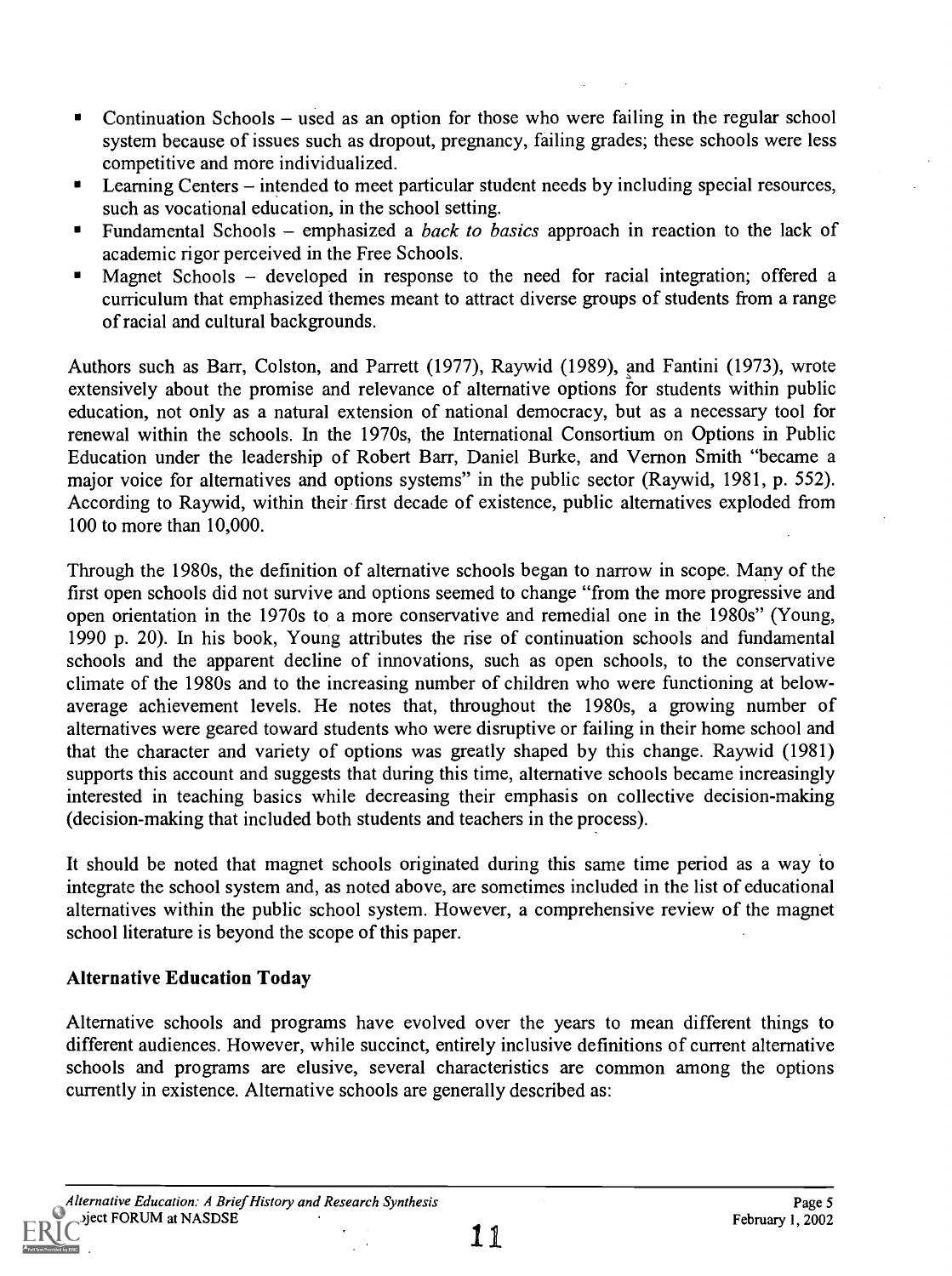- $\blacksquare$ Learning Centers  $-$  intended to meet particular student needs by including special resources, such as vocational education, in the school setting.
- Fundamental Schools emphasized a *back to basics* approach in reaction to the lack of  $\blacksquare$ academic rigor perceived in the Free Schools.
- Magnet Schools  $-$  developed in response to the need for racial integration; offered a  $\blacksquare$ curriculum that emphasized themes meant to attract diverse groups of students from a range of racial and cultural backgrounds.

Authors such as Barr, Colston, and Parrett (1977), Raywid (1989), and Fantini (1973), wrote extensively about the promise and relevance of alternative options for students within public education, not only as a natural extension of national democracy, but as a necessary tool for renewal within the schools. In the 1970s, the International Consortium on Options in Public Education under the leadership of Robert Barr, Daniel Burke, and Vernon Smith "became a major voice for alternatives and options systems" in the public sector (Raywid, 1981, p. 552). According to Raywid, within their first decade of existence, public alternatives exploded from 100 to more than 10,000.

Through the 1980s, the definition of alternative schools began to narrow in scope. Many of the first open schools did not survive and options seemed to change "from the more progressive and open orientation in the 1970s to a more conservative and remedial one in the 1980s" (Young, 1990 p. 20). In his book, Young attributes the rise of continuation schools and fundamental schools and the apparent decline of innovations, such as open schools, to the conservative climate of the 1980s and to the increasing number of children who were functioning at belowaverage achievement levels. He notes that, throughout the 1980s, a growing number of alternatives were geared toward students who were disruptive or failing in their home school and that the character and variety of options was greatly shaped by this change. Raywid (1981) supports this account and suggests that during this time, alternative schools became increasingly interested in teaching basics while decreasing their emphasis on collective decision-making (decision-making that included both students and teachers in the process).

It should be noted that magnet schools originated during this same time period as a way to integrate the school system and, as noted above, are sometimes included in the list of educational alternatives within the public school system. However, a comprehensive review of the magnet school literature is beyond the scope of this paper.

## Alternative Education Today

Alternative schools and programs have evolved over the years to mean different things to different audiences. However, while succinct, entirely inclusive definitions of current alternative schools and programs are elusive, several characteristics are common among the options currently in existence. Alternative schools are generally described as:

1 1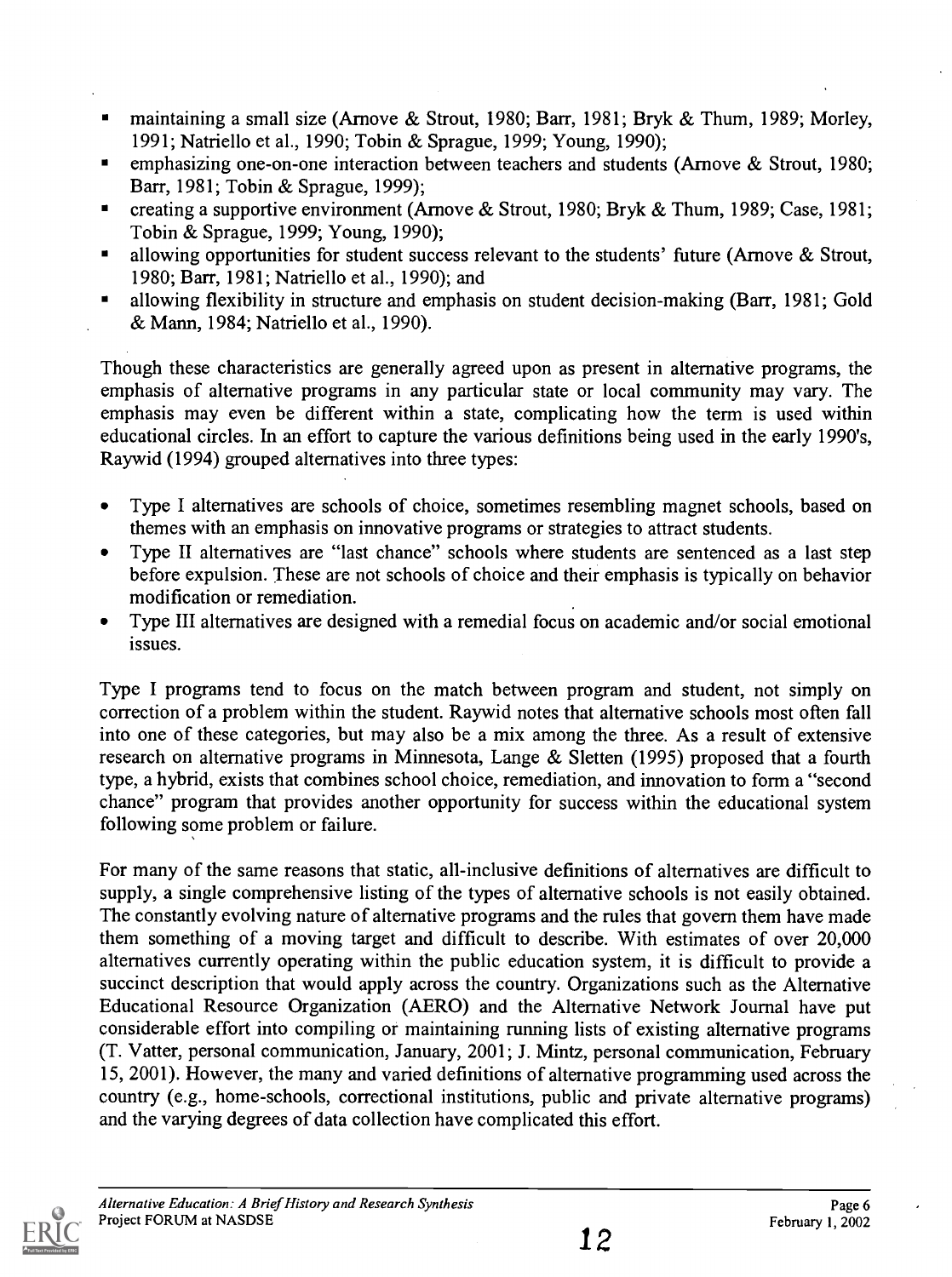- maintaining a small size (Arnove & Strout, 1980; Barr, 1981; Bryk & Thum, 1989; Morley,  $\blacksquare$ 1991; Natriello et al., 1990; Tobin & Sprague, 1999; Young, 1990);
- emphasizing one-on-one interaction between teachers and students (Arnove & Strout, 1980; Barr, 1981; Tobin & Sprague, 1999);
- creating a supportive environment (Arnove & Strout, 1980; Bryk & Thum, 1989; Case, 1981; Tobin & Sprague, 1999; Young, 1990);
- allowing opportunities for student success relevant to the students' future (Arnove & Strout, 1980; Barr, 1981; Natriello et al., 1990); and
- allowing flexibility in structure and emphasis on student decision-making (Barr, 1981; Gold & Mann, 1984; Natriello et al., 1990).

Though these characteristics are generally agreed upon as present in alternative programs, the emphasis of alternative programs in any particular state or local community may vary. The emphasis may even be different within a state, complicating how the term is used within educational circles. In an effort to capture the various definitions being used in the early 1990's, Raywid (1994) grouped alternatives into three types:

- Type I alternatives are schools of choice, sometimes resembling magnet schools, based on themes with an emphasis on innovative programs or strategies to attract students.
- Type II alternatives are "last chance" schools where students are sentenced as a last step before expulsion. These are not schools of choice and their emphasis is typically on behavior modification or remediation.
- Type III alternatives are designed with a remedial focus on academic and/or social emotional issues.

Type I programs tend to focus on the match between program and student, not simply on correction of a problem within the student. Raywid notes that alternative schools most often fall into one of these categories, but may also be a mix among the three. As a result of extensive research on alternative programs in Minnesota, Lange & Sletten (1995) proposed that a fourth type, a hybrid, exists that combines school choice, remediation, and innovation to form a "second chance" program that provides another opportunity for success within the educational system following some problem or failure.

For many of the same reasons that static, all-inclusive definitions of alternatives are difficult to supply, a single comprehensive listing of the types of alternative schools is not easily obtained. The constantly evolving nature of alternative programs and the rules that govern them have made them something of a moving target and difficult to describe. With estimates of over 20,000 alternatives currently operating within the public education system, it is difficult to provide a succinct description that would apply across the country. Organizations such as the Alternative Educational Resource Organization (AERO) and the Alternative Network Journal have put considerable effort into compiling or maintaining running lists of existing alternative programs (T. Vatter, personal communication, January, 2001; J. Mintz, personal communication, February 15, 2001). However, the many and varied definitions of alternative programming used across the country (e.g., home-schools, correctional institutions, public and private alternative programs) and the varying degrees of data collection have complicated this effort.

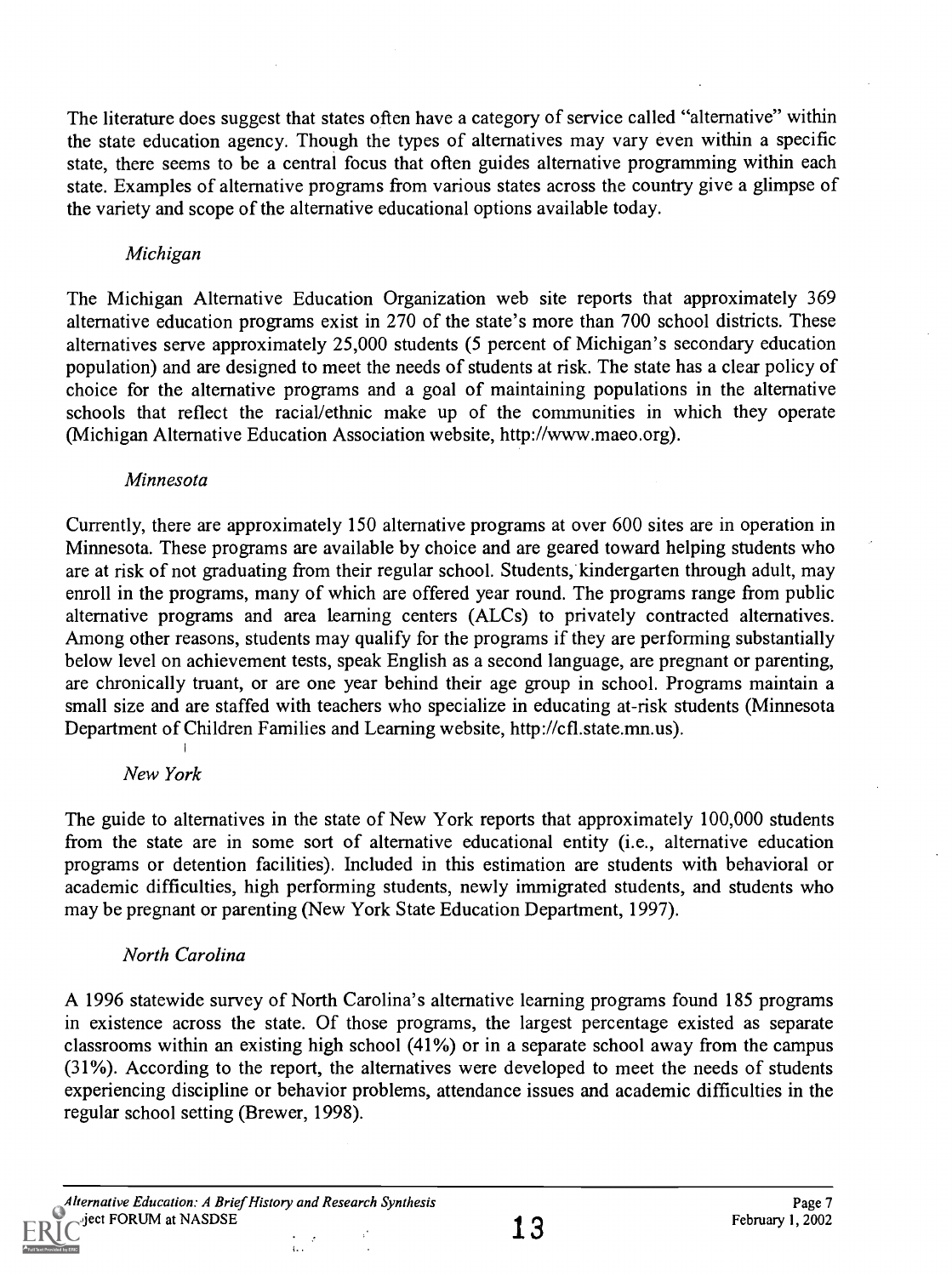The literature does suggest that states often have a category of service called "alternative" within the state education agency. Though the types of alternatives may vary even within a specific state, there seems to be a central focus that often guides alternative programming within each state. Examples of alternative programs from various states across the country give a glimpse of the variety and scope of the alternative educational options available today.

## Michigan

The Michigan Alternative Education Organization web site reports that approximately 369 alternative education programs exist in 270 of the state's more than 700 school districts. These alternatives serve approximately 25,000 students (5 percent of Michigan's secondary education population) and are designed to meet the needs of students at risk. The state has a clear policy of choice for the alternative programs and a goal of maintaining populations in the alternative schools that reflect the racial/ethnic make up of the communities in which they operate (Michigan Alternative Education Association website, http://www.maeo.org).

## Minnesota

Currently, there are approximately 150 alternative programs at over 600 sites are in operation in Minnesota. These programs are available by choice and are geared toward helping students who are at risk of not graduating from their regular school. Students, kindergarten through adult, may enroll in the programs, many of which are offered year round. The programs range from public alternative programs and area learning centers (ALCs) to privately contracted alternatives. Among other reasons, students may qualify for the programs if they are performing substantially below level on achievement tests, speak English as a second language, are pregnant or parenting, are chronically truant, or are one year behind their age group in school. Programs maintain a small size and are staffed with teachers who specialize in educating at-risk students (Minnesota Department of Children Families and Learning website, http://cfl.state.nm.us).

## New York

The guide to alternatives in the state of New York reports that approximately 100,000 students from the state are in some sort of alternative educational entity (i.e., alternative education programs or detention facilities). Included in this estimation are students with behavioral or academic difficulties, high performing students, newly immigrated students, and students who may be pregnant or parenting (New York State Education Department, 1997).

## North Carolina

A 1996 statewide survey of North Carolina's alternative learning programs found 185 programs in existence across the state. Of those programs, the largest percentage existed as separate classrooms within an existing high school (41%) or in a separate school away from the campus (31%). According to the report, the alternatives were developed to meet the needs of students experiencing discipline or behavior problems, attendance issues and academic difficulties in the regular school setting (Brewer, 1998).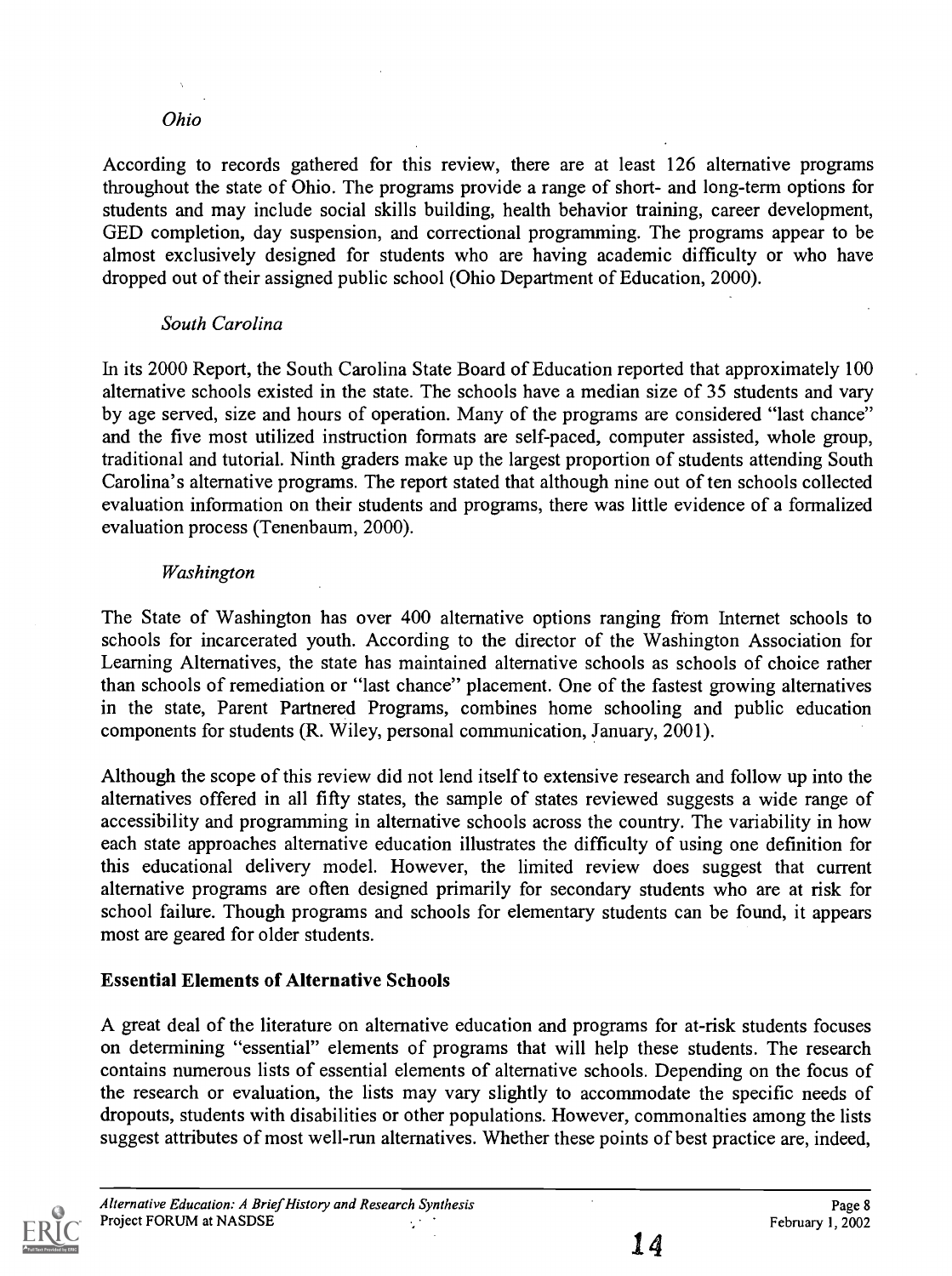#### Ohio

According to records gathered for this review, there are at least 126 alternative programs throughout the state of Ohio. The programs provide a range of short- and long-term options for students and may include social skills building, health behavior training, career development, GED completion, day suspension, and correctional programming. The programs appear to be almost exclusively designed for students who are having academic difficulty or who have dropped out of their assigned public school (Ohio Department of Education, 2000).

## South Carolina

In its 2000 Report, the South Carolina State Board of Education reported that approximately 100 alternative schools existed in the state. The schools have a median size of 35 students and vary by age served, size and hours of operation. Many of the programs are considered "last chance" and the five most utilized instruction formats are self-paced, computer assisted, whole group, traditional and tutorial. Ninth graders make up the largest proportion of students attending South Carolina's alternative programs. The report stated that although nine out of ten schools collected evaluation information on their students and programs, there was little evidence of a formalized evaluation process (Tenenbaum, 2000).

#### Washington

The State of Washington has over 400 alternative options ranging from Internet schools to schools for incarcerated youth. According to the director of the Washington Association for Learning Alternatives, the state has maintained alternative schools as schools of choice rather than schools of remediation or "last chance" placement. One of the fastest growing alternatives in the state, Parent Partnered Programs, combines home schooling and public education components for students (R. Wiley, personal communication, January, 2001).

Although the scope of this review did not lend itself to extensive research and follow up into the alternatives offered in all fifty states, the sample of states reviewed suggests a wide range of accessibility and programming in alternative schools across the country. The variability in how each state approaches alternative education illustrates the difficulty of using one definition for this educational delivery model. However, the limited review does suggest that current alternative programs are often designed primarily for secondary students who are at risk for school failure. Though programs and schools for elementary students can be found, it appears most are geared for older students.

## Essential Elements of Alternative Schools

A great deal of the literature on alternative education and programs for at-risk students focuses on determining "essential" elements of programs that will help these students. The research contains numerous lists of essential elements of alternative schools. Depending on the focus of the research or evaluation, the lists may vary slightly to accommodate the specific needs of dropouts, students with disabilities or other populations. However, commonalties among the lists suggest attributes of most well-run alternatives. Whether these points of best practice are, indeed,

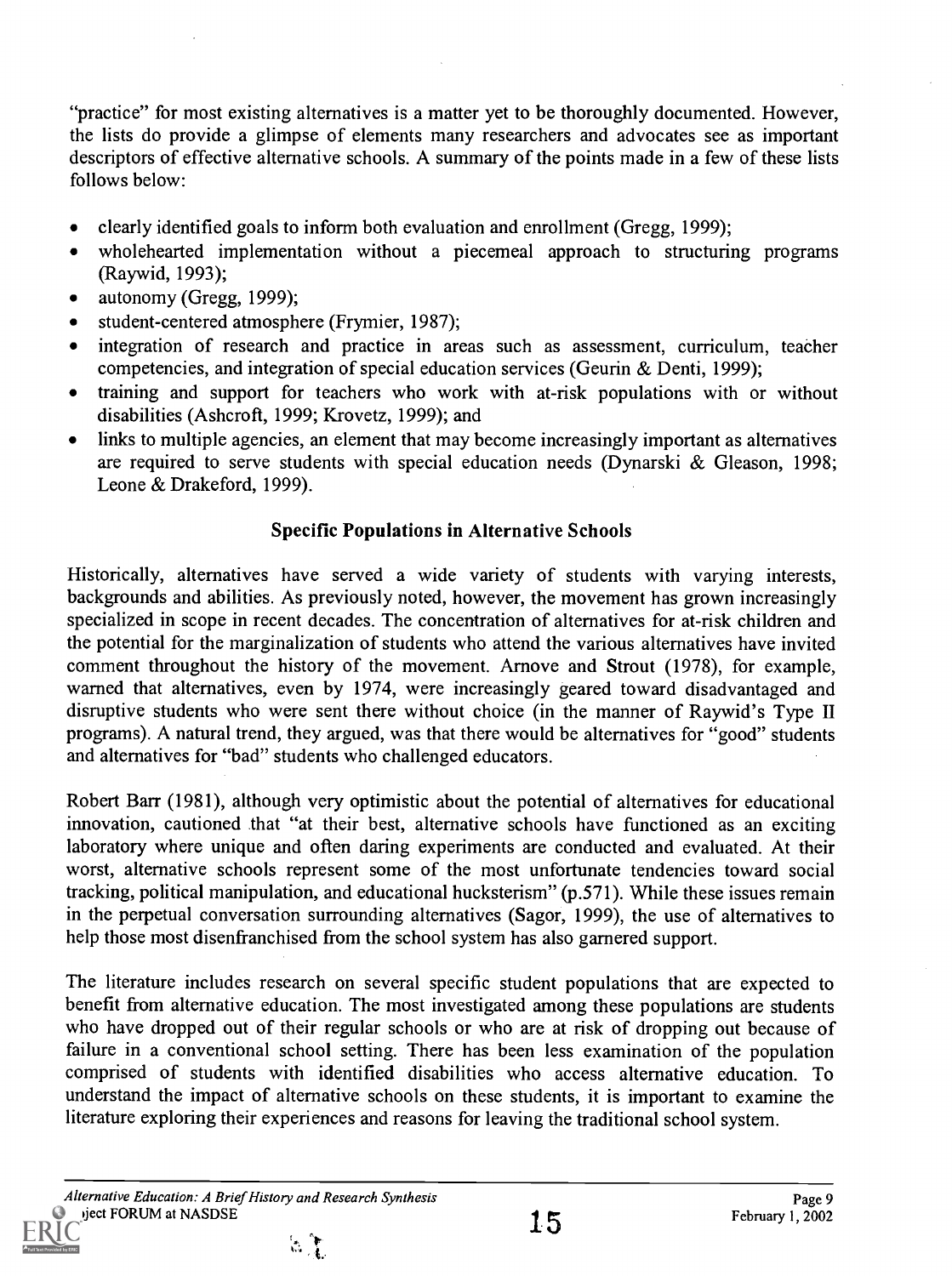"practice" for most existing alternatives is a matter yet to be thoroughly documented. However, the lists do provide a glimpse of elements many researchers and advocates see as important descriptors of effective alternative schools. A summary of the points made in a few of these lists follows below:

- clearly identified goals to inform both evaluation and enrollment (Gregg, 1999);  $\bullet$
- wholehearted implementation without a piecemeal approach to structuring programs (Raywid, 1993);
- autonomy (Gregg, 1999);  $\bullet$
- student-centered atmosphere (Frymier, 1987);  $\bullet$
- integration of research and practice in areas such as assessment, curriculum, teacher  $\bullet$ competencies, and integration of special education services (Geurin & Denti, 1999);
- training and support for teachers who work with at-risk populations with or without  $\bullet$ disabilities (Ashcroft, 1999; Krovetz, 1999); and
- links to multiple agencies, an element that may become increasingly important as alternatives  $\bullet$ are required to serve students with special education needs (Dynarski & Gleason, 1998; Leone & Drakeford, 1999).

## Specific Populations in Alternative Schools

Historically, alternatives have served a wide variety of students with varying interests, backgrounds and abilities. As previously noted, however, the movement has grown increasingly specialized in scope in recent decades. The concentration of alternatives for at-risk children and the potential for the marginalization of students who attend the various alternatives have invited comment throughout the history of the movement. Arnove and Strout (1978), for example, warned that alternatives, even by 1974, were increasingly geared toward disadvantaged and disruptive students who were sent there without choice (in the manner of Raywid's Type II programs). A natural trend, they argued, was that there would be alternatives for "good" students and alternatives for "bad" students who challenged educators.

Robert Barr (1981), although very optimistic about the potential of alternatives for educational innovation, cautioned that "at their best, alternative schools have functioned as an exciting laboratory where unique and often daring experiments are conducted and evaluated. At their worst, alternative schools represent some of the most unfortunate tendencies toward social tracking, political manipulation, and educational hucksterism" (p.571). While these issues remain in the perpetual conversation surrounding alternatives (Sagor, 1999), the use of alternatives to help those most disenfranchised from the school system has also garnered support.

The literature includes research on several specific student populations that are expected to benefit from alternative education. The most investigated among these populations are students who have dropped out of their regular schools or who are at risk of dropping out because of failure in a conventional school setting. There has been less examination of the population comprised of students with identified disabilities who access alternative education. To understand the impact of alternative schools on these students, it is important to examine the literature exploring their experiences and reasons for leaving the traditional school system.

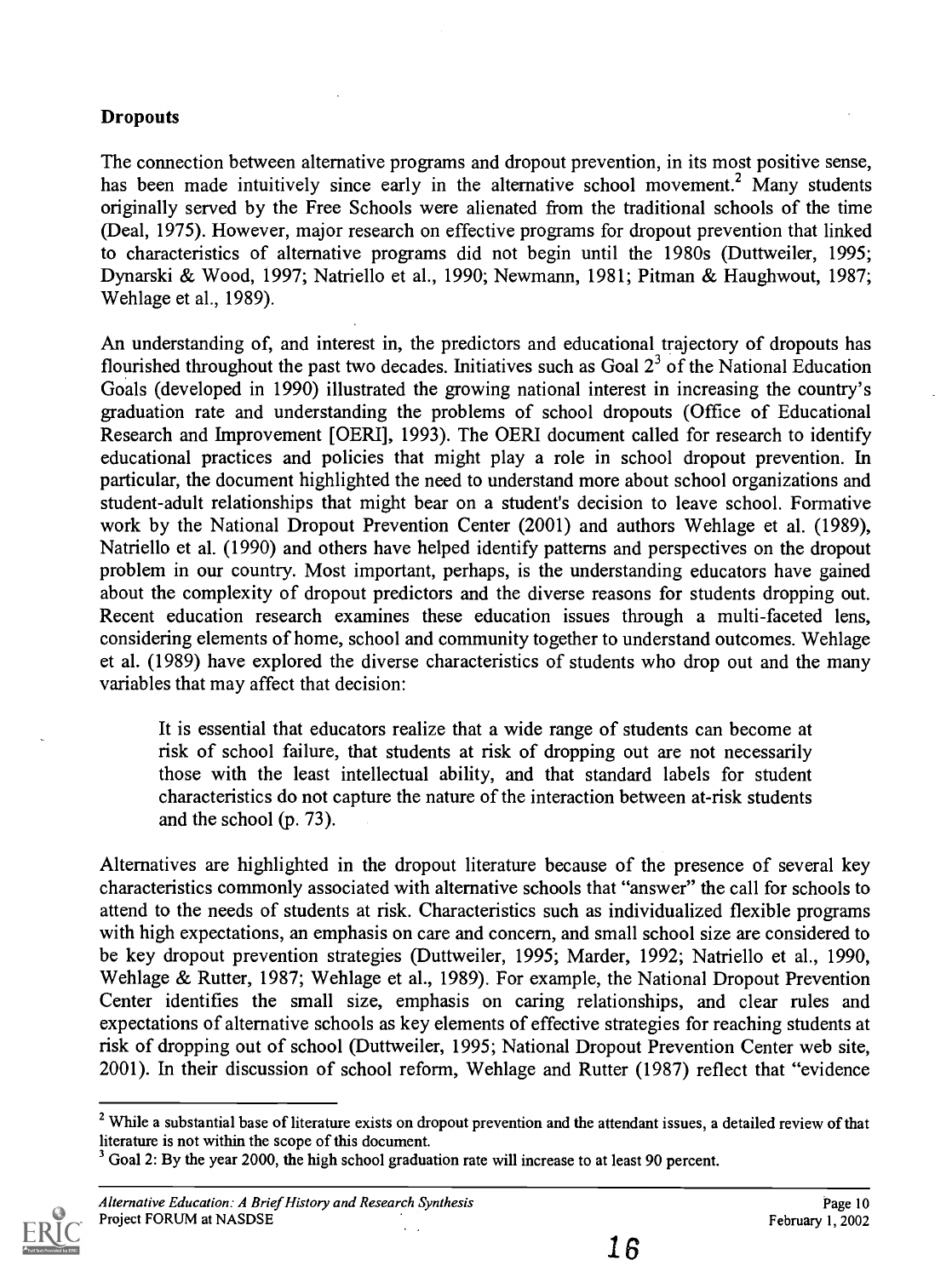## **Dropouts**

The connection between alternative programs and dropout prevention, in its most positive sense, has been made intuitively since early in the alternative school movement.<sup>2</sup> Many students originally served by the Free Schools were alienated from the traditional schools of the time (Deal, 1975). However, major research on effective progxams for dropout prevention that linked to characteristics of alternative programs did not begin until the 1980s (Duttweiler, 1995; Dynarski & Wood, 1997; Natriello et al., 1990; Newmann, 1981; Pitman & Haughwout, 1987; Wehlage et al., 1989).

An understanding of, and interest in, the predictors and educational trajectory of dropouts has flourished throughout the past two decades. Initiatives such as Goal  $2<sup>3</sup>$  of the National Education Goals (developed in 1990) illustrated the growing national interest in increasing the country's graduation rate and understanding the problems of school dropouts (Office of Educational Research and Improvement [GERI], 1993). The OERI document called for research to identify educational practices and policies that might play a role in school dropout prevention. In particular, the document highlighted the need to understand more about school organizations and student-adult relationships that might bear on a student's decision to leave school. Formative work by the National Dropout Prevention Center (2001) and authors Wehlage et al. (1989), Natriello et al. (1990) and others have helped identify patterns and perspectives on the dropout problem in our country. Most important, perhaps, is the understanding educators have gained about the complexity of dropout predictors and the diverse reasons for students dropping out. Recent education research examines these education issues through a multi-faceted lens, considering elements of home, school and community together to understand outcomes. Wehlage et al. (1989) have explored the diverse characteristics of students who drop out and the many variables that may affect that decision:

It is essential that educators realize that a wide range of students can become at risk of school failure, that students at risk of dropping out are not necessarily those with the least intellectual ability, and that standard labels for student characteristics do not capture the nature of the interaction between at-risk students and the school (p. 73).

Alternatives are highlighted in the dropout literature because of the presence of several key characteristics commonly associated with alternative schools that "answer" the call for schools to attend to the needs of students at risk. Characteristics such as individualized flexible programs with high expectations, an emphasis on care and concern, and small school size are considered to be key dropout prevention strategies (Duttweiler, 1995; Marder, 1992; Natriello et al., 1990, Wehlage & Rutter, 1987; Wehlage et al., 1989). For example, the National Dropout Prevention Center identifies the small size, emphasis on caring relationships, and clear rules and expectations of alternative schools as key elements of effective strategies for reaching students at risk of dropping out of school (Duttweiler, 1995; National Dropout Prevention Center web site, 2001). In their discussion of school reform, Wehlage and Rutter (1987) reflect that "evidence

 $3$  Goal 2: By the year 2000, the high school graduation rate will increase to at least 90 percent.



<sup>&</sup>lt;sup>2</sup> While a substantial base of literature exists on dropout prevention and the attendant issues, a detailed review of that literature is not within the scope of this document.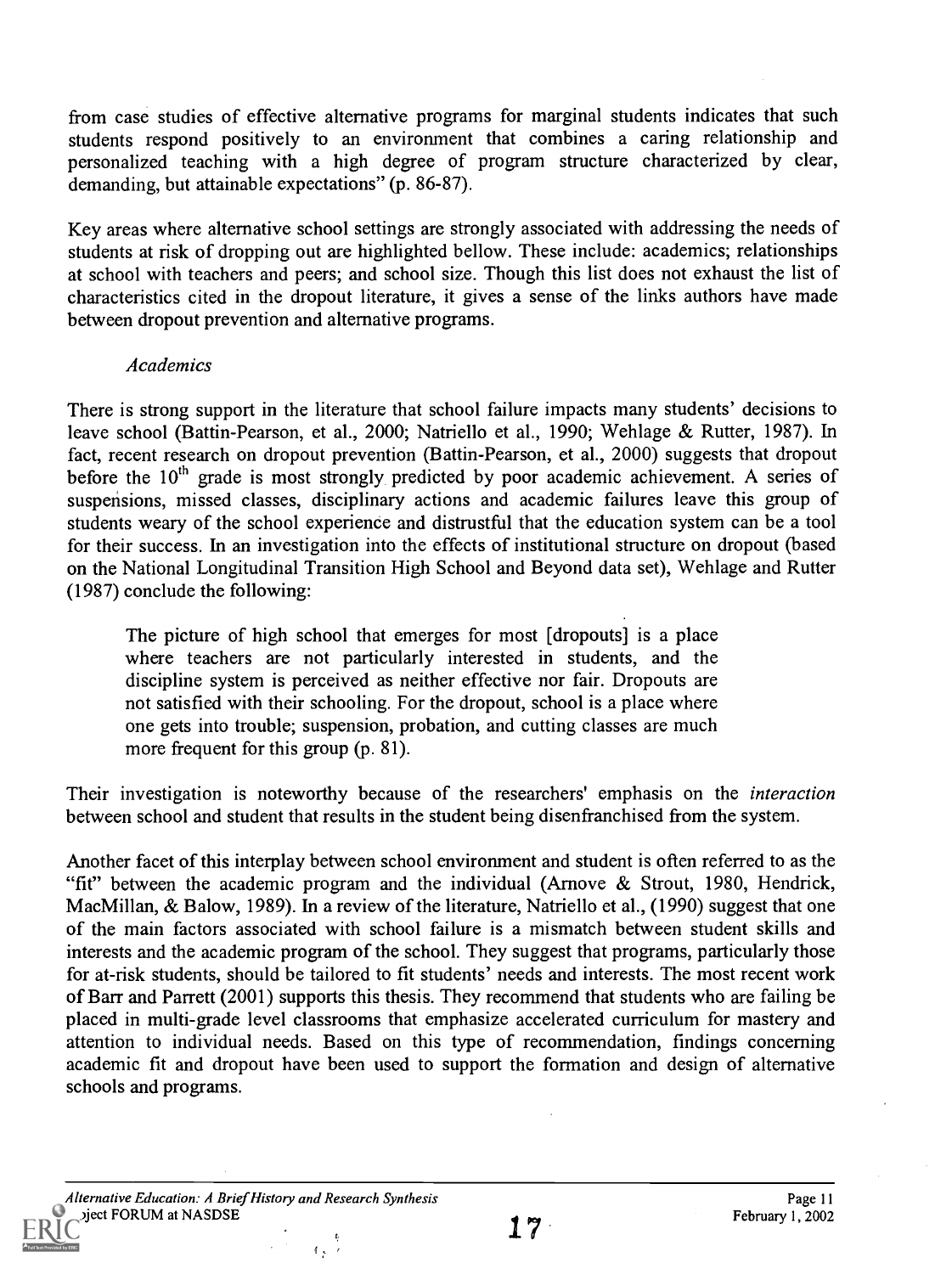from case studies of effective alternative programs for marginal students indicates that such students respond positively to an environment that combines a caring relationship and personalized teaching with a high degree of program structure characterized by clear, demanding, but attainable expectations" (p. 86-87).

Key areas where alternative school settings are strongly associated with addressing the needs of students at risk of dropping out are highlighted bellow. These include: academics; relationships at school with teachers and peers; and school size. Though this list does not exhaust the list of characteristics cited in the dropout literature, it gives a sense of the links authors have made between dropout prevention and alternative programs.

#### Academics

There is strong support in the literature that school failure impacts many students' decisions to leave school (Battin-Pearson, et al., 2000; Natriello et al., 1990; Wehlage & Rutter, 1987). In fact, recent research on dropout prevention (Battin-Pearson, et al., 2000) suggests that dropout before the  $10<sup>th</sup>$  grade is most strongly predicted by poor academic achievement. A series of suspensions, missed classes, disciplinary actions and academic failures leave this group of students weary of the school experience and distrustful that the education system can be a tool for their success. In an investigation into the effects of institutional structure on dropout (based on the National Longitudinal Transition High School and Beyond data set), Wehlage and Rutter (1987) conclude the following:

The picture of high school that emerges for most [dropouts] is a place where teachers are not particularly interested in students, and the discipline system is perceived as neither effective nor fair. Dropouts are not satisfied with their schooling. For the dropout, school is a place where one gets into trouble; suspension, probation, and cutting classes are much more frequent for this group (p. 81).

Their investigation is noteworthy because of the researchers' emphasis on the interaction between school and student that results in the student being disenfranchised from the system.

Another facet of this interplay between school environment and student is often referred to as the "fit" between the academic program and the individual (Arnove & Strout, 1980, Hendrick, MacMillan, & Balow, 1989). In a review of the literature, Natriello et al., (1990) suggest that one of the main factors associated with school failure is a mismatch between student skills and interests and the academic program of the school. They suggest that programs, particularly those for at-risk students, should be tailored to fit students' needs and interests. The most recent work of Barr and Parrett (2001) supports this thesis. They recommend that students who are failing be placed in multi-grade level classrooms that emphasize accelerated curriculum for mastery and attention to individual needs. Based on this type of recommendation, findings concerning academic fit and dropout have been used to support the formation and design of alternative schools and programs.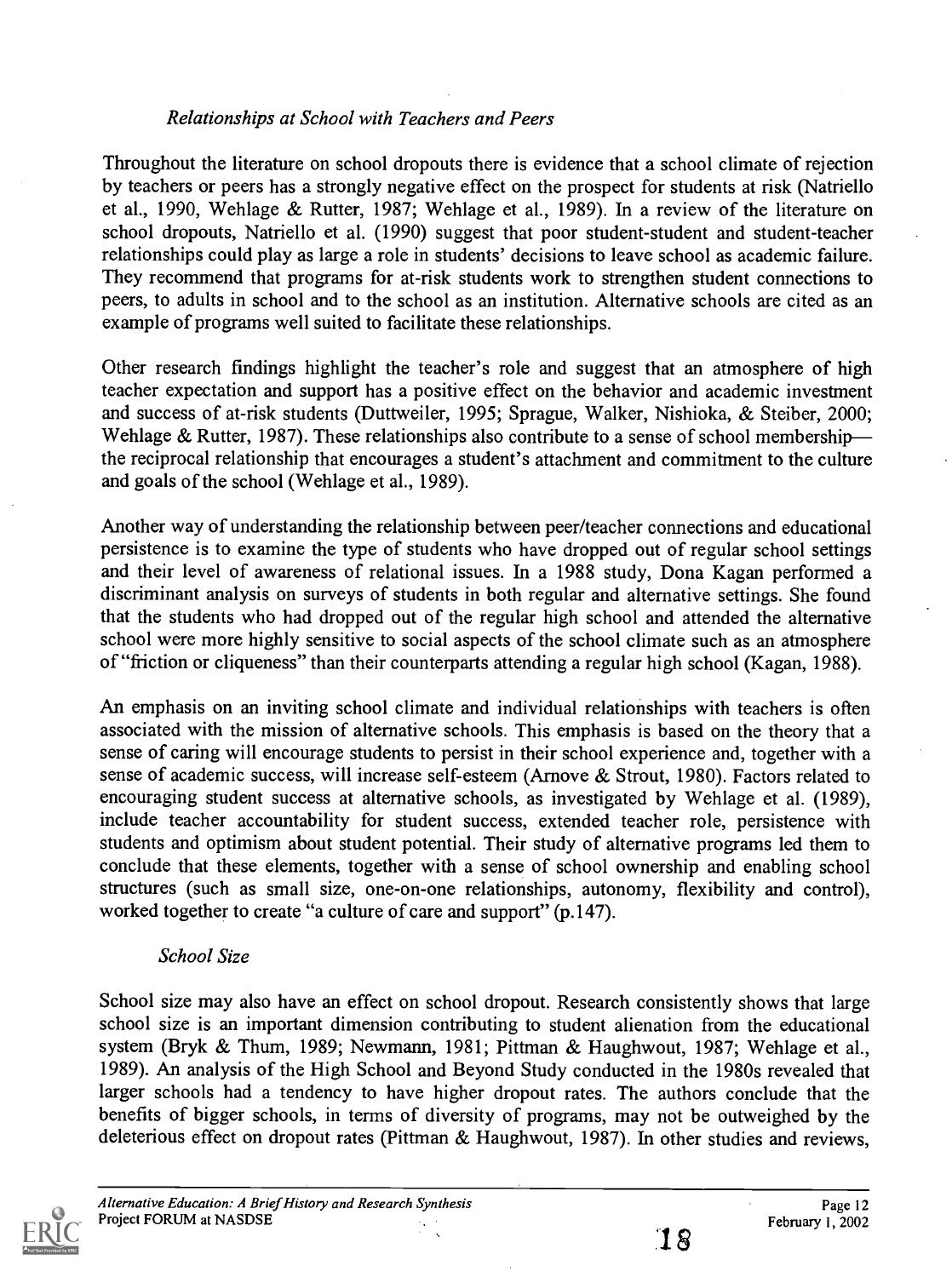## Relationships at School with Teachers and Peers

Throughout the literature on school dropouts there is evidence that a school climate of rejection by teachers or peers has a strongly negative effect on the prospect for students at risk (Natriello et al., 1990, Wehlage & Rutter, 1987; Wehlage et al., 1989). In a review of the literature on school dropouts, Natriello et al. (1990) suggest that poor student-student and student-teacher relationships could play as large a role in students' decisions to leave school as academic failure. They recommend that programs for at-risk students work to strengthen student connections to peers, to adults in school and to the school as an institution. Alternative schools are cited as an example of programs well suited to facilitate these relationships.

Other research findings highlight the teacher's role and suggest that an atmosphere of high teacher expectation and support has a positive effect on the behavior and academic investment and success of at-risk students (Duttweiler, 1995; Sprague, Walker, Nishioka, & Steiber, 2000; Wehlage & Rutter, 1987). These relationships also contribute to a sense of school membershipthe reciprocal relationship that encourages a student's attachment and commitment to the culture and goals of the school (Wehlage et al., 1989).

Another way of understanding the relationship between peer/teacher connections and educational persistence is to examine the type of students who have dropped out of regular school settings and their level of awareness of relational issues. In a 1988 study, Dona Kagan performed a discriminant analysis on surveys of students in both regular and alternative settings. She found that the students who had dropped out of the regular high school and attended the alternative school were more highly sensitive to social aspects of the school climate such as an atmosphere of "friction or cliqueness" than their counterparts attending a regular high school (Kagan, 1988).

An emphasis on an inviting school climate and individual relationships with teachers is often associated with the mission of alternative schools. This emphasis is based on the theory that a sense of caring will encourage students to persist in their school experience and, together with a sense of academic success, will increase self-esteem (Arnove & Strout, 1980). Factors related to encouraging student success at alternative schools, as investigated by Wehlage et al. (1989), include teacher accountability for student success, extended teacher role, persistence with students and optimism about student potential. Their study of alternative programs led them to conclude that these elements, together with a sense of school ownership and enabling school structures (such as small size, one-on-one relationships, autonomy, flexibility and control), worked together to create "a culture of care and support" (p.147).

## School Size

School size may also have an effect on school dropout. Research consistently shows that large school size is an important dimension contributing to student alienation from the educational system (Bryk & Thum, 1989; Newmann, 1981; Pittman & Haughwout, 1987; Wehlage et al., 1989). An analysis of the High School and Beyond Study conducted in the 1980s revealed that larger schools had a tendency to have higher dropout rates. The authors conclude that the benefits of bigger schools, in terms of diversity of programs, may not be outweighed by the deleterious effect on dropout rates (Pittman & Haughwout, 1987). In other studies and reviews,

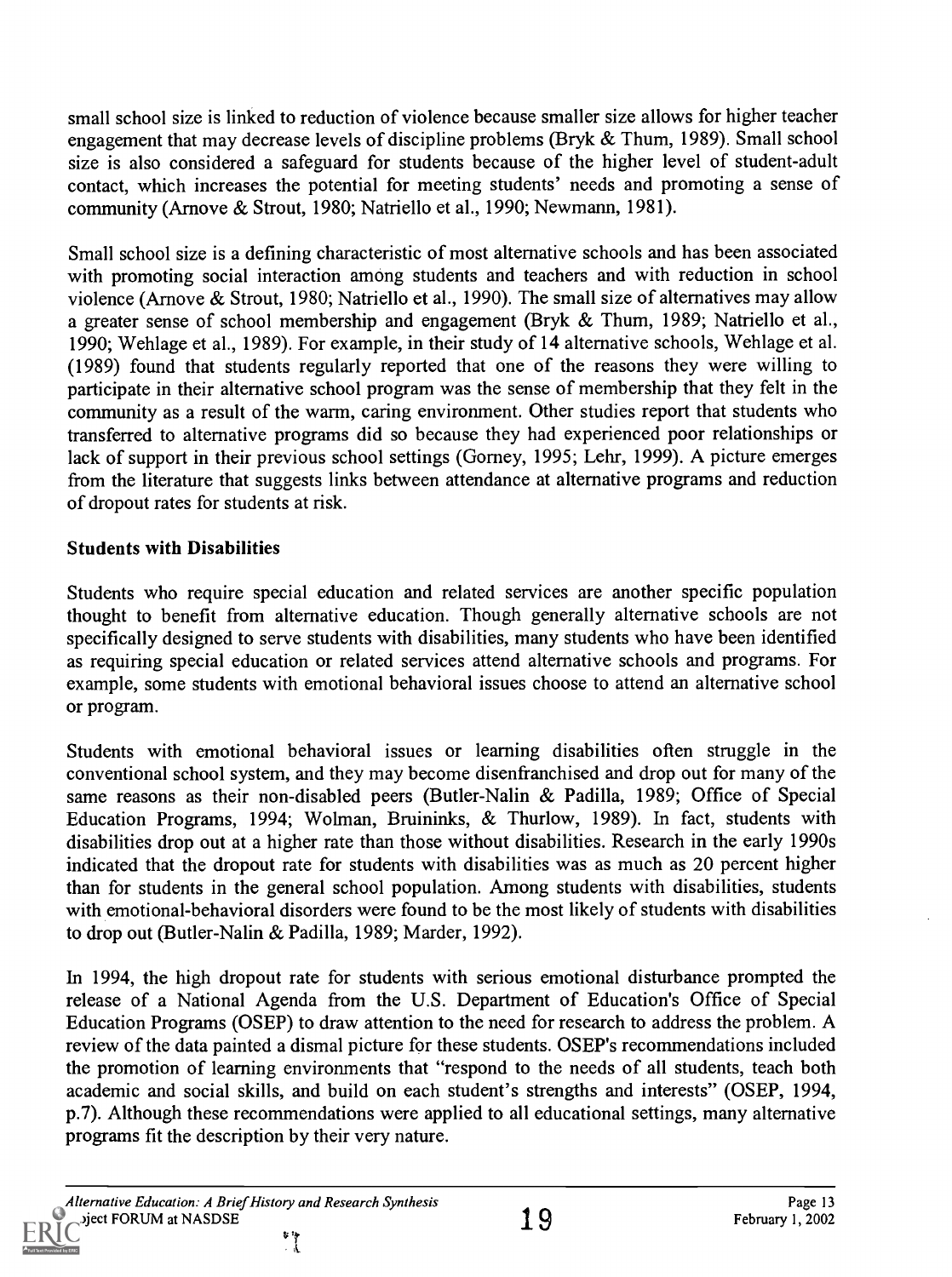small school size is linked to reduction of violence because smaller size allows for higher teacher engagement that may decrease levels of discipline problems (Bryk & Thum, 1989). Small school size is also considered a safeguard for students because of the higher level of student-adult contact, which increases the potential for meeting students' needs and promoting a sense of community (Arnove & Strout, 1980; Natriello et al., 1990; Newmann, 1981).

Small school size is a defining characteristic of most alternative schools and has been associated with promoting social interaction among students and teachers and with reduction in school violence (Arnove & Strout, 1980; Natriello et al., 1990). The small size of alternatives may allow a greater sense of school membership and engagement (Bryk & Thum, 1989; Natriello et al., 1990; Wehlage et al., 1989). For example, in their study of 14 alternative schools, Wehlage et al. (1989) found that students regularly reported that one of the reasons they were willing to participate in their alternative school program was the sense of membership that they felt in the community as a result of the warm, caring environment. Other studies report that students who transferred to alternative programs did so because they had experienced poor relationships or lack of support in their previous school settings (Gorney, 1995; Lehr, 1999). A picture emerges from the literature that suggests links between attendance at alternative programs and reduction of dropout rates for students at risk.

## Students with Disabilities

Students who require special education and related services are another specific population thought to benefit from alternative education. Though generally alternative schools are not specifically designed to serve students with disabilities, many students who have been identified as requiring special education or related services attend alternative schools and programs. For example, some students with emotional behavioral issues choose to attend an alternative school Or program.

Students with emotional behavioral issues or learning disabilities often struggle in the conventional school system, and they may become disenfranchised and drop out for many of the same reasons as their non-disabled peers (Butler-Nalin & Padilla, 1989; Office of Special Education Programs, 1994; Wolman, Bruininks, & Thurlow, 1989). In fact, students with disabilities drop out at a higher rate than those without disabilities. Research in the early 1990s indicated that the dropout rate for students with disabilities was as much as 20 percent higher than for students in the general school population. Among students with disabilities, students with emotional-behavioral disorders were found to be the most likely of students with disabilities to drop out (Butler-Nalin & Padilla, 1989; Marder, 1992).

In 1994, the high dropout rate for students with serious emotional disturbance prompted the release of a National Agenda from the U.S. Department of Education's Office of Special Education Programs (OSEP) to draw attention to the need for research to address the problem. A review of the data painted a dismal picture for these students. OSEP's recommendations included the promotion of learning environments that "respond to the needs of all students, teach both academic and social skills, and build on each student's strengths and interests" (OSEP, 1994, p.7). Although these recommendations were applied to all educational settings, many alternative programs fit the description by their very nature.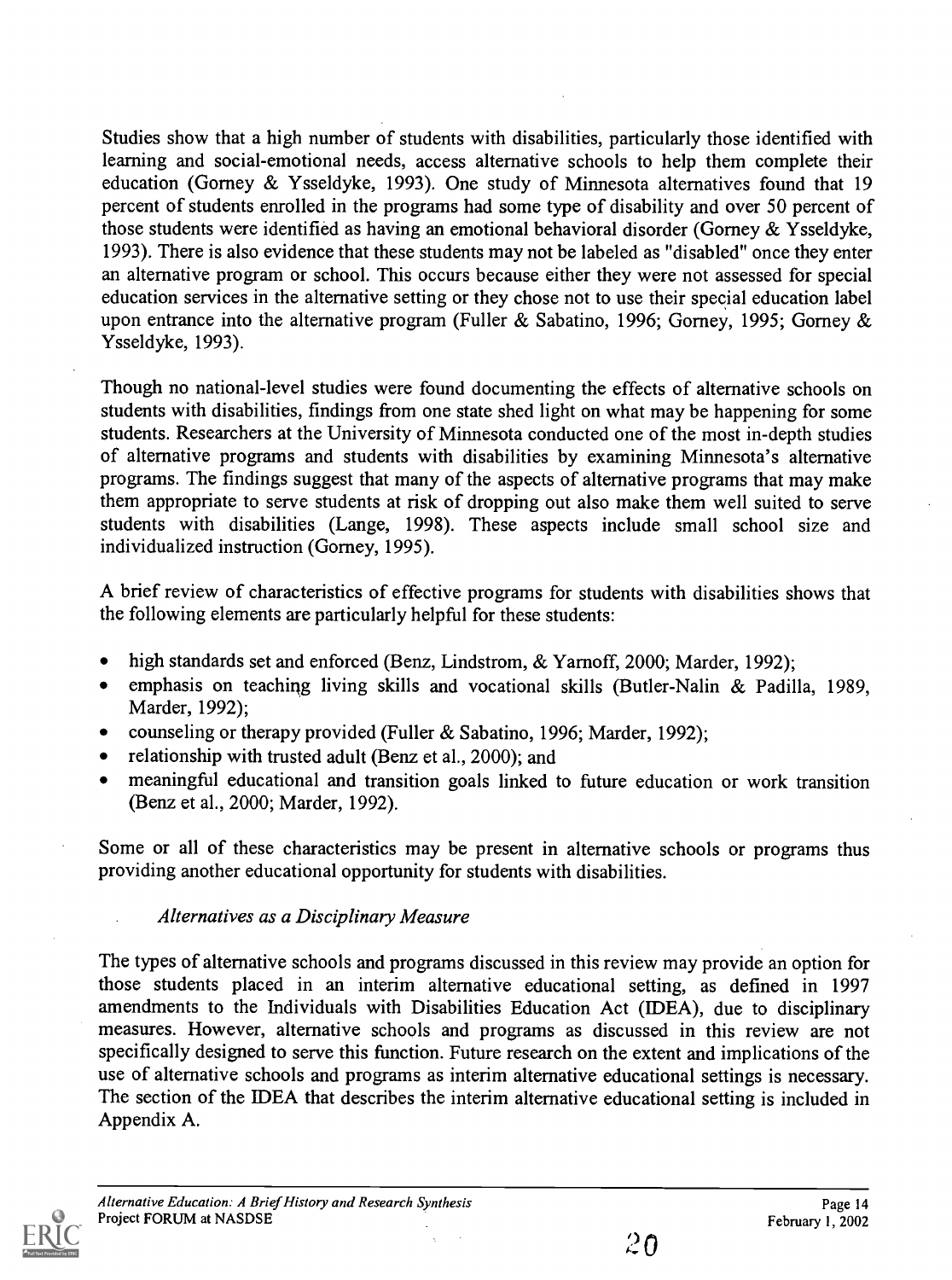Studies show that a high number of students with disabilities, particularly those identified with learning and social-emotional needs, access alternative schools to help them complete their education (Gorney & Ysseldyke, 1993). One study of Minnesota alternatives found that 19 percent of students enrolled in the programs had some type of disability and over 50 percent of those students were identified as having an emotional behavioral disorder (Gorney & Ysseldyke, 1993). There is also evidence that these students may not be labeled as "disabled" once they enter an alternative program or school. This occurs because either they were not assessed for special education services in the alternative setting or they chose not to use their special education label upon entrance into the alternative program (Fuller & Sabatino, 1996; Gorney, 1995; Gorney & Ysseldyke, 1993).

Though no national-level studies were found documenting the effects of alternative schools on students with disabilities, findings from one state shed light on what may be happening for some students. Researchers at the University of Minnesota conducted one of the most in-depth studies of alternative programs and students with disabilities by examining Minnesota's alternative programs. The findings suggest that many of the aspects of alternative programs that may make them appropriate to serve students at risk of dropping out also make them well suited to serve students with disabilities (Lange, 1998). These aspects include small school size and individualized instruction (Gorney, 1995).

A brief review of characteristics of effective programs for students with disabilities shows that the following elements are particularly helpful for these students:

- high standards set and enforced (Benz, Lindstrom, & Yarnoff, 2000; Marder, 1992);  $\bullet$
- emphasis on teaching living skills and vocational skills (Butler-Nalin & Padilla, 1989, Marder, 1992);
- counseling or therapy provided (Fuller & Sabatino, 1996; Marder, 1992);
- relationship with trusted adult (Benz et al., 2000); and
- meaningful educational and transition goals linked to future education or work transition (Benz et al., 2000; Marder, 1992).

Some or all of these characteristics may be present in alternative schools or programs thus providing another educational opportunity for students with disabilities.

## Alternatives as a Disciplinary Measure

The types of alternative schools and programs discussed in this review may provide an option for those students placed in an interim alternative educational setting, as defined in 1997 amendments to the Individuals with Disabilities Education Act (IDEA), due to disciplinary measures. However, alternative schools and programs as discussed in this review are not specifically designed to serve this function. Future research on the extent and implications of the use of alternative schools and programs as interim alternative educational settings is necessary. The section of the IDEA that describes the interim alternative educational setting is included in Appendix A.

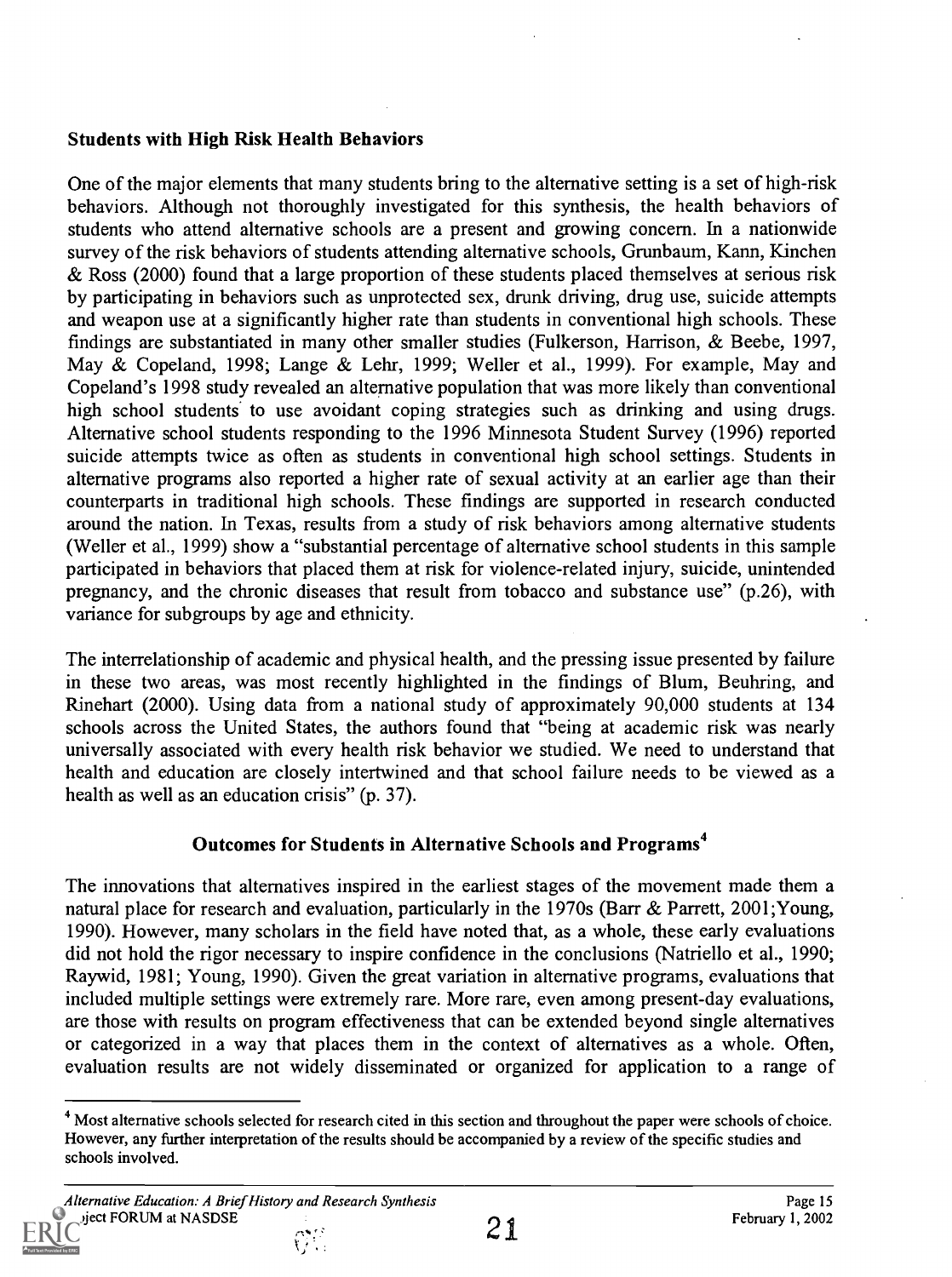## Students with High Risk Health Behaviors

One of the major elements that many students bring to the alternative setting is a set of high-risk behaviors. Although not thoroughly investigated for this synthesis, the health behaviors of students who attend alternative schools are a present and growing concern. In a nationwide survey of the risk behaviors of students attending alternative schools, Grunbaum, Kann, Kinchen & Ross (2000) found that a large proportion of these students placed themselves at serious risk by participating in behaviors such as unprotected sex, drunk driving, drug use, suicide attempts and weapon use at a significantly higher rate than students in conventional high schools. These findings are substantiated in many other smaller studies (Fulkerson, Harrison, & Beebe, 1997, May & Copeland, 1998; Lange & Lehr, 1999; Weller et al., 1999). For example, May and Copeland's 1998 study revealed an alternative population that was more likely than conventional high school students' to use avoidant coping strategies such as drinking and using drugs. Alternative school students responding to the 1996 Minnesota Student Survey (1996) reported suicide attempts twice as often as students in conventional high school settings. Students in alternative programs also reported a higher rate of sexual activity at an earlier age than their counterparts in traditional high schools. These findings are supported in research conducted around the nation. In Texas, results from a study of risk behaviors among alternative students (Weller et al., 1999) show a "substantial percentage of alternative school students in this sample participated in behaviors that placed them at risk for violence-related injury, suicide, unintended pregnancy, and the chronic diseases that result from tobacco and substance use" (p.26), with variance for subgroups by age and ethnicity.

The interrelationship of academic and physical health, and the pressing issue presented by failure in these two areas, was most recently highlighted in the findings of Blum, Beuhring, and Rinehart (2000). Using data from a national study of approximately 90,000 students at 134 schools across the United States, the authors found that "being at academic risk was nearly universally associated with every health risk behavior we studied. We need to understand that health and education are closely intertwined and that school failure needs to be viewed as a health as well as an education crisis" (p. 37).

## Outcomes for Students in Alternative Schools and Programs4

The innovations that alternatives inspired in the earliest stages of the movement made them a natural place for research and evaluation, particularly in the 1970s (Barr & Parrett, 2001;Young, 1990). However, many scholars in the field have noted that, as a whole, these early evaluations did not hold the rigor necessary to inspire confidence in the conclusions (Natriello et al., 1990; Raywid, 1981; Young, 1990). Given the great variation in alternative programs, evaluations that included multiple settings were extremely rare. More rare, even among present-day evaluations, are those with results on program effectiveness that can be extended beyond single alternatives or categorized in a way that places them in the context of alternatives as a whole. Often, evaluation results are not widely disseminated or organized for application to a range of

<sup>&</sup>lt;sup>4</sup> Most alternative schools selected for research cited in this section and throughout the paper were schools of choice. However, any further interpretation of the results should be accompanied by a review of the specific studies and schools involved.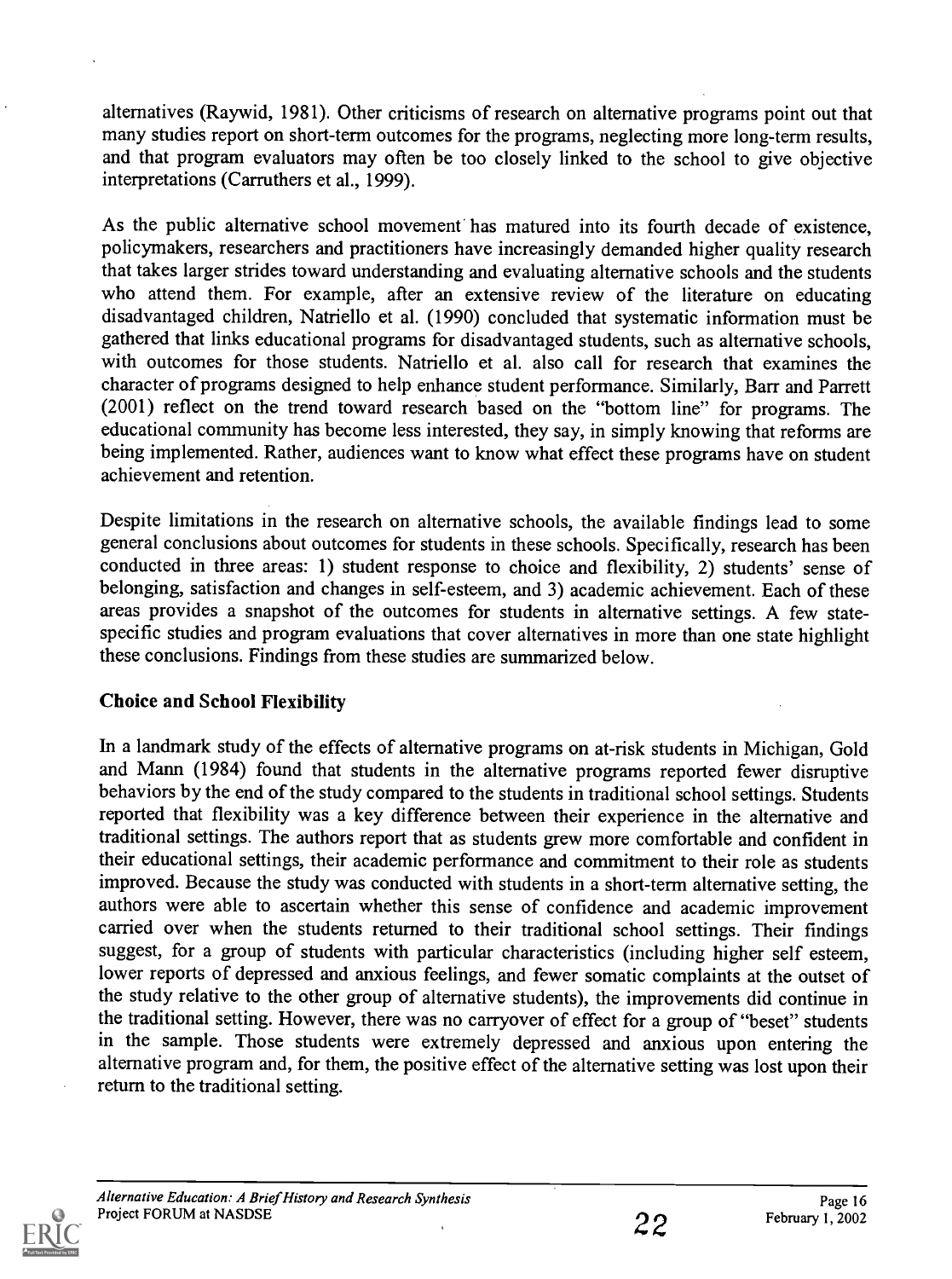alternatives (Raywid, 1981). Other criticisms of research on alternative programs point out that many studies report on short-term outcomes for the programs, neglecting more long-term results, and that program evaluators may often be too closely linked to the school to give objective interpretations (Carruthers et al., 1999).

As the public alternative school movement has matured into its fourth decade of existence, policymakers, researchers and practitioners have increasingly demanded higher quality research that takes larger strides toward understanding and evaluating alternative schools and the students who attend them. For example, after an extensive review of the literature on educating disadvantaged children, Natriello et al. (1990) concluded that systematic information must be gathered that links educational programs for disadvantaged students, such as alternative schools, with outcomes for those students. Natriello et al. also call for research that examines the character of programs designed to help enhance student performance. Similarly, Barr and Parrett (2001) reflect on the trend toward research based on the "bottom line" for programs. The educational community has become less interested, they say, in simply knowing that reforms are being implemented. Rather, audiences want to know what effect these programs have on student achievement and retention.

Despite limitations in the research on alternative schools, the available findings lead to some general conclusions about outcomes for students in these schools. Specifically, research has been conducted in three areas: 1) student response to choice and flexibility, 2) students' sense of belonging, satisfaction and changes in self-esteem, and 3) academic achievement. Each of these areas provides a snapshot of the outcomes for students in alternative settings. A few statespecific studies and program evaluations that cover alternatives in more than one state highlight these conclusions. Findings from these studies are summarized below.

## Choice and School Flexibility

In a landmark study of the effects of alternative programs on at-risk students in Michigan, Gold and Mann (1984) found that students in the alternative programs reported fewer disruptive behaviors by the end of the study compared to the students in traditional school settings. Students reported that flexibility was a key difference between their experience in the alternative and traditional settings. The authors report that as students grew more comfortable and confident in their educational settings, their academic performance and commitment to their role as students improved. Because the study was conducted with students in a short-term alternative setting, the authors were able to ascertain whether this sense of confidence and academic improvement carried over when the students returned to their traditional school settings. Their findings suggest, for a group of students with particular characteristics (including higher self esteem, lower reports of depressed and anxious feelings, and fewer somatic complaints at the outset of the study relative to the other group of alternative students), the improvements did continue in the traditional setting. However, there was no carryover of effect for a group of "beset" students in the sample. Those students were extremely depressed and anxious upon entering the alternative program and, for them, the positive effect of the alternative setting was lost upon their return to the traditional setting.

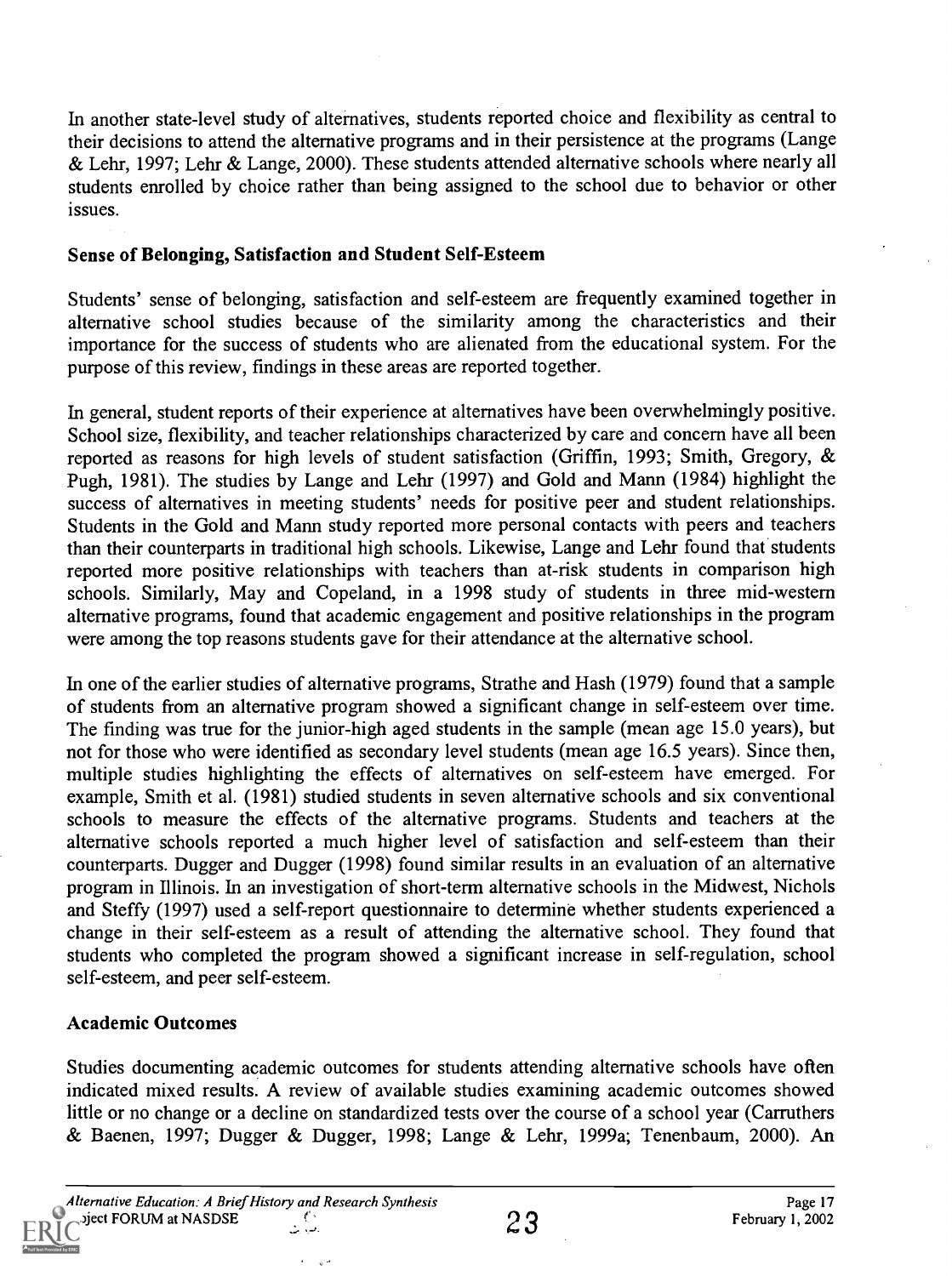In another state-level study of alternatives, students reported choice and flexibility as central to their decisions to attend the alternative programs and in their persistence at the programs (Lange & Lehr, 1997; Lehr & Lange, 2000). These students attended alternative schools where nearly all students enrolled by choice rather than being assigned to the school due to behavior or other issues.

## Sense of Belonging, Satisfaction and Student Self-Esteem

Students' sense of belonging, satisfaction and self-esteem are frequently examined together in alternative school studies because of the similarity among the characteristics and their importance for the success of students who are alienated from the educational system. For the purpose of this review, findings in these areas are reported together.

In general, student reports of their experience at alternatives have been overwhelmingly positive. School size, flexibility, and teacher relationships characterized by care and concern have all been reported as reasons for high levels of student satisfaction (Griffin, 1993; Smith, Gregory, & Pugh, 1981). The studies by Lange and Lehr (1997) and Gold and Mann (1984) highlight the success of alternatives in meeting students' needs for positive peer and student relationships. Students in the Gold and Mann study reported more personal contacts with peers and teachers than their counterparts in traditional high schools. Likewise, Lange and Lehr found that students reported more positive relationships with teachers than at-risk students in comparison high schools. Similarly, May and Copeland, in a 1998 study of students in three mid-western alternative programs, found that academic engagement and positive relationships in the program were among the top reasons students gave for their attendance at the alternative school.

In one of the earlier studies of alternative programs, Strathe and Hash (1979) found that a sample of students from an alternative program showed a significant change in self-esteem over time. The finding was true for the junior-high aged students in the sample (mean age 15.0 years), but not for those who were identified as secondary level students (mean age 16.5 years). Since then, multiple studies highlighting the effects of alternatives on self-esteem have emerged. For example, Smith et al. (1981) studied students in seven alternative schools and six conventional schools to measure the effects of the alternative programs. Students and teachers at the alternative schools reported a much higher level of satisfaction and self-esteem than their counterparts. Dugger and Dugger (1998) found similar results in an evaluation of an alternative program in Illinois. In an investigation of short-term alternative schools in the Midwest, Nichols and Steffy (1997) used a self-report questionnaire to determine whether students experienced a change in their self-esteem as a result of attending the alternative school. They found that students who completed the program showed a significant increase in self-regulation, school self-esteem, and peer self-esteem.

## Academic Outcomes

Studies documenting academic outcomes for students attending alternative schools have often indicated mixed results. A review of available studies examining academic outcomes showed little or no change or a decline on standardized tests over the course of a school year (Carruthers & Baenen, 1997; Dugger & Dugger, 1998; Lange & Lehr, 1999a; Tenenbaum, 2000). An

Цú.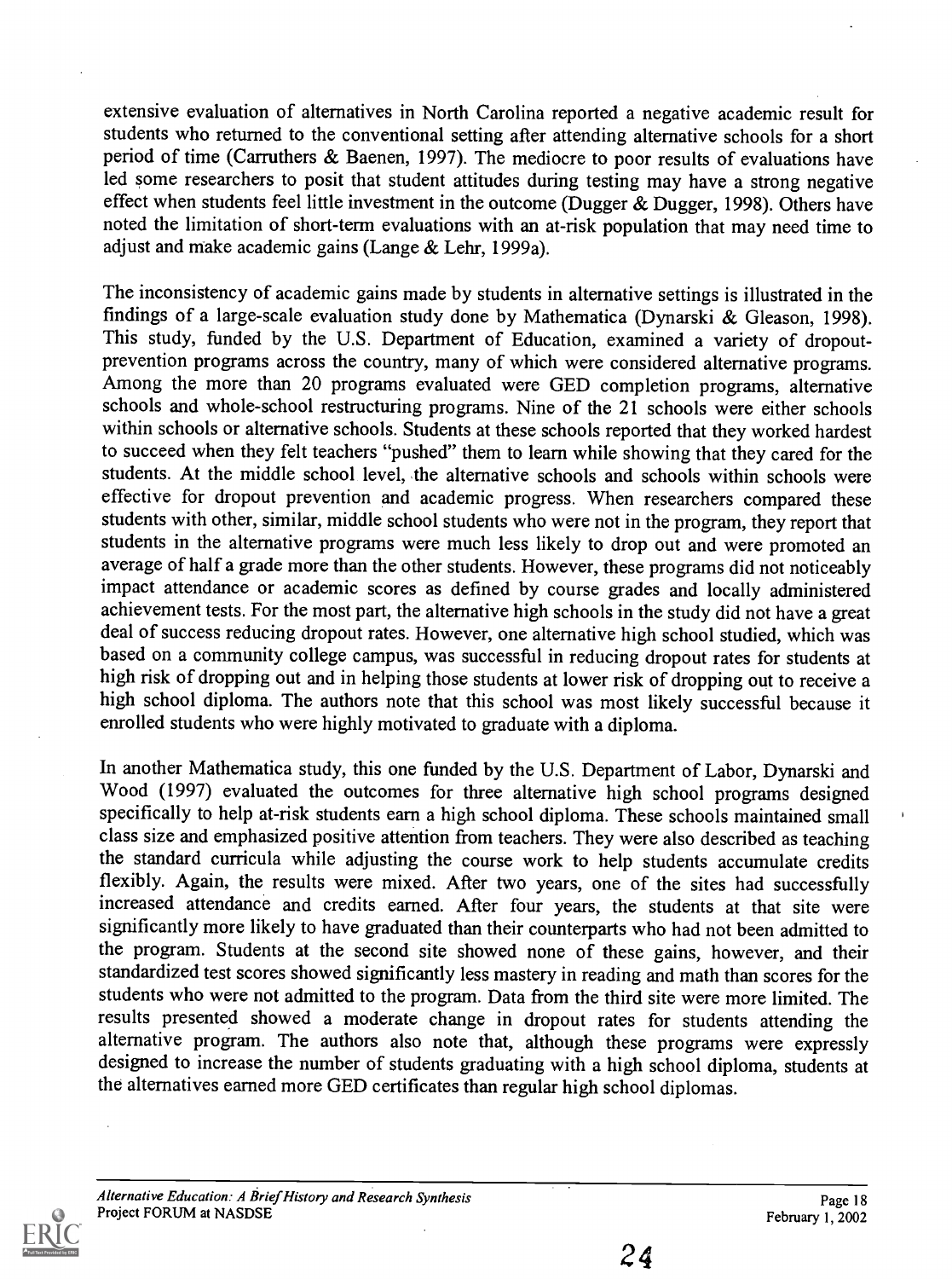extensive evaluation of alternatives in North Carolina reported a negative academic result for students who returned to the conventional setting afler attending alternative schools for a short period of time (Carruthers & Baenen, 1997). The mediocre to poor results of evaluations have led some researchers to posit that student attitudes during testing may have a strong negative effect when students feel little investment in the outcome (Dugger  $\&$  Dugger, 1998). Others have noted the limitation of short-term evaluations with an at-risk population that may need time to adjust and make academic gains (Lange & Lehr, 1999a).

The inconsistency of academic gains made by students in alternative settings is illustrated in the findings of a large-scale evaluation study done by Mathematica (Dynarski & Gleason, 1998). This study, funded by the U.S. Department of Education, examined a variety of dropoutprevention programs across the country, many of which were considered alternative programs. Among the more than 20 programs evaluated were GED completion programs, alternative schools and whole-school restructuring programs. Nine of the 21 schools were either schools within schools or alternative schools. Students at these schools reported that they worked hardest to succeed when they felt teachers "pushed" them to learn while showing that they cared for the students. At the middle school level, the alternative schools and schools within schools were effective for dropout prevention and academic progress. When researchers compared these students with other, similar, middle school students who were not in the program, they report that students in the alternative programs were much less likely to drop out and were promoted an average of half a grade more than the other students. However, these programs did not noticeably impact attendance or academic scores as defined by course grades and locally administered achievement tests. For the most part, the alternative high schools in the study did not have a great deal of success reducing dropout rates. However, one alternative high school studied, which was based on a community college campus, was successful in reducing dropout rates for students at high risk of dropping out and in helping those students at lower risk of dropping out to receive a high school diploma. The authors note that this school was most likely successful because it enrolled students who were highly motivated to graduate with a diploma.

In another Mathematica study, this one funded by the U.S. Department of Labor, Dynarski and Wood (1997) evaluated the outcomes for three alternative high school programs designed specifically to help at-risk students earn a high school diploma. These schools maintained small class size and emphasized positive attention from teachers. They were also described as teaching the standard curricula while adjusting the course work to help students accumulate credits flexibly. Again, the results were mixed. After two years, one of the sites had successfully increased attendance and credits earned. After four years, the students at that site were significantly more likely to have graduated than their counterparts who had not been admitted to the program. Students at the second site showed none of these gains, however, and their standardized test scores showed significantly less mastery in reading and math than scores for the students who were not admitted to the program. Data from the third site were more limited. The results presented showed a moderate change in dropout rates for students attending the alternative program. The authors also note that, although these programs were expressly designed to increase the number of students graduating with a high school diploma, students at the alternatives earned more GED certificates than regular high school diplomas.

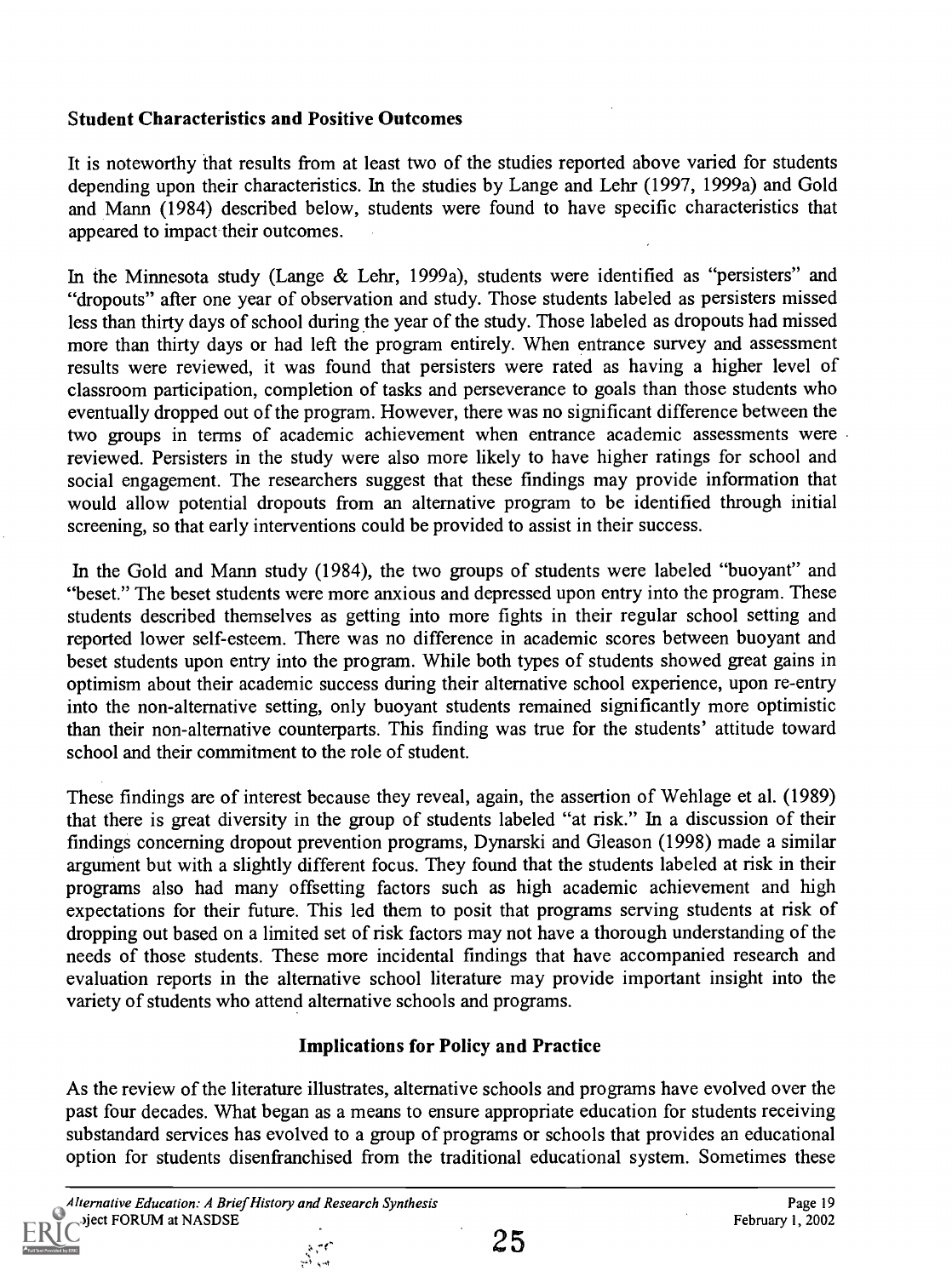## Student Characteristics and Positive Outcomes

It is noteworthy that results from at least two of the studies reported above varied for students depending upon their characteristics. In the studies by Lange and Lehr (1997, 1999a) and Gold and Mann (1984) described below, students were found to have specific characteristics that appeared to impact their outcomes.

In the Minnesota study (Lange & Lehr, 1999a), students were identified as "persisters" and "dropouts" after one year of observation and study. Those students labeled as persisters missed less than thirty days of school during the year of the study. Those labeled as dropouts had missed more than thirty days or had left the program entirely. When entrance survey and assessment results were reviewed, it was found that persisters were rated as having a higher level of classroom participation, completion of tasks and perseverance to goals than those students who eventually dropped out of the program. However, there was no significant difference between the two groups in terms of academic achievement when entrance academic assessments were reviewed. Persisters in the study were also more likely to have higher ratings for school and social engagement. The researchers suggest that these findings may provide information that would allow potential dropouts from an alternative program to be identified through initial screening, so that early interventions could be provided to assist in their success.

In the Gold and Mann study (1984), the two groups of students were labeled "buoyant" and "beset." The beset students were more anxious and depressed upon entry into the program. These students described themselves as getting into more fights in their regular school setting and reported lower self-esteem. There was no difference in academic scores between buoyant and beset students upon entry into the program. While both types of students showed great gains in optimism about their academic success during their alternative school experience, upon re-entry into the non-alternative setting, only buoyant students remained significantly more optimistic than their non-alternative counterparts. This finding was true for the students' attitude toward school and their commitment to the role of student.

These findings are of interest because they reveal, again, the assertion of Wehlage et al. (1989) that there is great diversity in the group of students labeled "at risk." In a discussion of their findings concerning dropout prevention programs, Dynarski and Gleason (1998) made a similar argument but with a slightly different focus. They found that the students labeled at risk in their programs also had many offsetting factors such as high academic achievement and high expectations for their future. This led them to posit that programs serving students at risk of dropping out based on a limited set of risk factors may not have a thorough understanding of the needs of those students. These more incidental findings that have accompanied research and evaluation reports in the alternative school literature may provide important insight into the variety of students who attend alternative schools and programs.

## Implications for Policy and Practice

As the review of the literature illustrates, alternative schools and programs have evolved over the past four decades. What began as a means to ensure appropriate education for students receiving substandard services has evolved to a group of programs or schools that provides an educational option for students disenfranchised from the traditional educational system. Sometimes these

25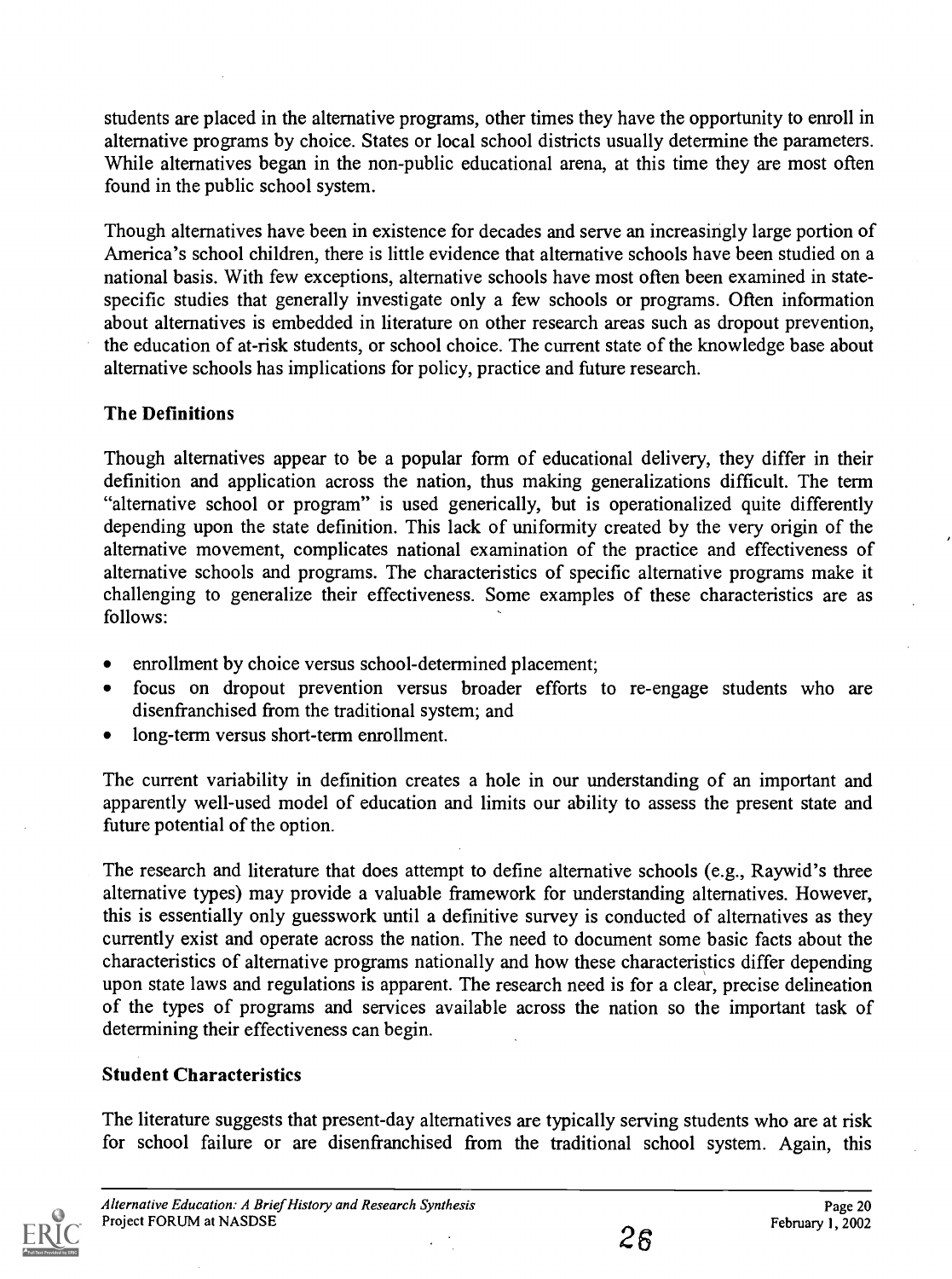students are placed in the alternative programs, other times they have the opportunity to enroll in alternative programs by choice. States or local school districts usually determine the parameters. While alternatives began in the non-public educational arena, at this time they are most often found in the public school system.

Though alternatives have been in existence for decades and serve an increasingly large portion of America's school children, there is little evidence that alternative schools have been studied on a national basis. With few exceptions, alternative schools have most often been examined in statespecific studies that generally investigate only a few schools or programs. Often information about alternatives is embedded in literature on other research areas such as dropout prevention, the education of at-risk students, or school choice. The current state of the knowledge base about alternative schools has implications for policy, practice and future research.

## The Definitions

Though alternatives appear to be a popular form of educational delivery, they differ in their definition and application across the nation, thus making generalizations difficult. The term "alternative school or program" is used generically, but is operationalized quite differently depending upon the state definition. This lack of uniformity created by the very origin of the alternative movement, complicates national examination of the practice and effectiveness of alternative schools and programs. The characteristics of specific alternative programs make it challenging to generalize their effectiveness. Some examples of these characteristics are as follows:

- enrollment by choice versus school-determined placement;
- focus on dropout prevention versus broader efforts to re-engage students who are disenfranchised from the traditional system; and
- long-term versus short-term enrollment.

The current variability in definition creates a hole in our understanding of an important and apparently well-used model of education and limits our ability to assess the present state and future potential of the option.

The research and literature that does attempt to define alternative schools (e.g., Raywid's three alternative types) may provide a valuable framework for understanding alternatives. However, this is essentially only guesswork until a definitive survey is conducted of alternatives as they currently exist and operate across the nation. The need to document some basic facts about the characteristics of alternative programs nationally and how these characteristics differ depending upon state laws and regulations is apparent. The research need is for a clear, precise delineation of the types of programs and services available across the nation so the important task of determining their effectiveness can begin.

## Student Characteristics

The literature suggests that present-day alternatives are typically serving students who are at risk for school failure or are disenfranchised from the traditional school system. Again, this

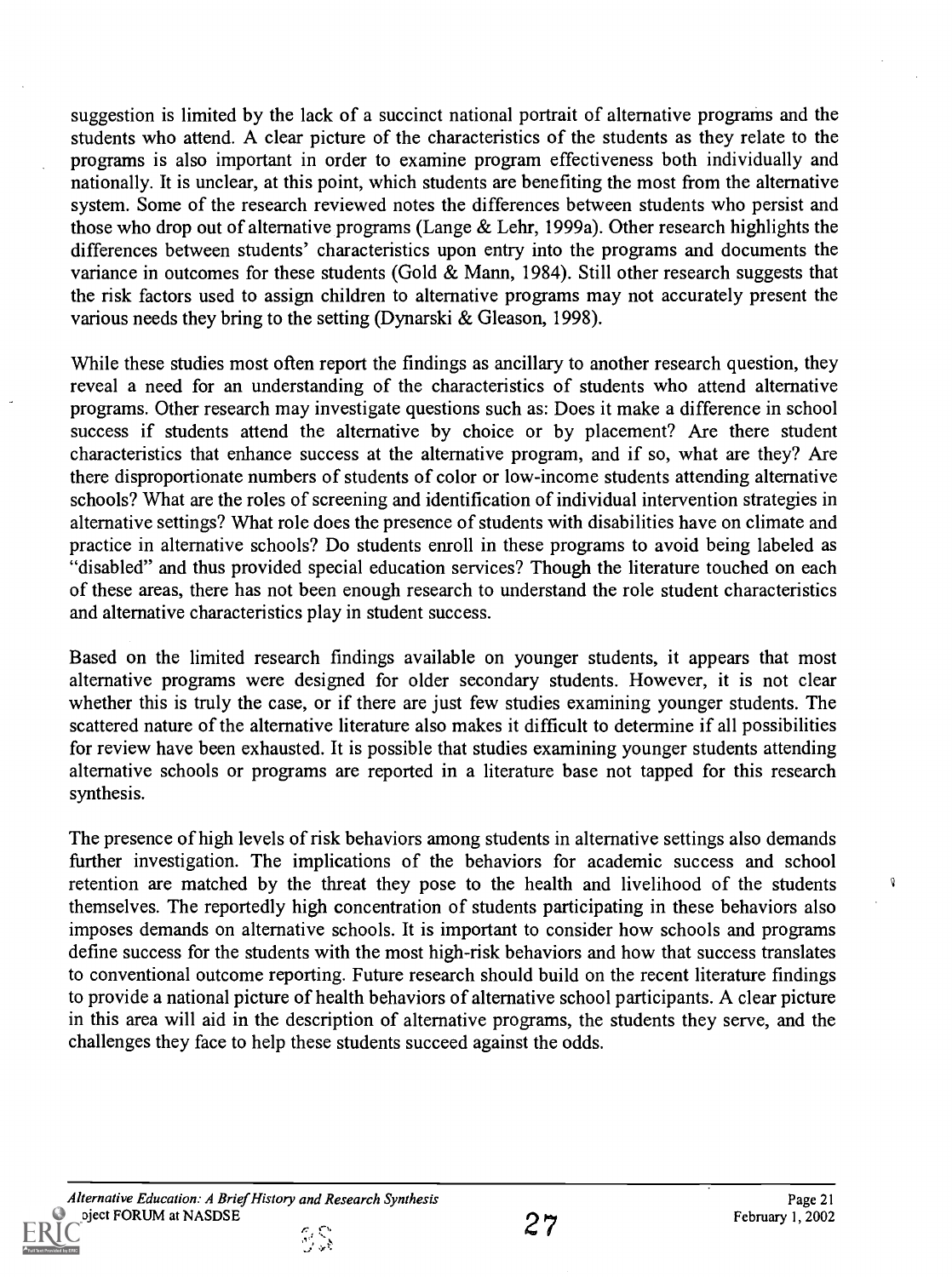suggestion is limited by the lack of a succinct national portrait of alternative programs and the students who attend. A clear picture of the characteristics of the students as they relate to the programs is also important in order to examine program effectiveness both individually and nationally. It is unclear, at this point, which students are benefiting the most from the alternative system. Some of the research reviewed notes the differences between students who persist and those who drop out of alternative programs (Lange & Lehr, 1999a). Other research highlights the differences between students' characteristics upon entry into the programs and documents the variance in outcomes for these students (Gold & Mann, 1984). Still other research suggests that the risk factors used to assign children to alternative progams may not accurately present the various needs they bring to the setting (Dynarski & Gleason, 1998).

While these studies most often report the findings as ancillary to another research question, they reveal a need for an understanding of the characteristics of students who attend alternative programs. Other research may investigate questions such as: Does it make a difference in school success if students attend the alternative by choice or by placement? Are there student characteristics that enhance success at the alternative program, and if so, what are they? Are there disproportionate numbers of students of color or low-income students attending alternative schools? What are the roles of screening and identification of individual intervention strategies in alternative settings? What role does the presence of students with disabilities have on climate and practice in alternative schools? Do students enroll in these programs to avoid being labeled as "disabled" and thus provided special education services? Though the literature touched on each of these areas, there has not been enough research to understand the role student characteristics and alternative characteristics play in student success.

Based on the limited research findings available on younger students, it appears that most alternative programs were designed for older secondary students. However, it is not clear whether this is truly the case, or if there are just few studies examining younger students. The scattered nature of the alternative literature also makes it difficult to determine if all possibilities for review have been exhausted. It is possible that studies examining younger students attending alternative schools or programs are reported in a literature base not tapped for this research synthesis.

The presence of high levels of risk behaviors among students in alternative settings also demands further investigation. The implications of the behaviors for academic success and school retention are matched by the threat they pose to the health and livelihood of the students themselves. The reportedly high concentration of students participating in these behaviors also imposes demands on alternative schools. It is important to consider how schools and programs define success for the students with the most high-risk behaviors and how that success translates to conventional outcome reporting. Future research should build on the recent literature findings to provide a national picture of health behaviors of alternative school participants. A clear picture in this area will aid in the description of alternative programs, the students they serve, and the challenges they face to help these students succeed against the odds.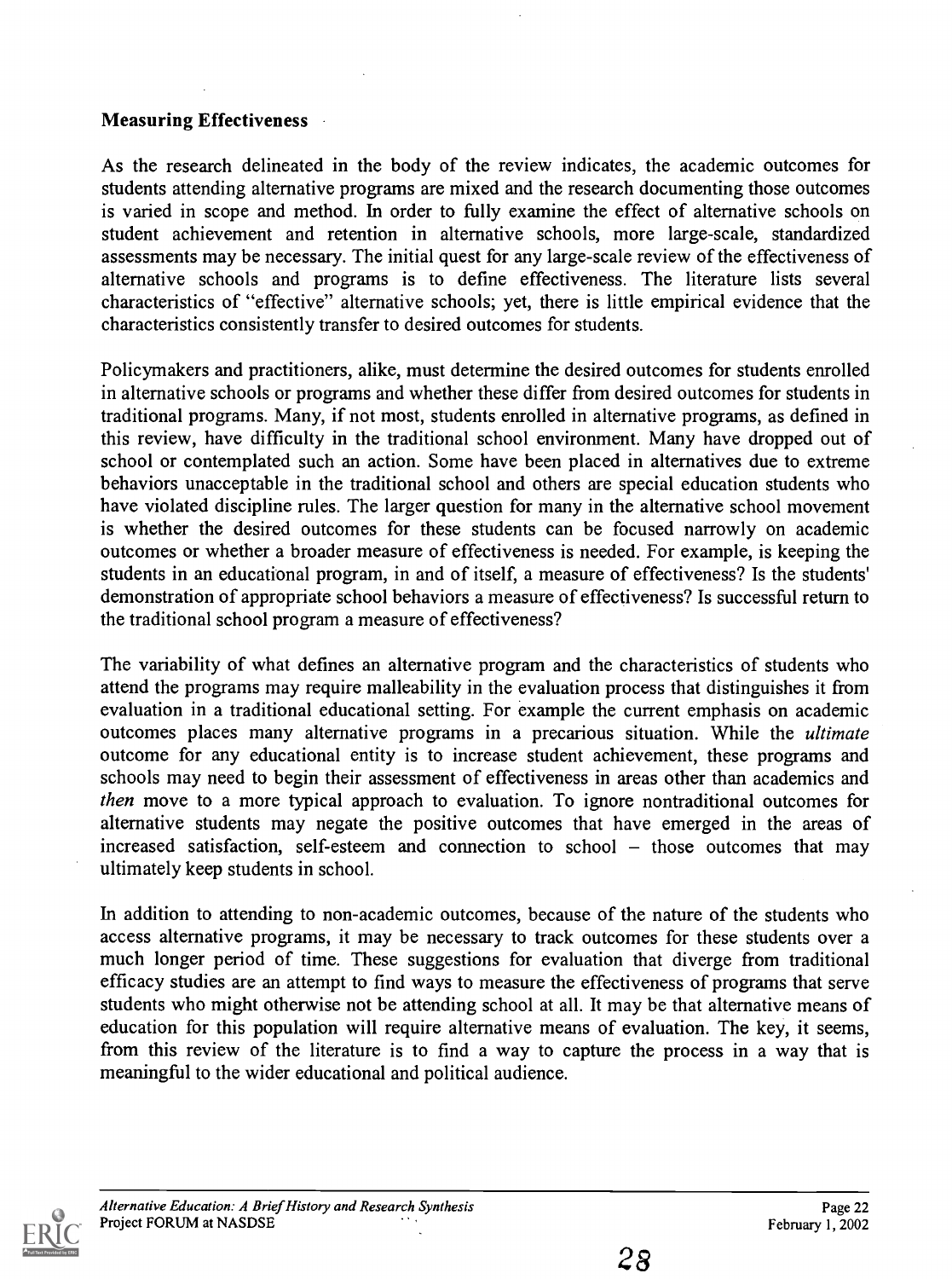## Measuring Effectiveness

As the research delineated in the body of the review indicates, the academic outcomes for students attending alternative programs are mixed and the research documenting those outcomes is varied in scope and method. In order to fully examine the effect of alternative schools on student achievement and retention in alternative schools, more large-scale, standardized assessments may be necessary. The initial quest for any large-scale review of the effectiveness of alternative schools and programs is to define effectiveness. The literature lists several characteristics of "effective" alternative schools; yet, there is little empirical evidence that the characteristics consistently transfer to desired outcomes for students.

Policymakers and practitioners, alike, must determine the desired outcomes for students enrolled in alternative schools or programs and whether these differ from desired outcomes for students in traditional programs. Many, if not most, students enrolled in alternative programs, as defined in this review, have difficulty in the traditional school environment. Many have dropped out of school or contemplated such an action. Some have been placed in alternatives due to extreme behaviors unacceptable in the traditional school and others are special education students who have violated discipline rules. The larger question for many in the alternative school movement is whether the desired outcomes for these students can be focused narrowly on academic outcomes or whether a broader measure of effectiveness is needed. For example, is keeping the students in an educational program, in and of itself, a measure of effectiveness? Is the students' demonstration of appropriate school behaviors a measure of effectiveness? Is successful return to the traditional school program a measure of effectiveness?

The variability of what defines an alternative program and the characteristics of students who attend the programs may require malleability in the evaluation process that distinguishes it from evaluation in a traditional educational setting. For example the current emphasis on academic outcomes places many alternative programs in a precarious situation. While the *ultimate* outcome for any educational entity is to increase student achievement, these programs and schools may need to begin their assessment of effectiveness in areas other than academics and then move to a more typical approach to evaluation. To ignore nontraditional outcomes for alternative students may negate the positive outcomes that have emerged in the areas of increased satisfaction, self-esteem and connection to school  $-$  those outcomes that may ultimately keep students in school.

In addition to attending to non-academic outcomes, because of the nature of the students who access alternative programs, it may be necessary to track outcomes for these students over a much longer period of time. These suggestions for evaluation that diverge from traditional efficacy studies are an attempt to find ways to measure the effectiveness of programs that serve students who might otherwise not be attending school at all. It may be that alternative means of education for this population will require alternative means of evaluation. The key, it seems, from this review of the literature is to find a way to capture the process in a way that is meaningful to the wider educational and political audience.

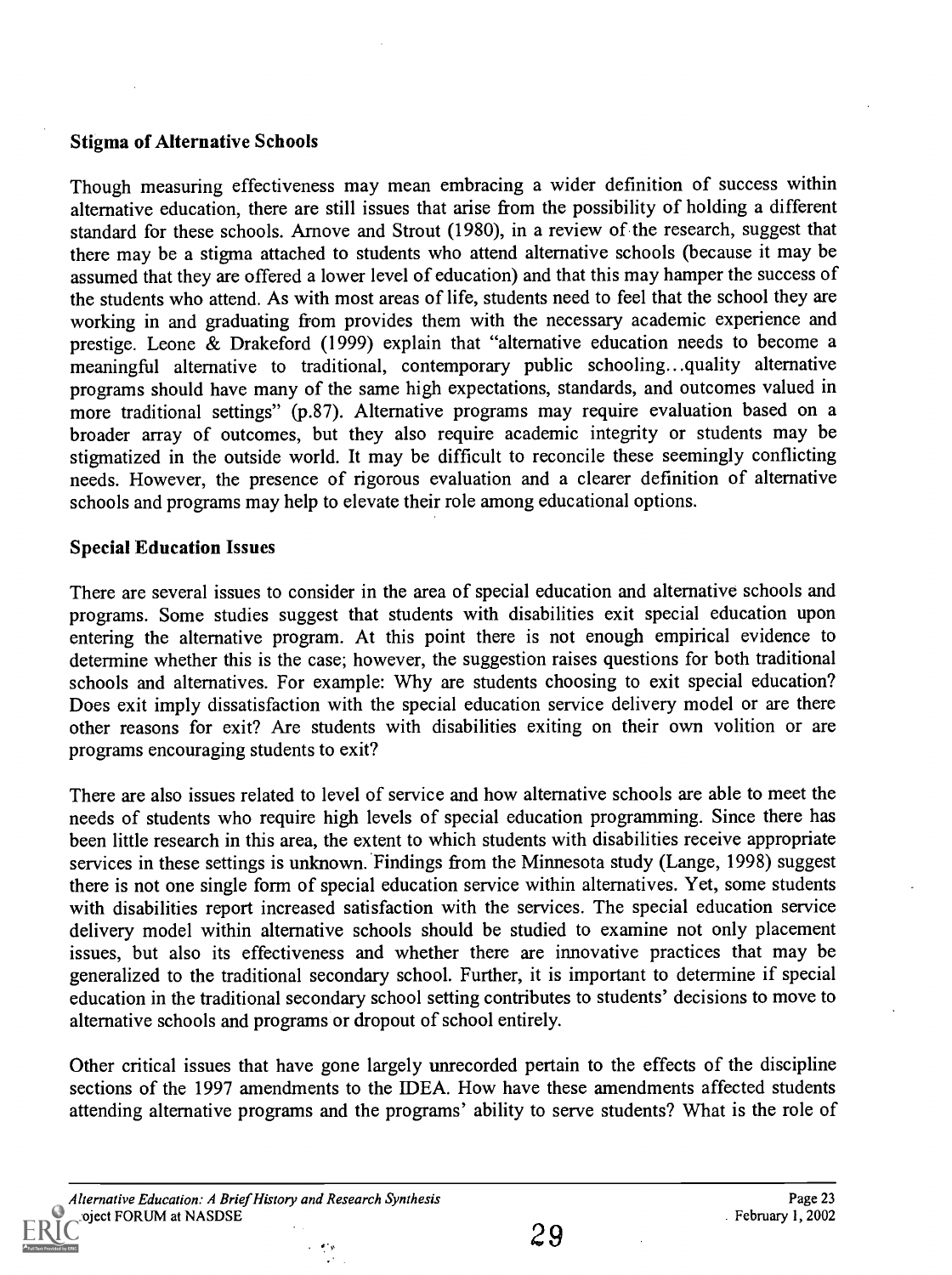#### Stigma of Alternative Schools

Though measuring effectiveness may mean embracing a wider definition of success within alternative education, there are still issues that arise from the possibility of holding a different standard for these schools. Arnove and Strout (1980), in a review of the research, suggest that there may be a stigma attached to students who attend alternative schools (because it may be assumed that they are offered a lower level of education) and that this may hamper the success of the students who attend. As with most areas of life, students need to feel that the school they are working in and graduating from provides them with the necessary academic experience and prestige. Leone & Drakeford (1999) explain that "alternative education needs to become a meaningful alternative to traditional, contemporary public schooling...quality alternative programs should have many of the same high expectations, standards, and outcomes valued in more traditional settings" (p.87). Alternative programs may require evaluation based on a broader array of outcomes, but they also require academic integrity or students may be stigmatized in the outside world. It may be difficult to reconcile these seemingly conflicting needs. However, the presence of rigorous evaluation and a clearer definition of alternative schools and programs may help to elevate their role among educational options.

#### Special Education Issues

There are several issues to consider in the area of special education and alternative schools and programs. Some studies suggest that students with disabilities exit special education upon entering the alternative program. At this point there is not enough empirical evidence to determine whether this is the case; however, the suggestion raises questions for both traditional schools and alternatives. For example: Why are students choosing to exit special education? Does exit imply dissatisfaction with the special education service delivery model or are there other reasons for exit? Are students with disabilities exiting on their own volition or are programs encouraging students to exit?

There are also issues related to level of service and how alternative schools are able to meet the needs of students who require high levels of special education programming. Since there has been little research in this area, the extent to which students with disabilities receive appropriate services in these settings is unknown. Findings from the Minnesota study (Lange, 1998) suggest there is not one single form of special education service within alternatives. Yet, some students with disabilities report increased satisfaction with the services. The special education service delivery model within alternative schools should be studied to examine not only placement issues, but also its effectiveness and whether there are innovative practices that may be generalized to the traditional secondary school. Further, it is important to determine if special education in the traditional secondary school setting contributes to students' decisions to move to alternative schools and programs or dropout of school entirely.

Other critical issues that have gone largely unrecorded pertain to the effects of the discipline sections of the 1997 amendments to the IDEA. How have these amendments affected students attending alternative programs and the programs' ability to serve students? What is the role of

29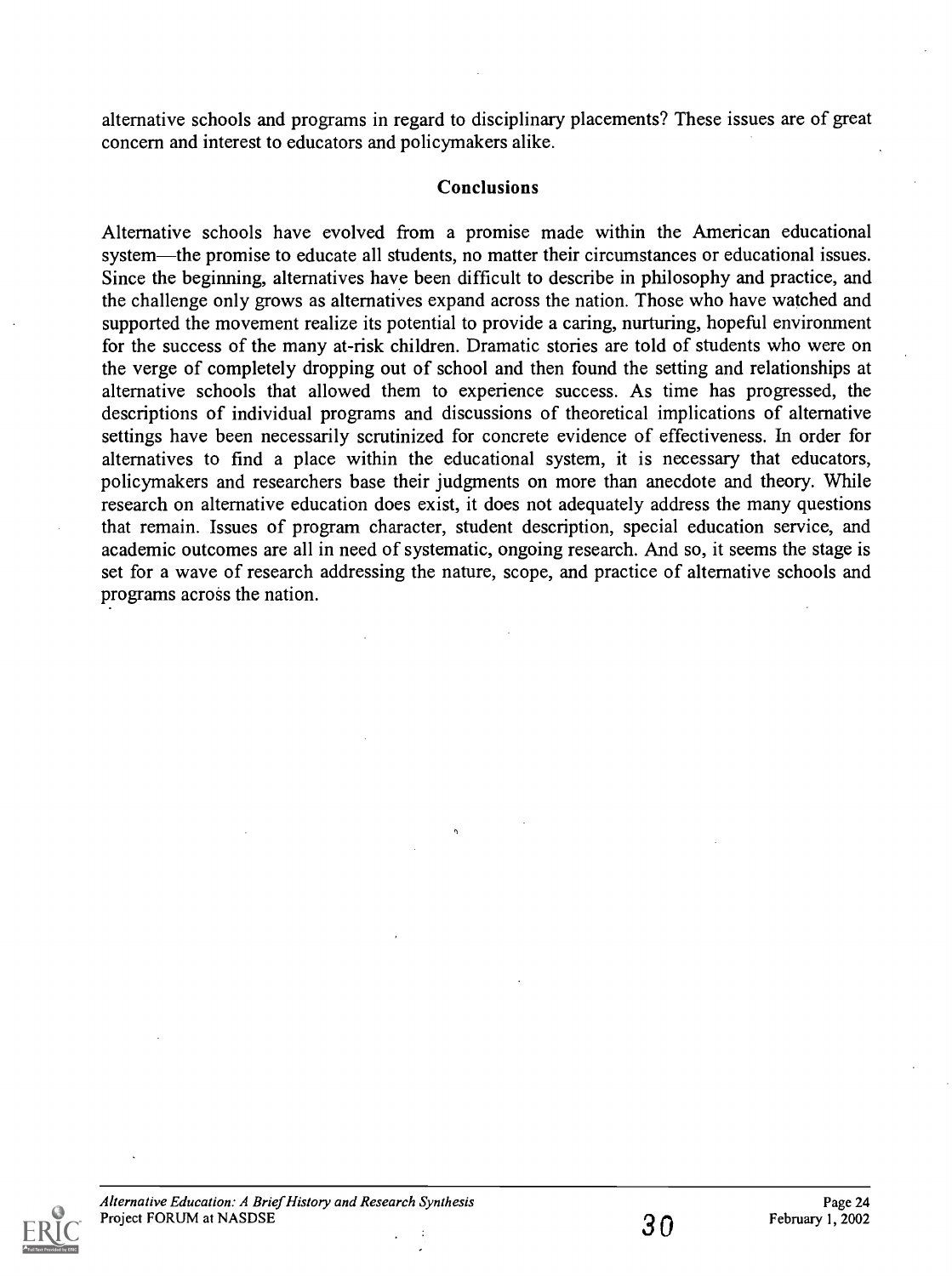alternative schools and programs in regard to disciplinary placements? These issues are of great concern and interest to educators and policymakers alike.

#### Conclusions

Alternative schools have evolved from a promise made within the American educational system—the promise to educate all students, no matter their circumstances or educational issues. Since the beginning, alternatives have been difficult to describe in philosophy and practice, and the challenge only grows as alternatives expand across the nation. Those who have watched and supported the movement realize its potential to provide a caring, nurturing, hopeful environment for the success of the many at-risk children. Dramatic stories are told of students who were on the verge of completely dropping out of school and then found the setting and relationships at alternative schools that allowed them to experience success. As time has progressed, the descriptions of individual programs and discussions of theoretical implications of alternative settings have been necessarily scrutinized for concrete evidence of effectiveness. In order for alternatives to find a place within the educational system, it is necessary that educators, policymakers and researchers base their judgments on more than anecdote and theory. While research on alternative education does exist, it does not adequately address the many questions that remain. Issues of program character, student description, special education service, and academic outcomes are all in need of systematic, ongoing research. And so, it seems the stage is set for a wave of research addressing the nature, scope, and practice of alternative schools and programs across the nation.

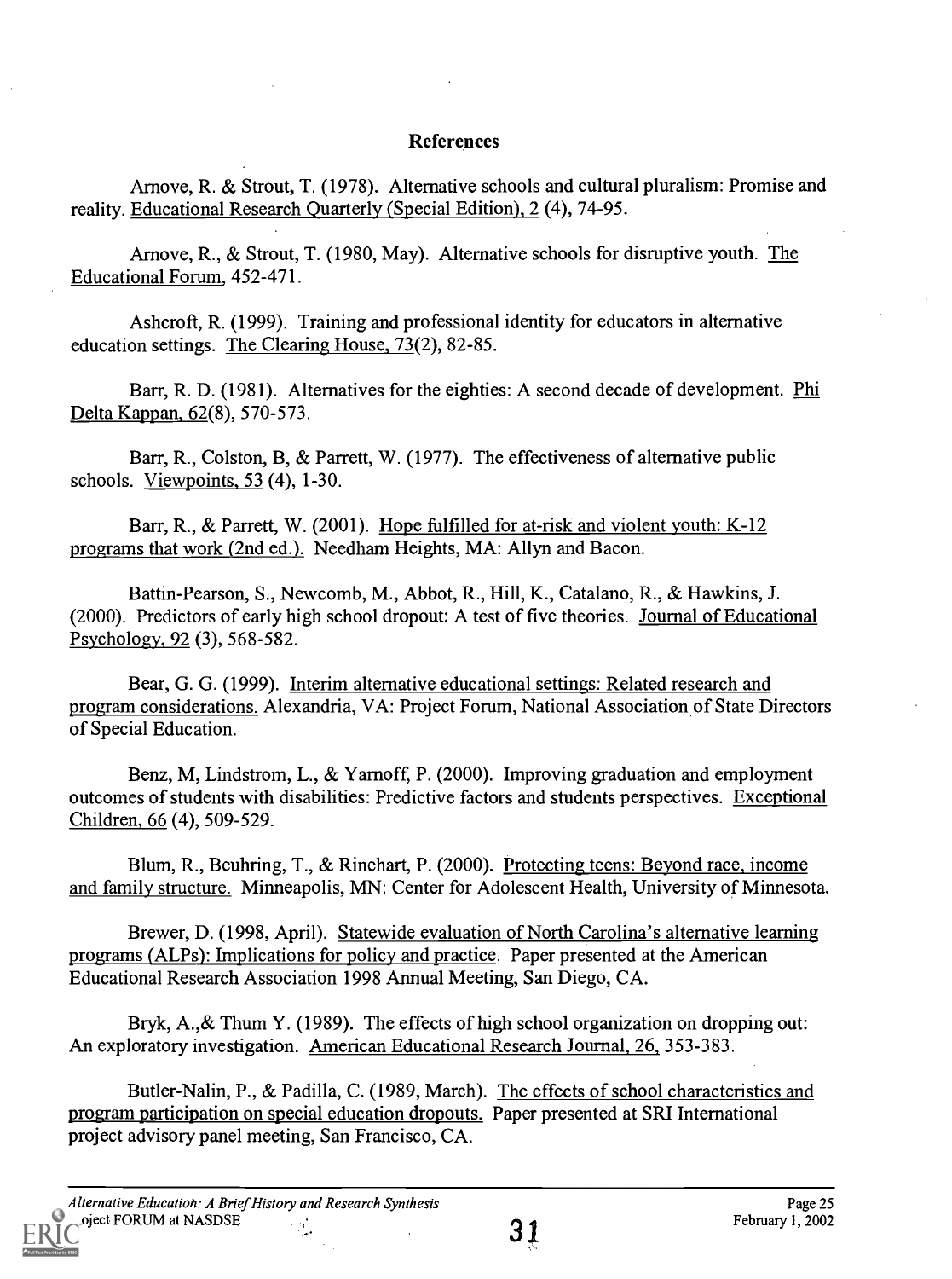#### References

Arnove, R. & Strout, T. (1978). Alternative schools and cultural pluralism: Promise and reality. Educational Research Quarterly (Special Edition), 2 (4), 74-95.

Arnove, R., & Strout, T. (1980, May). Alternative schools for disruptive youth. The Educational Forum, 452-471.

Ashcroft, R. (1999). Training and professional identity for educators in alternative education settings. The Clearing House, 73(2), 82-85.

Barr, R. D. (1981). Alternatives for the eighties: A second decade of development. Phi Delta Kappan, 62(8), 570-573.

Barr, R., Colston, B, & Parrett, W. (1977). The effectiveness of alternative public schools. Viewpoints, 53 (4), 1-30.

Barr, R., & Parrett, W. (2001). Hope fulfilled for at-risk and violent youth: K-12 programs that work (2nd ed.). Needham Heights, MA: Allyn and Bacon.

Battin-Pearson, S., Newcomb, M., Abbot, R., Hill, K., Catalano, R., & Hawkins, J. (2000). Predictors of early high school dropout: A test of five theories. Journal of Educational Psychology, 92 (3), 568-582.

Bear, G. G. (1999). Interim alternative educational settings: Related research and program considerations. Alexandria, VA: Project Forum, National Association of State Directors of Special Education.

Benz, M, Lindstrom, L., & Yarnoff, P. (2000). Improving graduation and employment outcomes of students with disabilities: Predictive factors and students perspectives. Exceptional Children, 66 (4), 509-529.

Blum, R., Beuhring, T., & Rinehart, P. (2000). Protecting teens: Beyond race, income and family structure. Minneapolis, MN: Center for Adolescent Health, University of Minnesota.

Brewer, D. (1998, April). Statewide evaluation of North Carolina's alternative learning programs (ALPs): Implications for policy and practice. Paper presented at the American Educational Research Association 1998 Annual Meeting, San Diego, CA.

Bryk, A.,& Thum Y. (1989). The effects of high school organization on dropping out: An exploratory investigation. American Educational Research Journal, 26, 353-383.

Butler-Nalin, P., & Padilla, C. (1989, March). The effects of school characteristics and program participation on special education dropouts. Paper presented at SRI International project advisory panel meeting, San Francisco, CA.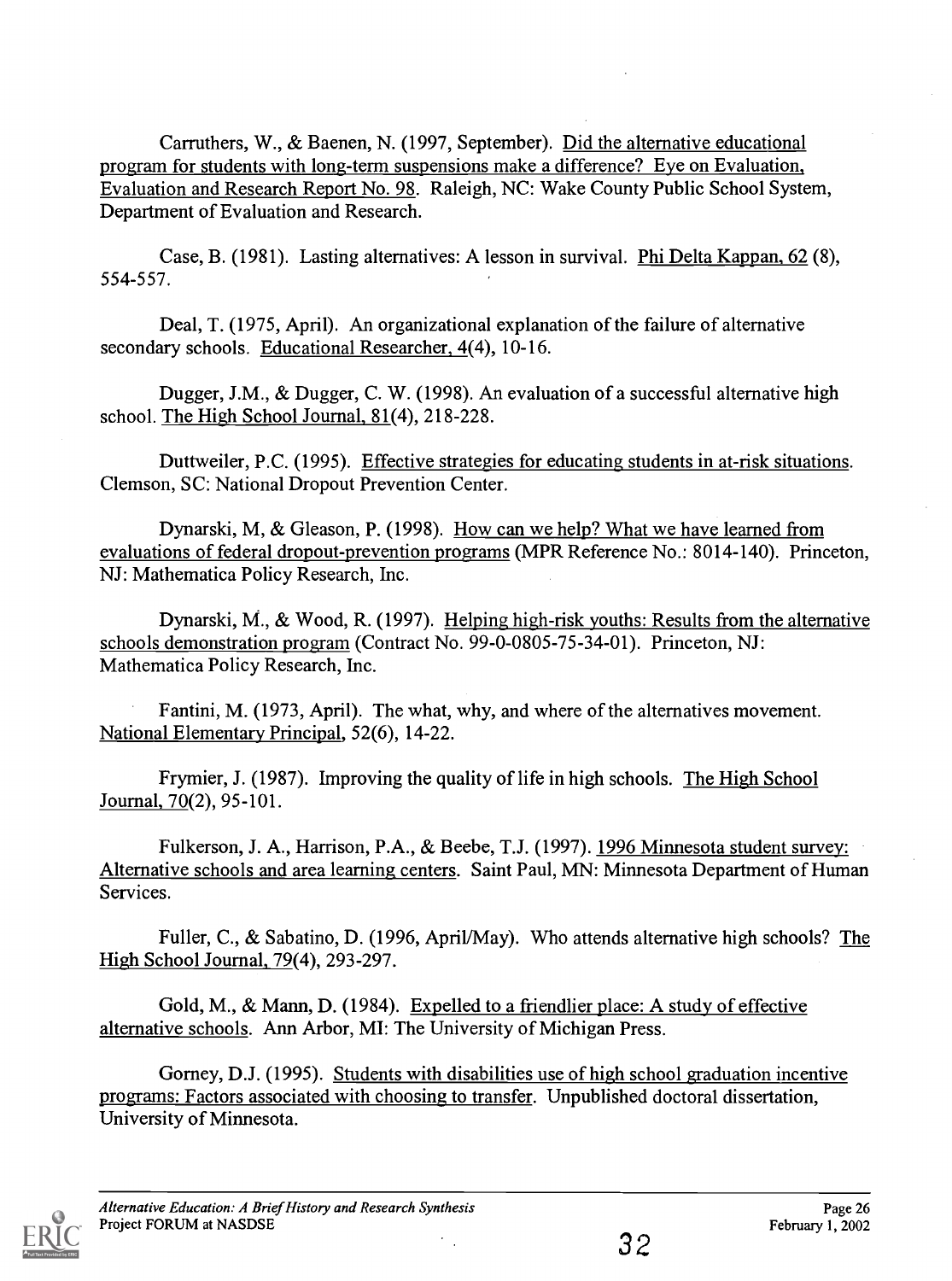Carruthers, W., & Baenen, N. (1997, September). Did the alternative educational program for students with long-term suspensions make a difference? Eye on Evaluation, Evaluation and Research Report No. 98. Raleigh, NC: Wake County Public School System, Department of Evaluation and Research.

Case, B. (1981). Lasting alternatives: A lesson in survival. Phi Delta Kappan, 62 (8), 554-557.

Deal, T. (1975, April). An organizational explanation of the failure of alternative secondary schools. Educational Researcher, 4(4), 10-16.

Dugger, J.M., & Dugger, C. W. (1998). An evaluation of a successful alternative high school. The High School Journal, 81(4), 218-228.

Duttweiler, P.C. (1995). Effective strategies for educating students in at-risk situations. Clemson, SC: National Dropout Prevention Center.

Dynarski, M, & Gleason, P. (1998). How can we help? What we have learned from evaluations of federal dropout-prevention programs (MPR Reference No.: 8014-140). Princeton, NJ: Mathematica Policy Research, Inc.

Dynarski, M., & Wood, R. (1997). Helping high-risk youths: Results from the alternative schools demonstration program (Contract No. 99-0-0805-75-34-01). Princeton, NJ: Mathematica Policy Research, Inc.

Fantini, M. (1973, April). The what, why, and where of the alternatives movement. National Elementary Principal, 52(6), 14-22.

Frymier, J. (1987). Improving the quality of life in high schools. The High School Journal, 70(2), 95-101.

Fulkerson, J. A., Harrison, P.A., & Beebe, T.J. (1997). 1996 Minnesota student survey: Alternative schools and area learning centers. Saint Paul, MN: Minnesota Department of Human Services.

Fuller, C., & Sabatino, D. (1996, April/May). Who attends alternative high schools? The High School Journal, 79(4), 293-297.

Gold, M., & Mann, D. (1984). Expelled to a friendlier place: A study of effective alternative schools. Ann Arbor, MI: The University of Michigan Press.

Gorney, D.J. (1995). Students with disabilities use of high school graduation incentive programs: Factors associated with choosing to transfer. Unpublished doctoral dissertation, University of Minnesota.

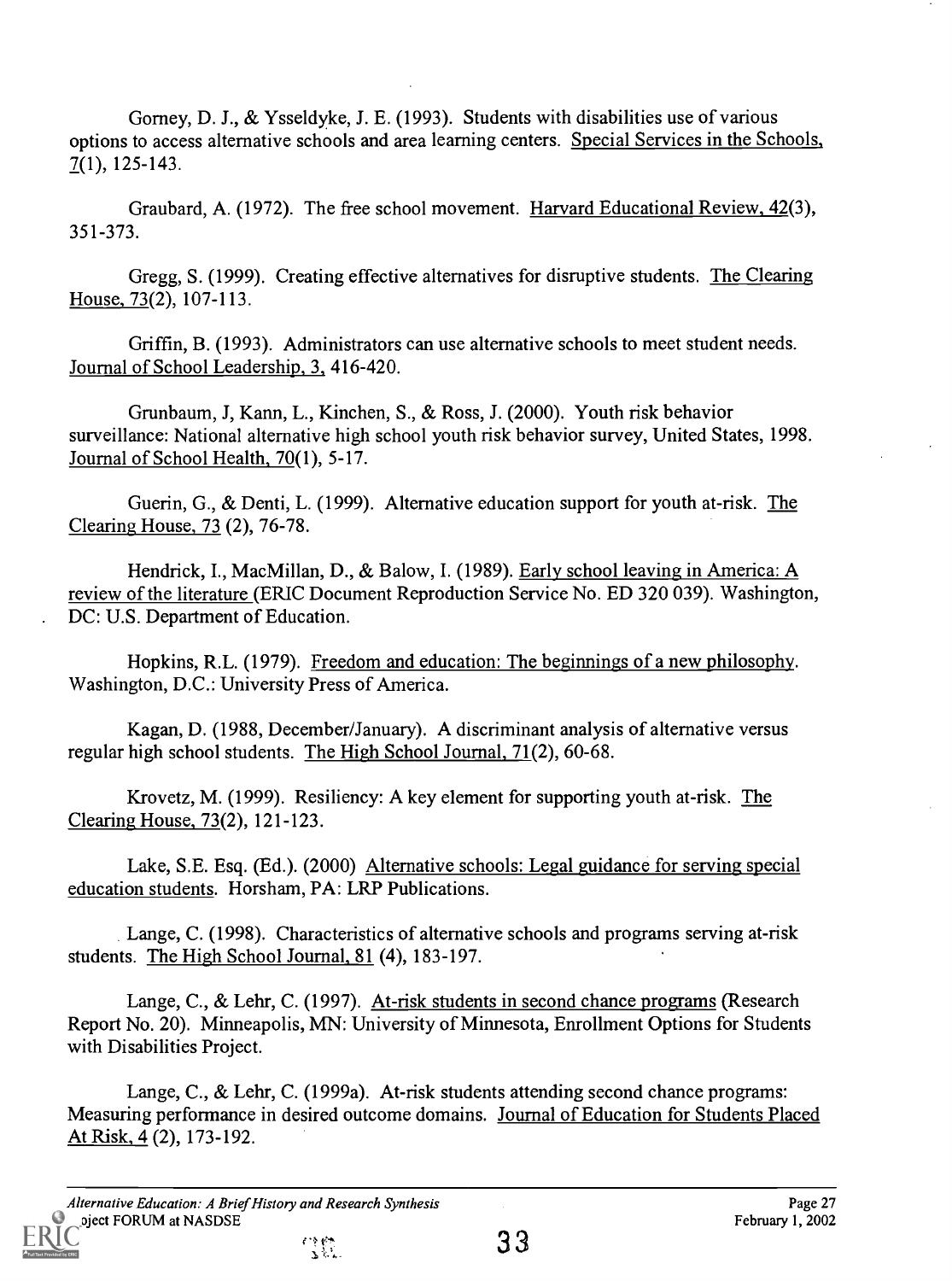Gorney, D. J., & Ysseldyke, J. E. (1993). Students with disabilities use of various options to access alternative schools and area learning centers. Special Services in the Schools, 7(1), 125-143.

Graubard, A. (1972). The free school movement. Harvard Educational Review, 42(3), 351-373.

Gregg, S. (1999). Creating effective alternatives for disruptive students. The Clearing House, 73(2), 107-113.

Griffin, B. (1993). Administrators can use alternative schools to meet student needs. Journal of School Leadership, 3, 416-420.

Grunbaum, J, Kann, L., Kinchen, S., & Ross, J. (2000). Youth risk behavior surveillance: National alternative high school youth risk behavior survey, United States, 1998. Journal of School Health, 70(1), 5-17.

Guerin, G., & Denti, L. (1999). Alternative education support for youth at-risk. The Clearing House, 73 (2), 76-78.

Hendrick, I., MacMillan, D., & Balow, I. (1989). Early school leaving in America: A review of the literature (ERIC Document Reproduction Service No. ED 320 039). Washington, DC: U.S. Department of Education.

Hopkins, R.L. (1979). Freedom and education: The beginnings of a new philosophy. Washington, D.C.: University Press of America.

Kagan, D. (1988, December/January). A discriminant analysis of alternative versus regular high school students. The High School Journal, 71(2), 60-68.

Krovetz, M. (1999). Resiliency: A key element for supporting youth at-risk. The Clearing House, 73(2), 121-123.

Lake, S.E. Esq. (Ed.). (2000) Alternative schools: Legal guidance for serving special education students. Horsham, PA: LRP Publications.

Lange, C. (1998). Characteristics of alternative schools and programs serving at-risk students. The High School Journal, 81 (4), 183-197.

Lange, C., & Lehr, C. (1997). At-risk students in second chance programs (Research Report No. 20). Minneapolis, MN: University of Minnesota, Enrollment Options for Students with Disabilities Project.

Lange, C., & Lehr, C. (1999a). At-risk students attending second chance programs: Measuring performance in desired outcome domains. Journal of Education for Students Placed At Risk, 4 (2), 173-192.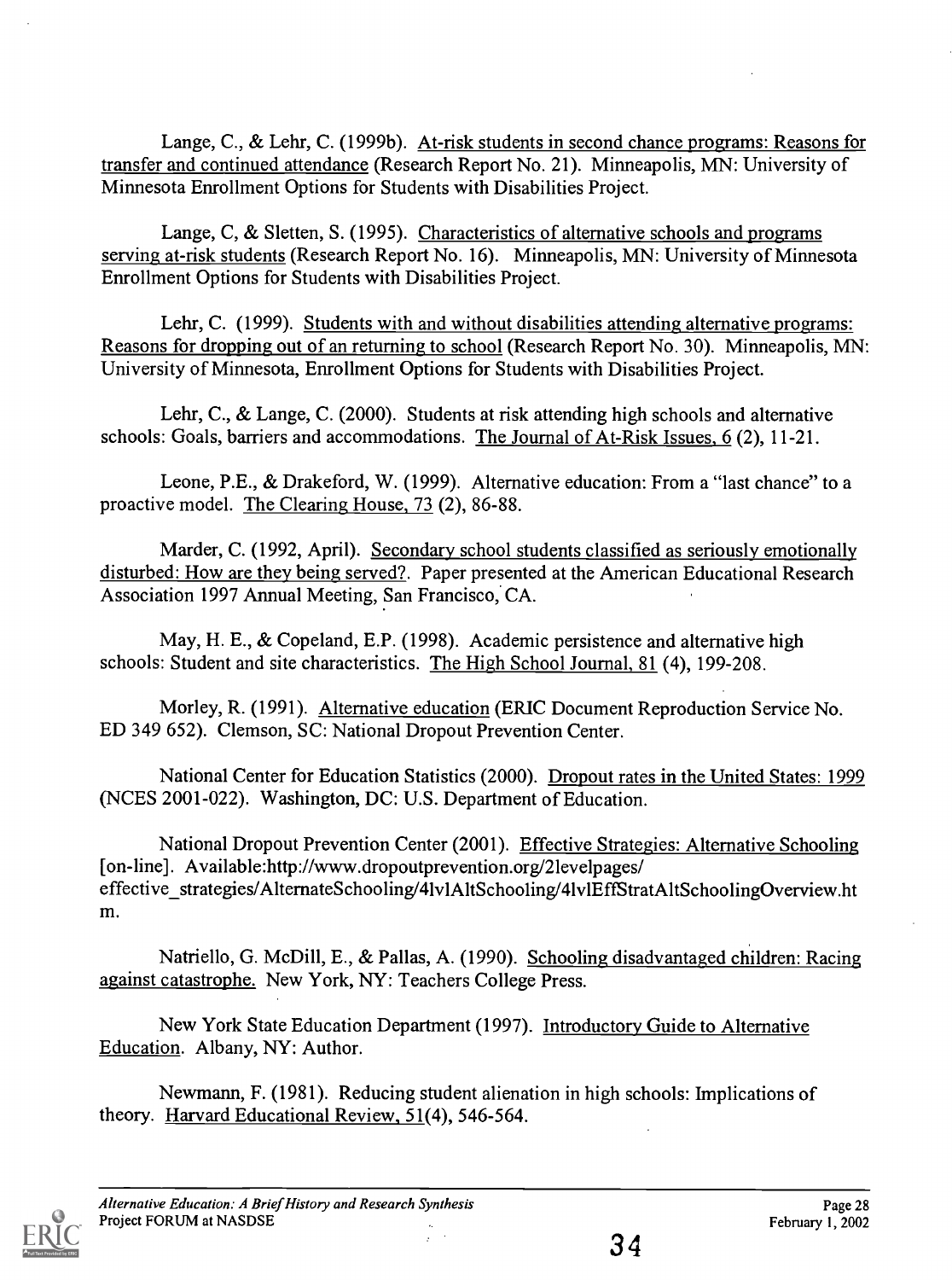Lange, C., & Lehr, C. (1999b). At-risk students in second chance programs: Reasons for transfer and continued attendance (Research Report No. 21). Minneapolis, MN: University of Minnesota Enrollment Options for Students with Disabilities Project.

Lange, C, & Sletten, S. (1995). Characteristics of alternative schools and programs serving at-risk students (Research Report No. 16). Minneapolis, MN: University of Minnesota Enrollment Options for Students with Disabilities Project.

Lehr, C. (1999). Students with and without disabilities attending alternative programs: Reasons for dropping out of an returning to school (Research Report No. 30). Minneapolis, MN: University of Minnesota, Enrollment Options for Students with Disabilities Project.

Lehr, C., & Lange, C. (2000). Students at risk attending high schools and alternative schools: Goals, barriers and accommodations. The Journal of At-Risk Issues, 6 (2), 11-21.

Leone, P.E., & Drakeford, W. (1999). Alternative education: From a "last chance" to a proactive model. The Clearing House, 73 (2), 86-88.

Marder, C. (1992, April). Secondary school students classified as seriously emotionally disturbed: How are they being served?. Paper presented at the American Educational Research Association 1997 Annual Meeting, San Francisco, CA.

May, H. E., & Copeland, E.P. (1998). Academic persistence and alternative high schools: Student and site characteristics. The High School Journal, 81 (4), 199-208.

Morley, R. (1991). Alternative education (ERIC Document Reproduction Service No. ED 349 652). Clemson, SC: National Dropout Prevention Center.

National Center for Education Statistics (2000). Dropout rates in the United States: 1999 (NCES 2001-022). Washington, DC: U.S. Department of Education.

National Dropout Prevention Center (2001). Effective Strategies: Alternative Schooling [on-line]. Available:http://www.dropoutprevention.org/21evelpages/ effective\_strategies/AlternateSchooling/41v1AltSchooling/41v1EffStratAltSchoolingOverview.ht m.

Natriello, G. McDill, E., & Pallas, A. (1990). Schooling disadvantaged children: Racing against catastrophe. New York, NY: Teachers College Press.

New York State Education Department (1997). Introductory Guide to Alternative Education. Albany, NY: Author.

Newmann, F. (1981). Reducing student alienation in high schools: Implications of theory. Harvard Educational Review, 51(4), 546-564.

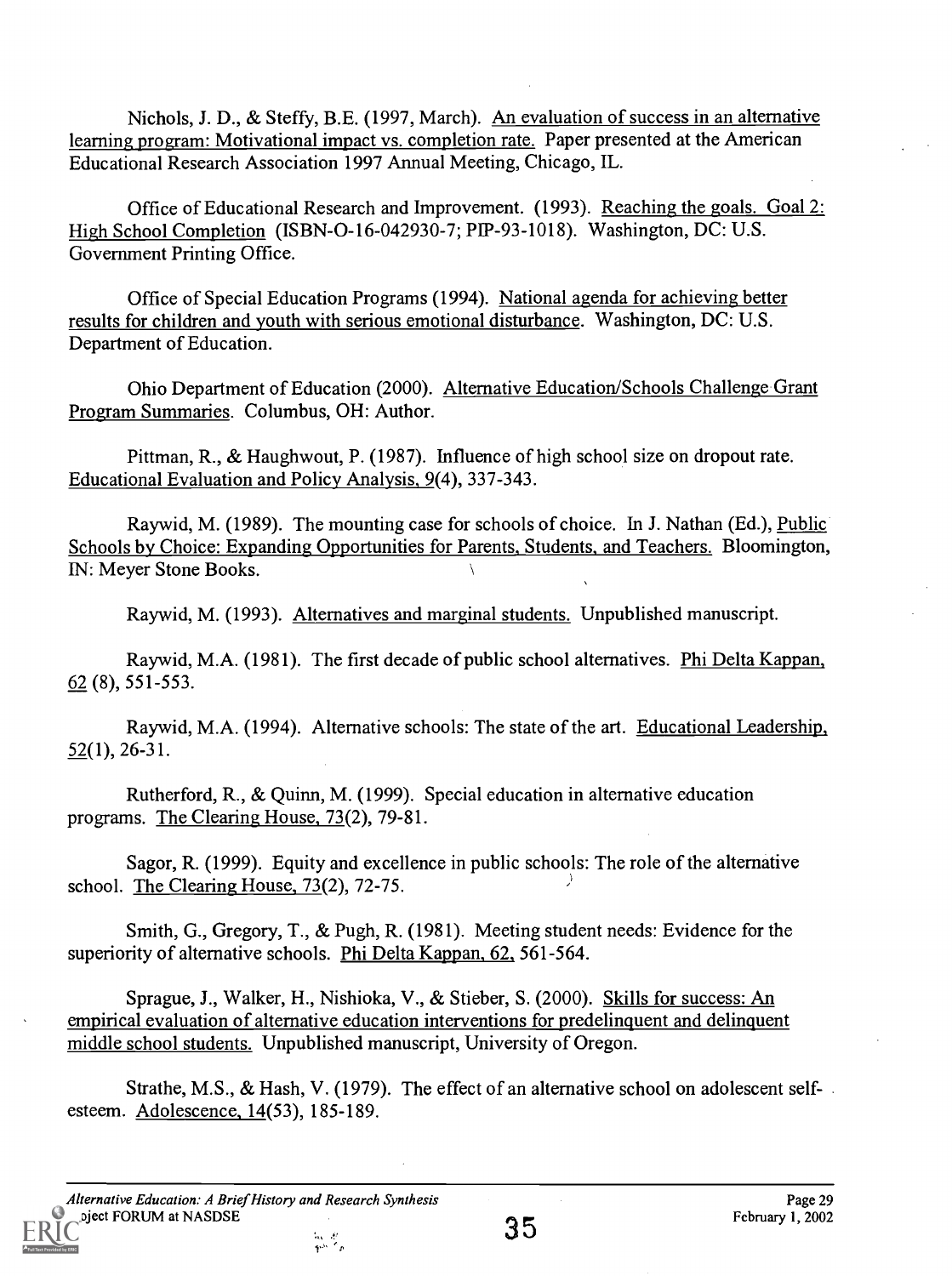Nichols, J. D., & Steffy, B.E. (1997, March). An evaluation of success in an alternative learning program: Motivational impact vs. completion rate. Paper presented at the American Educational Research Association 1997 Annual Meeting, Chicago, IL.

Office of Educational Research and Improvement. (1993). Reaching the goals. Goal 2: High School Completion (ISBN-0-16-042930-7; PIP-93-1018). Washington, DC: U.S. Government Printing Office.

Office of Special Education Programs (1994). National agenda for achieving better results for children and youth with serious emotional disturbance. Washington, DC: U.S. Department of Education.

Ohio Department of Education (2000). Alternative Education/Schools Challenge Grant Program Summaries. Columbus, OH: Author.

Pittman, R., & Haughwout, P. (1987). Influence of high school size on dropout rate. Educational Evaluation and Policy Analysis, 9(4), 337-343.

Raywid, M. (1989). The mounting case for schools of choice. In J. Nathan (Ed.), Public Schools by Choice: Expanding Opportunities for Parents, Students, and Teachers. Bloomington, IN: Meyer Stone Books.

Raywid, M. (1993). Alternatives and marginal students. Unpublished manuscript.

Raywid, M.A. (1981). The first decade of public school alternatives. Phi Delta Kappan, 62 (8), 551-553.

Raywid, M.A. (1994). Alternative schools: The state of the art. Educational Leadership, 52(1), 26-31.

Rutherford, R., & Quinn, M. (1999). Special education in alternative education programs. The Clearing House, 73(2), 79-81.

Sagor, R. (1999). Equity and excellence in public schools: The role of the alternative school. The Clearing House, 73(2), 72-75.

Smith, G., Gregory, T., & Pugh, R. (1981). Meeting student needs: Evidence for the superiority of alternative schools. Phi Delta Kappan, 62, 561-564.

Sprague, J., Walker, H., Nishioka, V., & Stieber, S. (2000). Skills for success: An empirical evaluation of alternative education interventions for predelinquent and delinquent middle school students. Unpublished manuscript, University of Oregon.

Strathe, M.S., & Hash, V. (1979). The effect of an alternative school on adolescent selfesteem. Adolescence, 14(53), 185-189.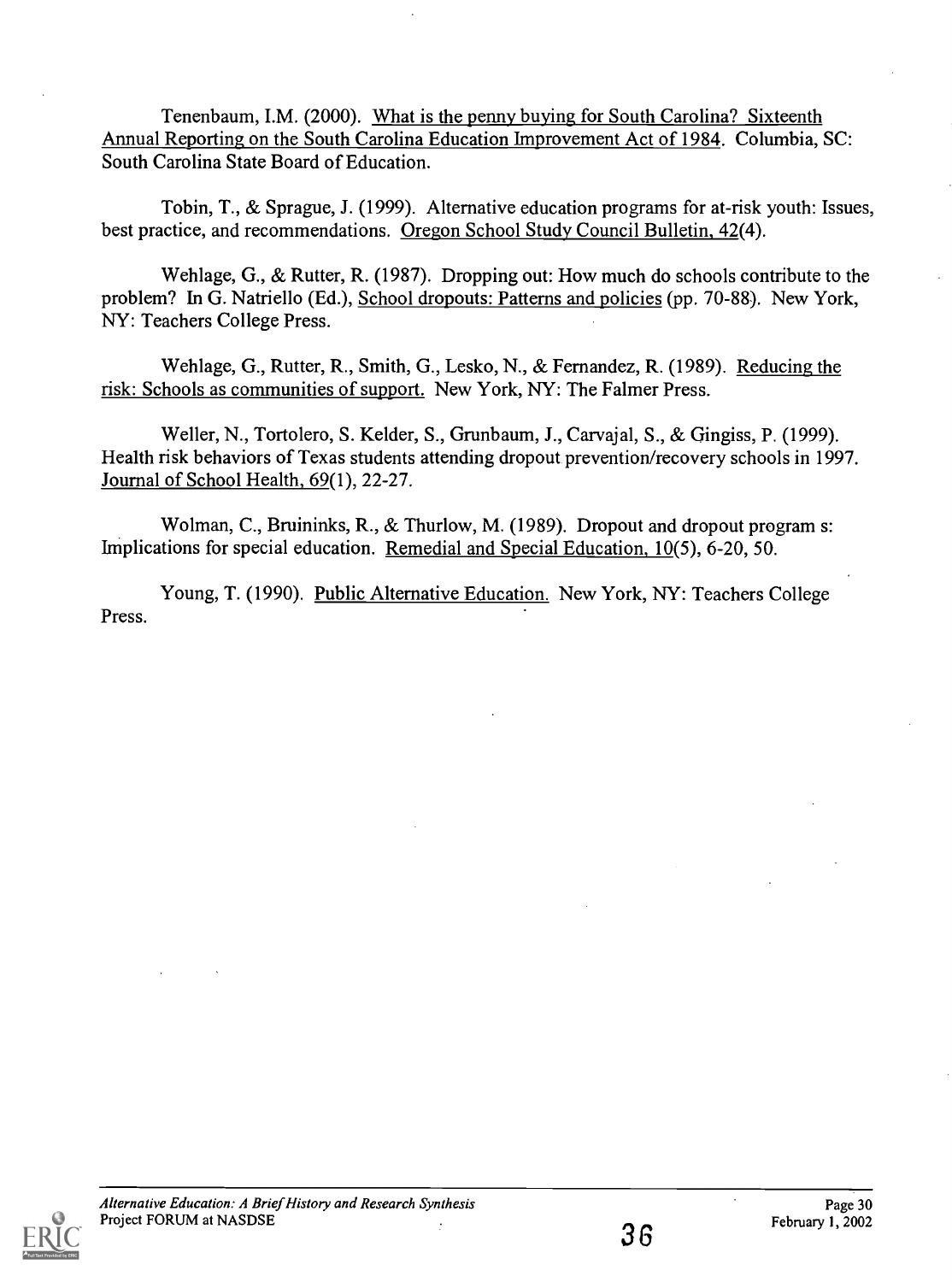Tenenbaum, I.M. (2000). What is the penny buying for South Carolina? Sixteenth Annual Reporting on the South Carolina Education Improvement Act of 1984. Columbia, SC: South Carolina State Board of Education.

Tobin, T., & Sprague, J. (1999). Alternative education programs for at-risk youth: Issues, best practice, and recommendations. Oregon School Study Council Bulletin, 42(4).

Wehlage, G., & Rutter, R. (1987). Dropping out: How much do schools contribute to the problem? In G. Natriello (Ed.), School dropouts: Patterns and policies (pp. 70-88). New York, NY: Teachers College Press.

Wehlage, G., Rutter, R., Smith, G., Lesko, N., & Fernandez, R. (1989). Reducing the risk: Schools as communities of support. New York, NY: The Falmer Press.

Weller, N., Tortolero, S. Kelder, S., Grunbaum, J., Carvajal, S., & Oingiss, P. (1999). Health risk behaviors of Texas students attending dropout prevention/recovery schools in 1997. Journal of School Health, 69(1), 22-27.

Wolman, C., Bruininks, R., & Thurlow, M. (1989). Dropout and dropout program s: Implications for special education. Remedial and Special Education, 10(5), 6-20, 50.

Young, T. (1990). Public Alternative Education. New York, NY: Teachers College Press.

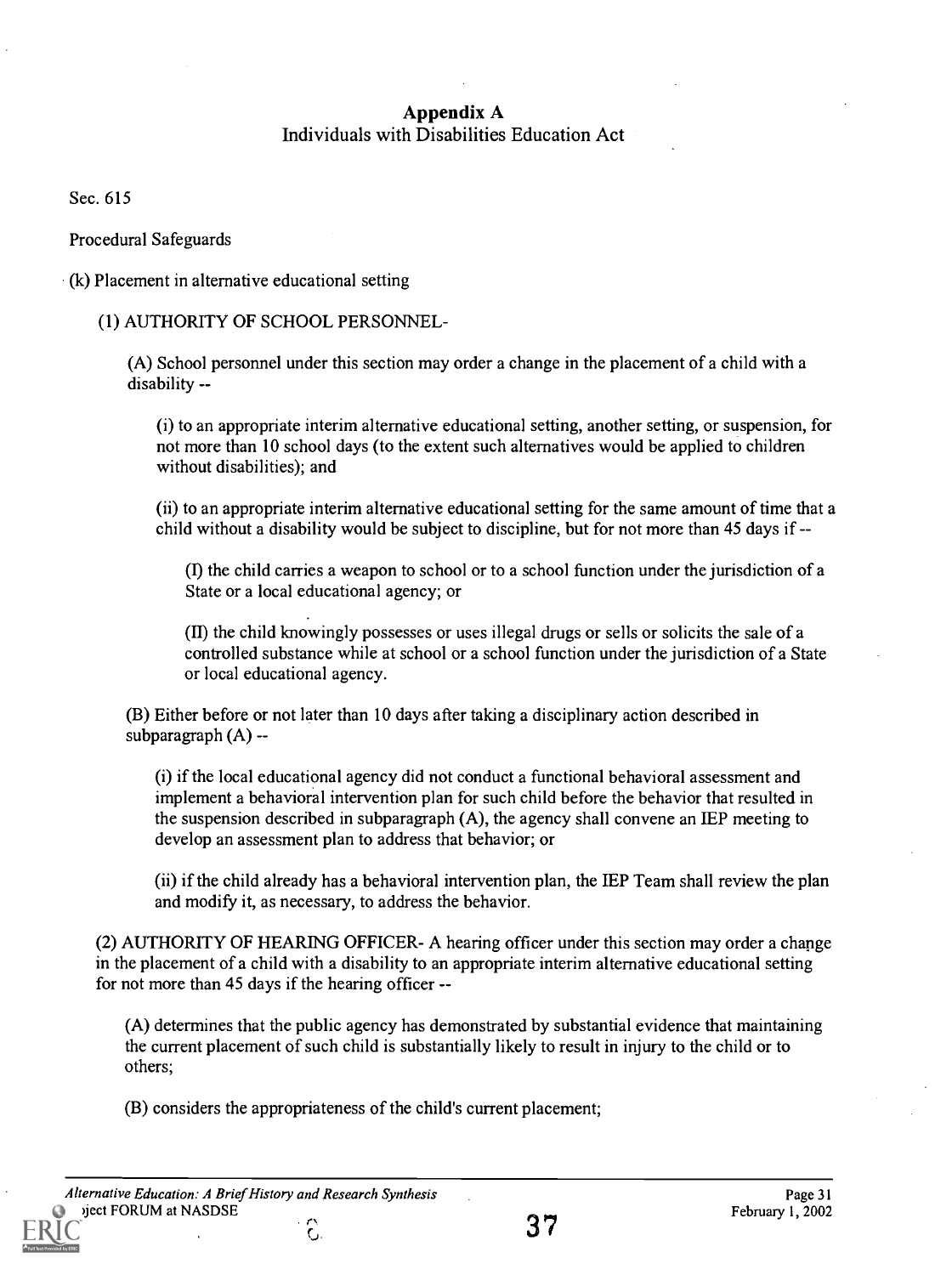## Appendix A Individuals with Disabilities Education Act

Sec. 615

Procedural Safeguards

(k) Placement in alternative educational setting

#### (1) AUTHORITY OF SCHOOL PERSONNEL-

(A) School personnel under this section may order a change in the placement of a child with a disability --

(i) to an appropriate interim alternative educational setting, another setting, or suspension, for not more than 10 school days (to the extent such alternatives would be applied to children without disabilities); and

(ii) to an appropriate interim alternative educational setting for the same amount of time that a child without a disability would be subject to discipline, but for not more than 45 days if

(I) the child carries a weapon to school or to a school function under the jurisdiction of a State or a local educational agency; or

(II) the child knowingly possesses or uses illegal drugs or sells or solicits the sale of a controlled substance while at school or a school function under the jurisdiction of a State or local educational agency.

(B) Either before or not later than 10 days after taking a disciplinary action described in subparagraph  $(A)$  --

(i) if the local educational agency did not conduct a functional behavioral assessment and implement a behavioral intervention plan for such child before the behavior that resulted in the suspension described in subparagraph (A), the agency shall convene an IEP meeting to develop an assessment plan to address that behavior; or

(ii) if the child already has a behavioral intervention plan, the TEP Team shall review the plan and modify it, as necessary, to address the behavior.

(2) AUTHORITY OF HEARING OFFICER- A hearing officer under this section may order a change in the placement of a child with a disability to an appropriate interim alternative educational setting for not more than 45 days if the hearing officer --

(A) determines that the public agency has demonstrated by substantial evidence that maintaining the current placement of such child is substantially likely to result in injury to the child or to others;

(B) considers the appropriateness of the child's current placement;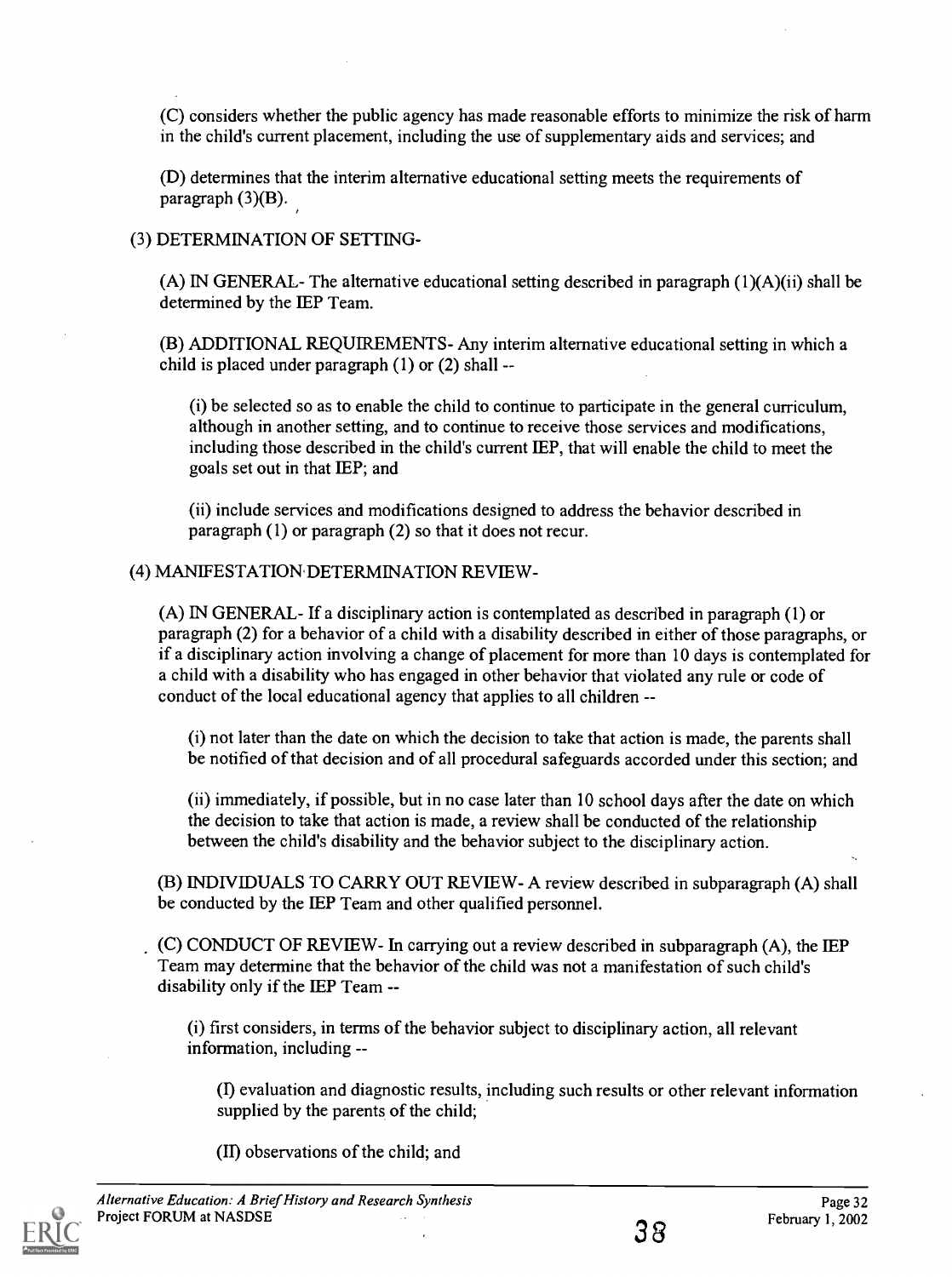(C) considers whether the public agency has made reasonable efforts to minimize the risk of harm in the child's current placement, including the use of supplementary aids and services; and

(D) determines that the interim alternative educational setting meets the requirements of paragraph (3)(B).

#### (3) DETERMINATION OF SETTING-

(A) IN GENERAL- The alternative educational setting described in paragraph  $(1)(A)(ii)$  shall be determined by the IEP Team.

(B) ADDITIONAL REQUIREMENTS- Any interim alternative educational setting in which a child is placed under paragraph (1) or (2) shall --

(i) be selected so as to enable the child to continue to participate in the general curriculum, although in another setting, and to continue to receive those services and modifications, including those described in the child's current IEP, that will enable the child to meet the goals set out in that IEP; and

(ii) include services and modifications designed to address the behavior described in paragraph (1) or paragraph (2) so that it does not recur.

#### (4) MANIFESTATION DETERMINATION REVIEW-

(A) IN GENERAL- If a disciplinary action is contemplated as described in paragraph (1) or paragraph (2) for a behavior of a child with a disability described in either of those paragraphs, or if a disciplinary action involving a change of placement for more than 10 days is contemplated for a child with a disability who has engaged in other behavior that violated any rule or code of conduct of the local educational agency that applies to all children --

(i) not later than the date on which the decision to take that action is made, the parents shall be notified of that decision and of all procedural safeguards accorded under this section; and

(ii) immediately, if possible, but in no case later than 10 school days after the date on which the decision to take that action is made, a review shall be conducted of the relationship between the child's disability and the behavior subject to the disciplinary action.

(B) INDIVIDUALS TO CARRY OUT REVIEW- A review described in subparagraph (A) shall be conducted by the IEP Team and other qualified personnel.

(C) CONDUCT OF REVIEW- In carrying out a review described in subparagraph (A), the IEP Team may determine that the behavior of the child was not a manifestation of such child's disability only if the IEP Team --

(i) first considers, in terms of the behavior subject to disciplinary action, all relevant information, including --

(I) evaluation and diagnostic results, including such results or other relevant information supplied by the parents of the child;

(H) observations of the child; and

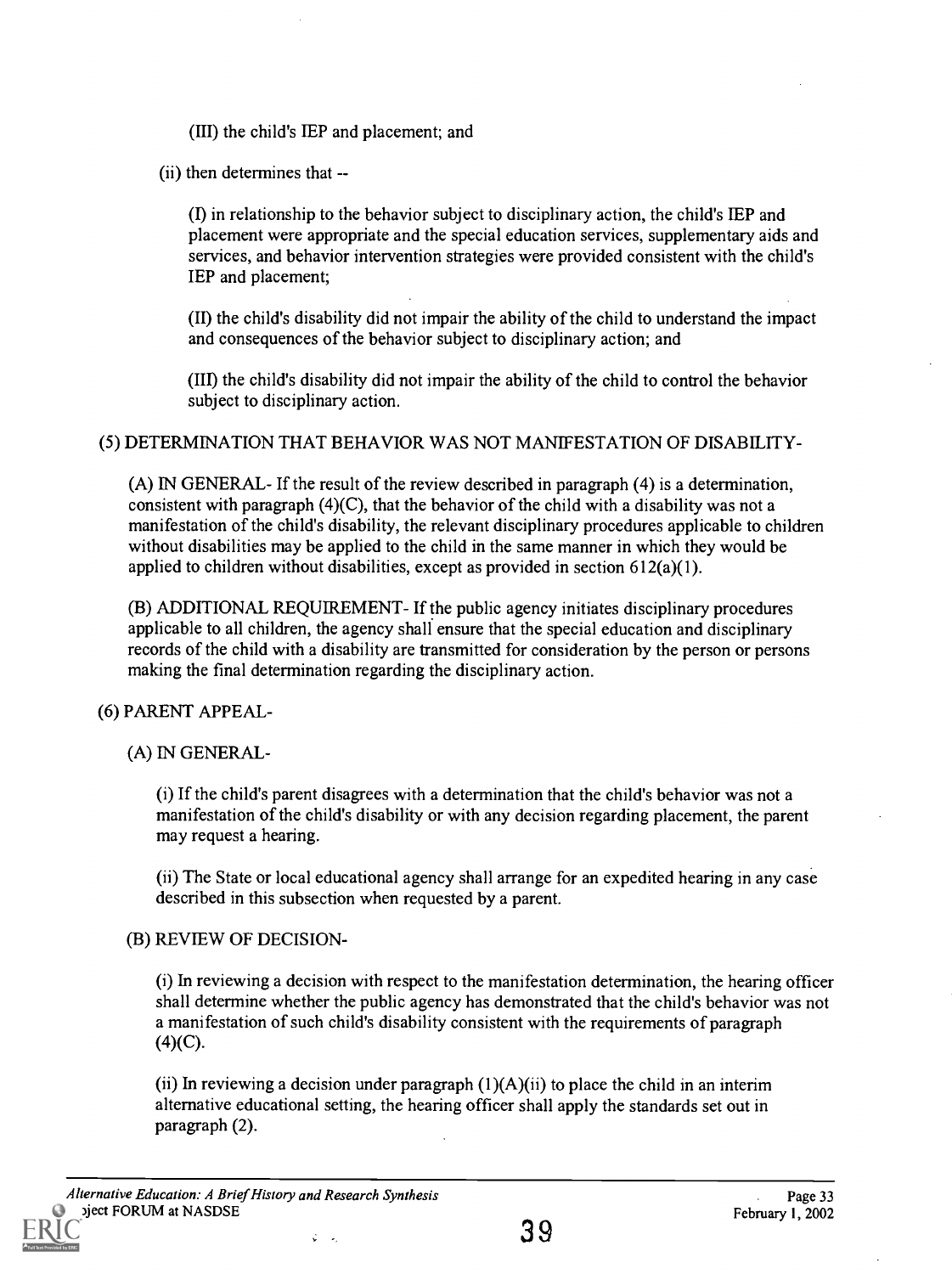- (III) the child's IEP and placement; and
- (ii) then determines that --

(I) in relationship to the behavior subject to disciplinary action, the child's IEP and placement were appropriate and the special education services, supplementary aids and services, and behavior intervention strategies were provided consistent with the child's IEP and placement;

(II) the child's disability did not impair the ability of the child to understand the impact and consequences of the behavior subject to disciplinary action; and

(III) the child's disability did not impair the ability of the child to control the behavior subject to disciplinary action.

#### (5) DETERMINATION THAT BEHAVIOR WAS NOT MANIFESTATION OF DISABILITY-

(A) IN GENERAL- If the result of the review described in paragraph (4) is a determination, consistent with paragraph  $(4)(C)$ , that the behavior of the child with a disability was not a manifestation of the child's disability, the relevant disciplinary procedures applicable to children without disabilities may be applied to the child in the same manner in which they would be applied to children without disabilities, except as provided in section 612(a)(1).

(B) ADDITIONAL REQUIREMENT- If the public agency initiates disciplinary procedures applicable to all children, the agency shall ensure that the special education and disciplinary records of the child with a disability are transmitted for consideration by the person or persons making the final determination regarding the disciplinary action.

#### (6) PARENT APPEAL-

## (A) IN GENERAL-

(i) If the child's parent disagrees with a determination that the child's behavior was not a manifestation of the child's disability or with any decision regarding placement, the parent may request a hearing.

(ii) The State or local educational agency shall arrange for an expedited hearing in any case described in this subsection when requested by a parent.

#### (B) REVIEW OF DECISION-

(i) In reviewing a decision with respect to the manifestation determination, the hearing officer shall determine whether the public agency has demonstrated that the child's behavior was not a manifestation of such child's disability consistent with the requirements of paragraph  $(4)(C).$ 

(ii) In reviewing a decision under paragraph  $(1)(A)(ii)$  to place the child in an interim alternative educational setting, the hearing officer shall apply the standards set out in paragraph (2).

 $\mathcal{L} = \mathcal{L}$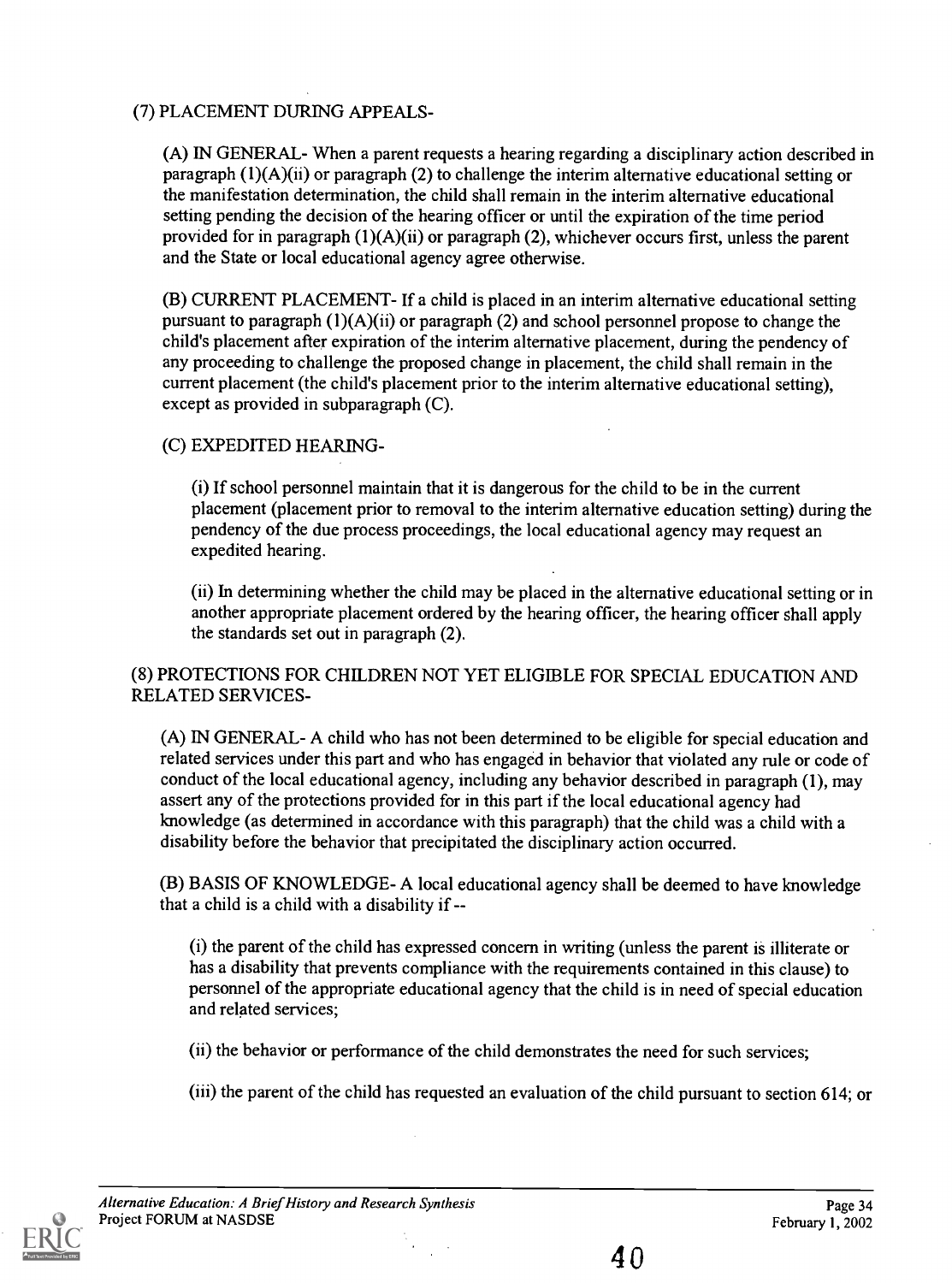## (7) PLACEMENT DURING APPEALS-

(A) IN GENERAL- When a parent requests a hearing regarding a disciplinary action described in paragraph  $(1)(A)(ii)$  or paragraph  $(2)$  to challenge the interim alternative educational setting or the manifestation determination, the child shall remain in the interim alternative educational setting pending the decision of the hearing officer or until the expiration of the time period provided for in paragraph  $(1)(A)(ii)$  or paragraph  $(2)$ , whichever occurs first, unless the parent and the State or local educational agency agree otherwise.

(B) CURRENT PLACEMENT- If a child is placed in an interim alternative educational setting pursuant to paragraph  $(1)(A)(ii)$  or paragraph  $(2)$  and school personnel propose to change the child's placement after expiration of the interim alternative placement, during the pendency of any proceeding to challenge the proposed change in placement, the child shall remain in the current placement (the child's placement prior to the interim alternative educational setting), except as provided in subparagraph (C).

## (C) EXPEDITED HEARING-

(i) If school personnel maintain that it is dangerous for the child to be in the current placement (placement prior to removal to the interim alternative education setting) during the pendency of the due process proceedings, the local educational agency may request an expedited hearing.

(ii) In determining whether the child may be placed in the alternative educational setting or in another appropriate placement ordered by the hearing officer, the hearing officer shall apply the standards set out in paragraph (2).

#### (8) PROTECTIONS FOR CHILDREN NOT YET ELIGIBLE FOR SPECIAL EDUCATION AND RELATED SERVICES-

(A) IN GENERAL- A child who has not been determined to be eligible for special education and related services under this part and who has engaged in behavior that violated any rule or code of conduct of the local educational agency, including any behavior described in paragraph (1), may assert any of the protections provided for in this part if the local educational agency had knowledge (as determined in accordance with this paragraph) that the child was a child with a disability before the behavior that precipitated the disciplinary action occurred.

(B) BASIS OF KNOWLEDGE- A local educational agency shall be deemed to have knowledge that a child is a child with a disability if--

(i) the parent of the child has expressed concern in writing (unless the parent is illiterate or has a disability that prevents compliance with the requirements contained in this clause) to personnel of the appropriate educational agency that the child is in need of special education and related services;

(ii) the behavior or performance of the child demonstrates the need for such services;

(iii) the parent of the child has requested an evaluation of the child pursuant to section 614; or

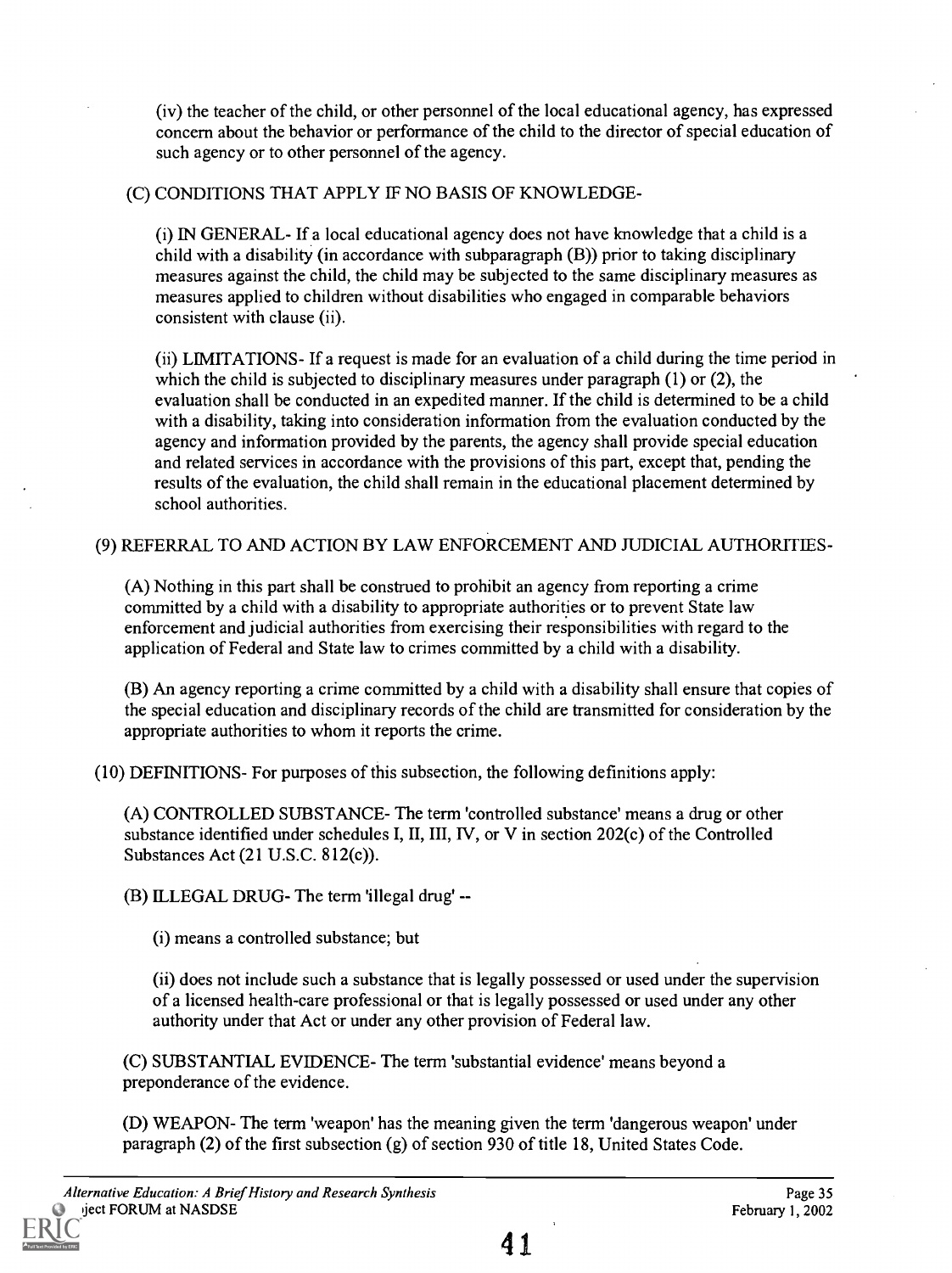(iv) the teacher of the child, or other personnel of the local educational agency, has expressed concern about the behavior or performance of the child to the director of special education of such agency or to other personnel of the agency.

## (C) CONDITIONS THAT APPLY IF NO BASIS OF KNOWLEDGE-

(i) IN GENERAL- If a local educational agency does not have knowledge that a child is a child with a disability (in accordance with subparagraph (B)) prior to taking disciplinary measures against the child, the child may be subjected to the same disciplinary measures as measures applied to children without disabilities who engaged in comparable behaviors consistent with clause (ii).

(ii) LIMITATIONS- If a request is made for an evaluation of a child during the time period in which the child is subjected to disciplinary measures under paragraph (1) or (2), the evaluation shall be conducted in an expedited manner. If the child is determined to be a child with a disability, taking into consideration information from the evaluation conducted by the agency and information provided by the parents, the agency shall provide special education and related services in accordance with the provisions of this part, except that, pending the results of the evaluation, the child shall remain in the educational placement determined by school authorities.

(9) REFERRAL TO AND ACTION BY LAW ENFORCEMENT AND JUDICIAL AUTHORITIES-

(A) Nothing in this part shall be construed to prohibit an agency from reporting a crime committed by a child with a disability to appropriate authorities or to prevent State law enforcement and judicial authorities from exercising their responsibilities with regard to the application of Federal and State law to crimes committed by a child with a disability.

(B) An agency reporting a crime committed by a child with a disability shall ensure that copies of the special education and disciplinary records of the child are transmitted for consideration by the appropriate authorities to whom it reports the crime.

(10) DEFINITIONS- For purposes of this subsection, the following definitions apply:

(A) CONTROLLED SUBSTANCE- The term 'controlled substance' means a drug or other substance identified under schedules I, II, III, IV, or V in section 202(c) of the Controlled Substances Act (21 U.S.C. 812(c)).

(B) ILLEGAL DRUG- The term 'illegal drug' --

(i) means a controlled substance; but

(ii) does not include such a substance that is legally possessed or used under the supervision of a licensed health-care professional or that is legally possessed or used under any other authority under that Act or under any other provision of Federal law.

(C) SUBSTANTIAL EVIDENCE- The term 'substantial evidence' means beyond a preponderance of the evidence.

(D) WEAPON- The term 'weapon' has the meaning given the term 'dangerous weapon' under paragraph (2) of the first subsection (g) of section 930 of title 18, United States Code.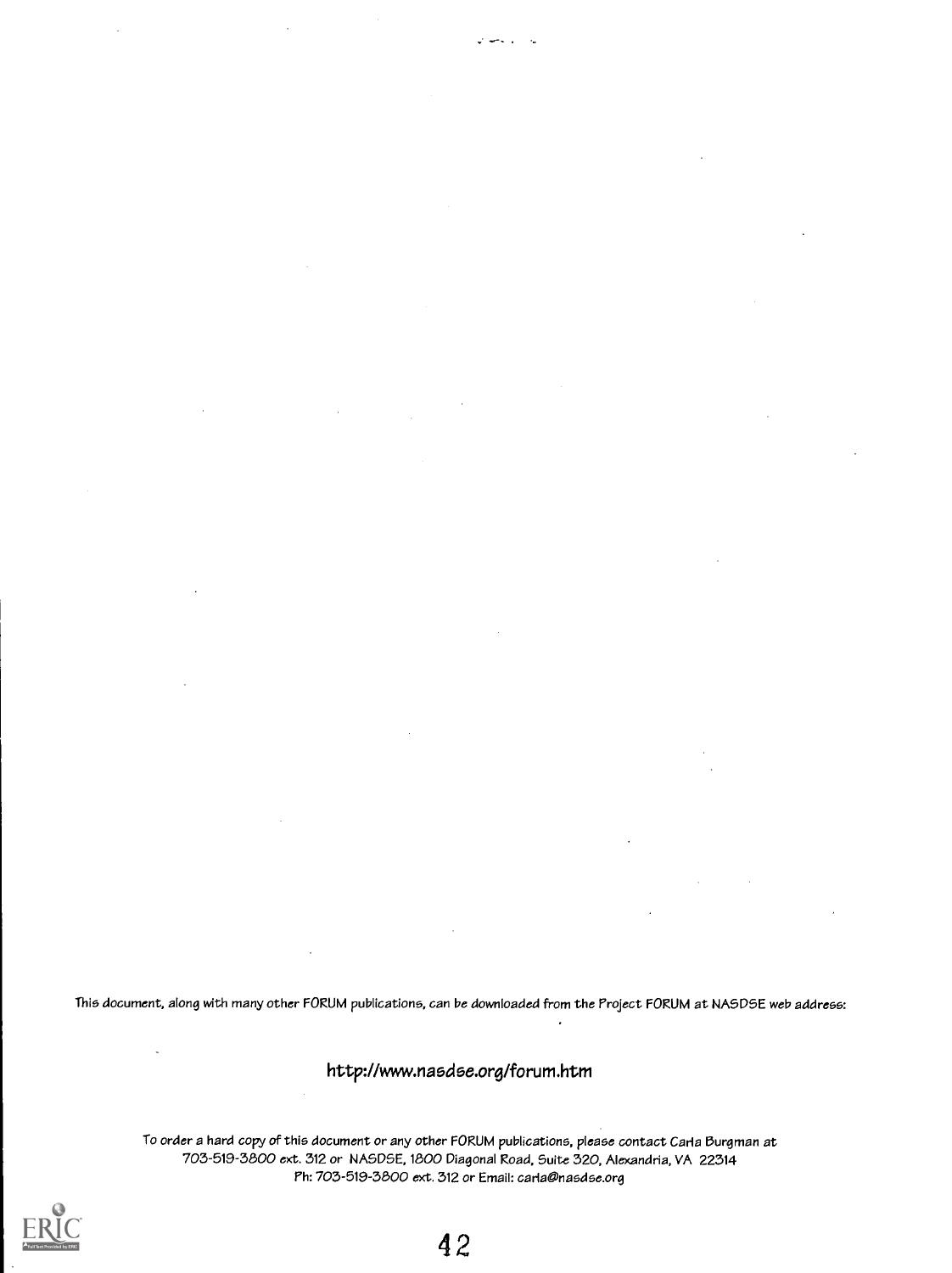This document, along with many other FORUM publications, can be downloaded from the Project FORUM at NASDSE web address:

 $\overline{a}$ 

## http://www.nasdse.org/forum.htm

To order a hard copy of this document or any other FORUM publications, please contact Carla Burgman at 703-519-3800 ext. 312 or NA5D5E, 1800 Diagonal Road, 5uite 320, Alexandria, VA 22314 Ph: 703-519-3800 ext. 312 or Email: carla@nasdse.org



4 2